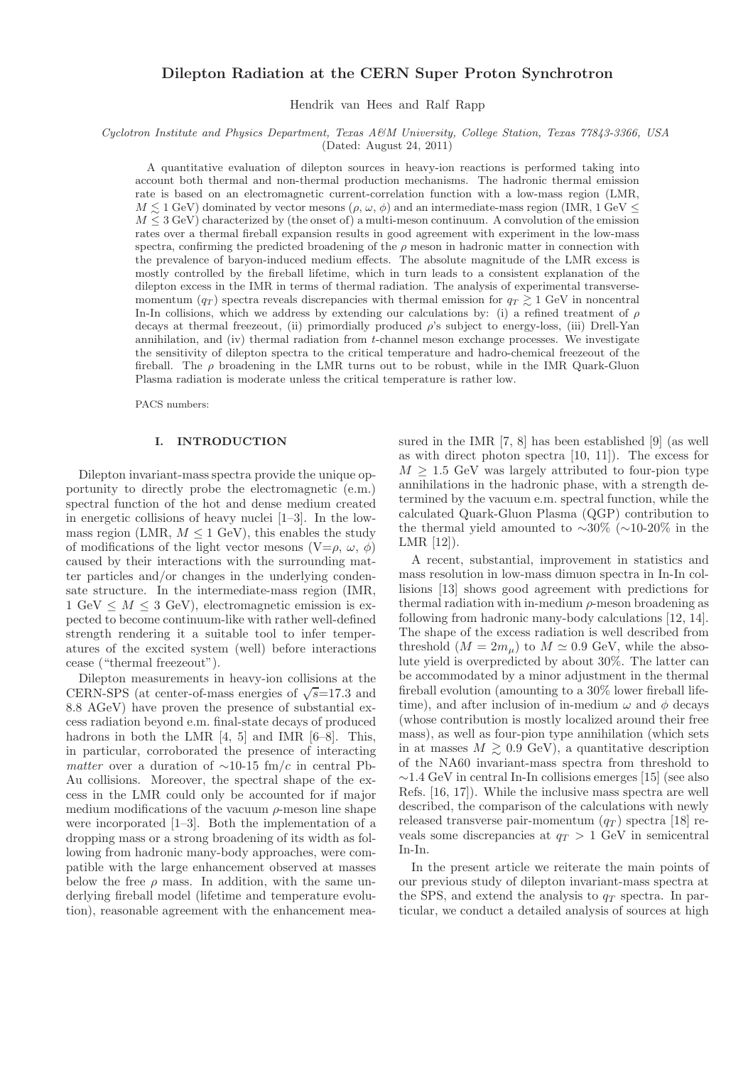## Dilepton Radiation at the CERN Super Proton Synchrotron

Hendrik van Hees and Ralf Rapp

Cyclotron Institute and Physics Department, Texas A&M University, College Station, Texas 77843-3366, USA (Dated: August 24, 2011)

A quantitative evaluation of dilepton sources in heavy-ion reactions is performed taking into account both thermal and non-thermal production mechanisms. The hadronic thermal emission rate is based on an electromagnetic current-correlation function with a low-mass region (LMR,  $M \leq 1$  GeV) dominated by vector mesons  $(\rho, \omega, \phi)$  and an intermediate-mass region (IMR, 1 GeV)  $M \leq 3$  GeV) characterized by (the onset of) a multi-meson continuum. A convolution of the emission rates over a thermal fireball expansion results in good agreement with experiment in the low-mass spectra, confirming the predicted broadening of the  $\rho$  meson in hadronic matter in connection with the prevalence of baryon-induced medium effects. The absolute magnitude of the LMR excess is mostly controlled by the fireball lifetime, which in turn leads to a consistent explanation of the dilepton excess in the IMR in terms of thermal radiation. The analysis of experimental transversemomentum  $(q_T)$  spectra reveals discrepancies with thermal emission for  $q_T \gtrsim 1$  GeV in noncentral In-In collisions, which we address by extending our calculations by: (i) a refined treatment of  $\rho$ decays at thermal freezeout, (ii) primordially produced  $\rho$ 's subject to energy-loss, (iii) Drell-Yan annihilation, and (iv) thermal radiation from t-channel meson exchange processes. We investigate the sensitivity of dilepton spectra to the critical temperature and hadro-chemical freezeout of the fireball. The  $\rho$  broadening in the LMR turns out to be robust, while in the IMR Quark-Gluon Plasma radiation is moderate unless the critical temperature is rather low.

PACS numbers:

### I. INTRODUCTION

Dilepton invariant-mass spectra provide the unique opportunity to directly probe the electromagnetic (e.m.) spectral function of the hot and dense medium created in energetic collisions of heavy nuclei [\[1](#page-27-0)[–3](#page-27-1)]. In the lowmass region (LMR,  $M \leq 1$  GeV), this enables the study of modifications of the light vector mesons  $(V=\rho, \omega, \phi)$ caused by their interactions with the surrounding matter particles and/or changes in the underlying condensate structure. In the intermediate-mass region (IMR,  $1 \text{ GeV} \leq M \leq 3 \text{ GeV}$ , electromagnetic emission is expected to become continuum-like with rather well-defined strength rendering it a suitable tool to infer temperatures of the excited system (well) before interactions cease ("thermal freezeout").

Dilepton measurements in heavy-ion collisions at the CERN-SPS (at center-of-mass energies of  $\sqrt{s}=17.3$  and 8.8 AGeV) have proven the presence of substantial excess radiation beyond e.m. final-state decays of produced hadrons in both the LMR [\[4,](#page-27-2) [5\]](#page-27-3) and IMR [\[6](#page-27-4)[–8](#page-27-5)]. This, in particular, corroborated the presence of interacting matter over a duration of  $\sim$ 10-15 fm/c in central Pb-Au collisions. Moreover, the spectral shape of the excess in the LMR could only be accounted for if major medium modifications of the vacuum  $\rho$ -meson line shape were incorporated [\[1](#page-27-0)[–3\]](#page-27-1). Both the implementation of a dropping mass or a strong broadening of its width as following from hadronic many-body approaches, were compatible with the large enhancement observed at masses below the free  $\rho$  mass. In addition, with the same underlying fireball model (lifetime and temperature evolution), reasonable agreement with the enhancement measured in the IMR [\[7](#page-27-6), [8\]](#page-27-5) has been established [\[9\]](#page-27-7) (as well as with direct photon spectra [\[10,](#page-27-8) [11](#page-27-9)]). The excess for  $M \geq 1.5$  GeV was largely attributed to four-pion type annihilations in the hadronic phase, with a strength determined by the vacuum e.m. spectral function, while the calculated Quark-Gluon Plasma (QGP) contribution to the thermal yield amounted to ∼30% (∼10-20% in the LMR [\[12\]](#page-27-10)).

A recent, substantial, improvement in statistics and mass resolution in low-mass dimuon spectra in In-In collisions [\[13](#page-27-11)] shows good agreement with predictions for thermal radiation with in-medium  $\rho$ -meson broadening as following from hadronic many-body calculations [\[12](#page-27-10), [14\]](#page-27-12). The shape of the excess radiation is well described from threshold  $(M = 2m<sub>\mu</sub>)$  to  $M \simeq 0.9$  GeV, while the absolute yield is overpredicted by about 30%. The latter can be accommodated by a minor adjustment in the thermal fireball evolution (amounting to a 30% lower fireball lifetime), and after inclusion of in-medium  $\omega$  and  $\phi$  decays (whose contribution is mostly localized around their free mass), as well as four-pion type annihilation (which sets in at masses  $M \geq 0.9$  GeV), a quantitative description of the NA60 invariant-mass spectra from threshold to  $\sim$ 1.4 GeV in central In-In collisions emerges [\[15\]](#page-27-13) (see also Refs. [\[16,](#page-27-14) [17](#page-27-15)]). While the inclusive mass spectra are well described, the comparison of the calculations with newly released transverse pair-momentum  $(q_T)$  spectra [\[18\]](#page-28-0) reveals some discrepancies at  $q_T > 1$  GeV in semicentral In-In.

In the present article we reiterate the main points of our previous study of dilepton invariant-mass spectra at the SPS, and extend the analysis to  $q_T$  spectra. In particular, we conduct a detailed analysis of sources at high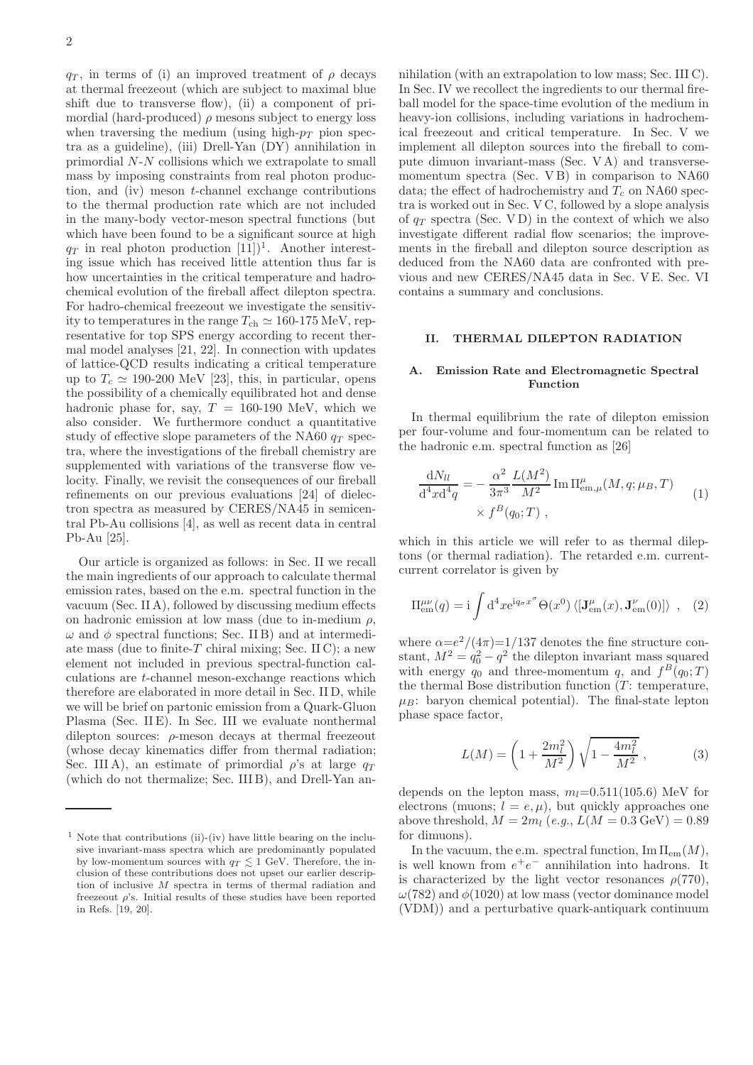$q_T$ , in terms of (i) an improved treatment of  $\rho$  decays at thermal freezeout (which are subject to maximal blue shift due to transverse flow), (ii) a component of primordial (hard-produced)  $\rho$  mesons subject to energy loss when traversing the medium (using high- $p_T$  pion spectra as a guideline), (iii) Drell-Yan (DY) annihilation in primordial N-N collisions which we extrapolate to small mass by imposing constraints from real photon production, and (iv) meson t-channel exchange contributions to the thermal production rate which are not included in the many-body vector-meson spectral functions (but which have been found to be a significant source at high  $q_T$  in real photon production  $[11]$ <sup>1</sup>. Another interesting issue which has received little attention thus far is how uncertainties in the critical temperature and hadrochemical evolution of the fireball affect dilepton spectra. For hadro-chemical freezeout we investigate the sensitivity to temperatures in the range  $T_{ch} \simeq 160{\text -}175 \text{ MeV}$ , representative for top SPS energy according to recent thermal model analyses [\[21,](#page-28-1) [22\]](#page-28-2). In connection with updates of lattice-QCD results indicating a critical temperature up to  $T_c \simeq 190{\text -}200$  MeV [\[23\]](#page-28-3), this, in particular, opens the possibility of a chemically equilibrated hot and dense hadronic phase for, say,  $T = 160-190$  MeV, which we also consider. We furthermore conduct a quantitative study of effective slope parameters of the NA60  $q_T$  spectra, where the investigations of the fireball chemistry are supplemented with variations of the transverse flow velocity. Finally, we revisit the consequences of our fireball refinements on our previous evaluations [\[24\]](#page-28-4) of dielectron spectra as measured by CERES/NA45 in semicentral Pb-Au collisions [\[4\]](#page-27-2), as well as recent data in central Pb-Au [\[25\]](#page-28-5).

Our article is organized as follows: in Sec. [II](#page-1-0) we recall the main ingredients of our approach to calculate thermal emission rates, based on the e.m. spectral function in the vacuum (Sec. [II A\)](#page-1-1), followed by discussing medium effects on hadronic emission at low mass (due to in-medium  $\rho$ ,  $\omega$  and  $\phi$  spectral functions; Sec. [II B\)](#page-2-0) and at intermedi-ate mass (due to finite-T chiral mixing; Sec. [II C\)](#page-6-0); a new element not included in previous spectral-function calculations are t-channel meson-exchange reactions which therefore are elaborated in more detail in Sec. [II D,](#page-6-1) while we will be brief on partonic emission from a Quark-Gluon Plasma (Sec. [II E\)](#page-9-0). In Sec. [III](#page-9-1) we evaluate nonthermal dilepton sources:  $\rho$ -meson decays at thermal freezeout (whose decay kinematics differ from thermal radiation; Sec. [III A\)](#page-9-2), an estimate of primordial  $\rho$ 's at large  $q_T$ (which do not thermalize; Sec. [III B\)](#page-10-0), and Drell-Yan annihilation (with an extrapolation to low mass; Sec. [III C\)](#page-11-0). In Sec. [IV](#page-12-0) we recollect the ingredients to our thermal fireball model for the space-time evolution of the medium in heavy-ion collisions, including variations in hadrochemical freezeout and critical temperature. In Sec. [V](#page-13-0) we implement all dilepton sources into the fireball to compute dimuon invariant-mass (Sec. [V A\)](#page-13-1) and transversemomentum spectra (Sec. [V B\)](#page-15-0) in comparison to NA60 data; the effect of hadrochemistry and  $T_c$  on NA60 spectra is worked out in Sec. [V C,](#page-19-0) followed by a slope analysis of  $q_T$  spectra (Sec. VD) in the context of which we also investigate different radial flow scenarios; the improvements in the fireball and dilepton source description as deduced from the NA60 data are confronted with pre-vious and new CERES/NA45 data in Sec. VE. Sec. [VI](#page-26-0) contains a summary and conclusions.

# <span id="page-1-0"></span>II. THERMAL DILEPTON RADIATION

## <span id="page-1-1"></span>A. Emission Rate and Electromagnetic Spectral Function

In thermal equilibrium the rate of dilepton emission per four-volume and four-momentum can be related to the hadronic e.m. spectral function as [\[26](#page-28-8)]

<span id="page-1-2"></span>
$$
\frac{dN_{ll}}{d^4x d^4q} = -\frac{\alpha^2}{3\pi^3} \frac{L(M^2)}{M^2} \text{Im}\,\Pi_{em,\mu}^{\mu}(M,q;\mu_B,T) \times f^B(q_0;T) ,
$$
\n(1)

which in this article we will refer to as thermal dileptons (or thermal radiation). The retarded e.m. currentcurrent correlator is given by

<span id="page-1-4"></span>
$$
\Pi_{em}^{\mu\nu}(q) = i \int d^4x e^{iq_\sigma x^\sigma} \Theta(x^0) \langle [\mathbf{J}_{em}^{\mu}(x), \mathbf{J}_{em}^{\nu}(0)] \rangle , \quad (2)
$$

where  $\alpha = e^2/(4\pi) = 1/137$  denotes the fine structure constant,  $M^2 = q_0^2 - q^2$  the dilepton invariant mass squared with energy  $q_0$  and three-momentum q, and  $f^B(q_0;T)$ the thermal Bose distribution function  $(T:$  temperature,  $\mu_B$ : baryon chemical potential). The final-state lepton phase space factor,

<span id="page-1-3"></span>
$$
L(M) = \left(1 + \frac{2m_l^2}{M^2}\right)\sqrt{1 - \frac{4m_l^2}{M^2}} ,\t\t(3)
$$

depends on the lepton mass,  $m_l=0.511(105.6)$  MeV for electrons (muons;  $l = e, \mu$ ), but quickly approaches one above threshold,  $M = 2m_l$  (e.g.,  $L(M = 0.3 \text{ GeV}) = 0.89$ ) for dimuons).

In the vacuum, the e.m. spectral function,  $\text{Im }\Pi_{em}(M)$ , is well known from  $e^+e^-$  annihilation into hadrons. It is characterized by the light vector resonances  $\rho(770)$ ,  $\omega(782)$  and  $\phi(1020)$  at low mass (vector dominance model (VDM)) and a perturbative quark-antiquark continuum

 $1$  Note that contributions (ii)-(iv) have little bearing on the inclusive invariant-mass spectra which are predominantly populated by low-momentum sources with  $q_T \lesssim 1$  GeV. Therefore, the inclusion of these contributions does not upset our earlier description of inclusive M spectra in terms of thermal radiation and freezeout  $\rho$ 's. Initial results of these studies have been reported in Refs. [\[19](#page-28-6), [20](#page-28-7)].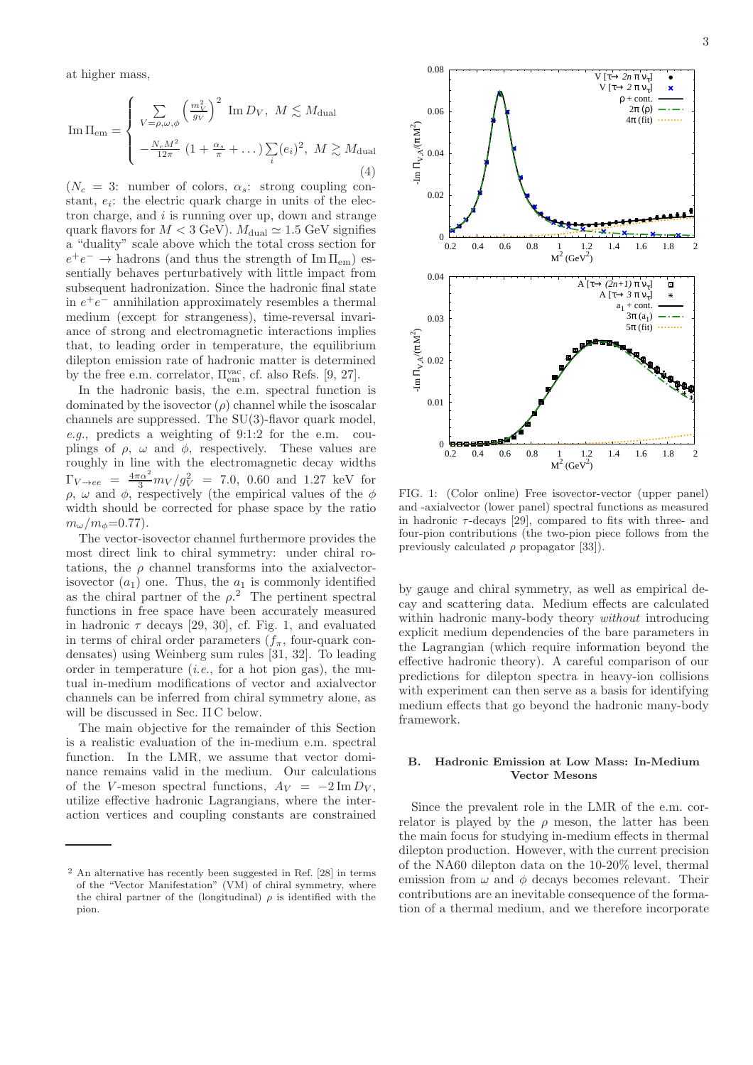at higher mass,

<span id="page-2-2"></span>Im 
$$
\Pi_{em} = \begin{cases} \sum_{V=\rho,\omega,\phi} \left(\frac{m_V^2}{g_V}\right)^2 \text{Im } D_V, M \lesssim M_{\text{dual}} \\ -\frac{N_c M^2}{12\pi} \left(1 + \frac{\alpha_s}{\pi} + \dots\right) \sum_i (e_i)^2, M \gtrsim M_{\text{dual}} \end{cases}
$$
 (4)

 $(N_c = 3:$  number of colors,  $\alpha_s$ : strong coupling constant,  $e_i$ : the electric quark charge in units of the electron charge, and  $i$  is running over up, down and strange quark flavors for  $M < 3$  GeV).  $M_{\text{dual}} \simeq 1.5$  GeV signifies a "duality" scale above which the total cross section for  $e^+e^- \rightarrow$  hadrons (and thus the strength of  $\text{Im}\,\Pi_{\text{em}}$ ) essentially behaves perturbatively with little impact from subsequent hadronization. Since the hadronic final state in  $e^+e^-$  annihilation approximately resembles a thermal medium (except for strangeness), time-reversal invariance of strong and electromagnetic interactions implies that, to leading order in temperature, the equilibrium dilepton emission rate of hadronic matter is determined by the free e.m. correlator,  $\Pi_{em}^{vac}$ , cf. also Refs. [\[9,](#page-27-7) [27\]](#page-28-9).

In the hadronic basis, the e.m. spectral function is dominated by the isovector  $(\rho)$  channel while the isoscalar channels are suppressed. The SU(3)-flavor quark model, e.g., predicts a weighting of 9:1:2 for the e.m. couplings of  $\rho$ ,  $\omega$  and  $\phi$ , respectively. These values are roughly in line with the electromagnetic decay widths  $\Gamma_{V \to ee} = \frac{4\pi\alpha^2}{3} m_V / g_V^2 = 7.0, 0.60$  and 1.27 keV for  $\rho, \omega$  and  $\phi$ , respectively (the empirical values of the  $\phi$ width should be corrected for phase space by the ratio  $m_{\omega}/m_{\phi}=0.77$ ).

The vector-isovector channel furthermore provides the most direct link to chiral symmetry: under chiral rotations, the  $\rho$  channel transforms into the axialvectorisovector  $(a_1)$  one. Thus, the  $a_1$  is commonly identified as the chiral partner of the  $\rho$ <sup>2</sup>. The pertinent spectral functions in free space have been accurately measured in hadronic  $\tau$  decays [\[29](#page-28-10), [30](#page-28-11)], cf. Fig. [1,](#page-2-1) and evaluated in terms of chiral order parameters  $(f_{\pi},$  four-quark condensates) using Weinberg sum rules [\[31,](#page-28-12) [32\]](#page-28-13). To leading order in temperature (*i.e.*, for a hot pion gas), the mutual in-medium modifications of vector and axialvector channels can be inferred from chiral symmetry alone, as will be discussed in Sec. [II C](#page-6-0) below.

The main objective for the remainder of this Section is a realistic evaluation of the in-medium e.m. spectral function. In the LMR, we assume that vector dominance remains valid in the medium. Our calculations of the V-meson spectral functions,  $A_V = -2 \text{Im} D_V$ , utilize effective hadronic Lagrangians, where the interaction vertices and coupling constants are constrained





<span id="page-2-1"></span>FIG. 1: (Color online) Free isovector-vector (upper panel) and -axialvector (lower panel) spectral functions as measured in hadronic  $\tau$ -decays [\[29](#page-28-10)], compared to fits with three- and four-pion contributions (the two-pion piece follows from the previously calculated  $\rho$  propagator [\[33](#page-28-15)]).

by gauge and chiral symmetry, as well as empirical decay and scattering data. Medium effects are calculated within hadronic many-body theory *without* introducing explicit medium dependencies of the bare parameters in the Lagrangian (which require information beyond the effective hadronic theory). A careful comparison of our predictions for dilepton spectra in heavy-ion collisions with experiment can then serve as a basis for identifying medium effects that go beyond the hadronic many-body framework.

### <span id="page-2-0"></span>B. Hadronic Emission at Low Mass: In-Medium Vector Mesons

Since the prevalent role in the LMR of the e.m. correlator is played by the  $\rho$  meson, the latter has been the main focus for studying in-medium effects in thermal dilepton production. However, with the current precision of the NA60 dilepton data on the 10-20% level, thermal emission from  $\omega$  and  $\phi$  decays becomes relevant. Their contributions are an inevitable consequence of the formation of a thermal medium, and we therefore incorporate

<sup>2</sup> An alternative has recently been suggested in Ref. [\[28](#page-28-14)] in terms of the "Vector Manifestation" (VM) of chiral symmetry, where the chiral partner of the (longitudinal)  $\rho$  is identified with the pion.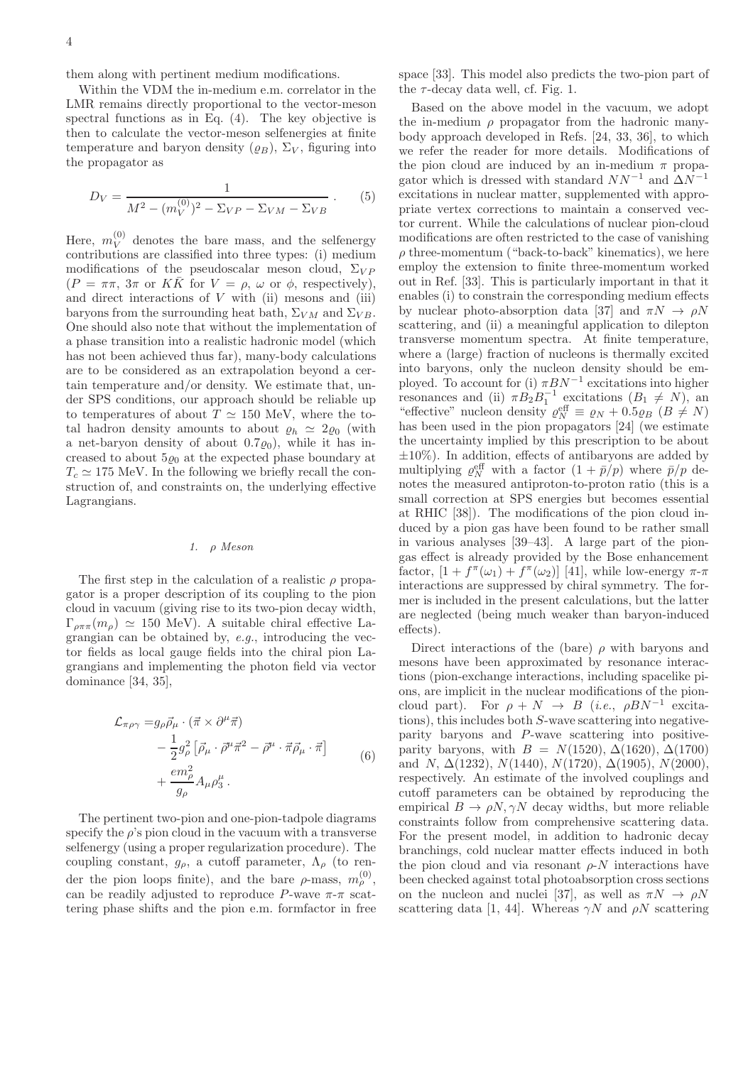them along with pertinent medium modifications.

Within the VDM the in-medium e.m. correlator in the LMR remains directly proportional to the vector-meson spectral functions as in Eq.  $(4)$ . The key objective is then to calculate the vector-meson selfenergies at finite temperature and baryon density  $(\rho_B)$ ,  $\Sigma_V$ , figuring into the propagator as

$$
D_V = \frac{1}{M^2 - (m_V^{(0)})^2 - \Sigma_{VP} - \Sigma_{VM} - \Sigma_{VB}}.
$$
 (5)

Here,  $m_V^{(0)}$  $V_V^{(0)}$  denotes the bare mass, and the selfenergy contributions are classified into three types: (i) medium modifications of the pseudoscalar meson cloud,  $\Sigma_{VP}$  $(P = \pi\pi, 3\pi \text{ or } K\overline{K} \text{ for } V = \rho, \omega \text{ or } \phi, \text{ respectively},$ and direct interactions of  $V$  with (ii) mesons and (iii) baryons from the surrounding heat bath,  $\Sigma_{VM}$  and  $\Sigma_{VB}$ . One should also note that without the implementation of a phase transition into a realistic hadronic model (which has not been achieved thus far), many-body calculations are to be considered as an extrapolation beyond a certain temperature and/or density. We estimate that, under SPS conditions, our approach should be reliable up to temperatures of about  $T \simeq 150$  MeV, where the total hadron density amounts to about  $\rho_h \simeq 2\rho_0$  (with a net-baryon density of about  $0.7\varrho_0$ , while it has increased to about  $5\rho_0$  at the expected phase boundary at  $T_c \simeq 175$  MeV. In the following we briefly recall the construction of, and constraints on, the underlying effective Lagrangians.

### <span id="page-3-0"></span>1. ρ Meson

The first step in the calculation of a realistic  $\rho$  propagator is a proper description of its coupling to the pion cloud in vacuum (giving rise to its two-pion decay width,  $\Gamma_{\rho\pi\pi}(m_{\rho}) \simeq 150 \text{ MeV}$ . A suitable chiral effective Lagrangian can be obtained by, e.g., introducing the vector fields as local gauge fields into the chiral pion Lagrangians and implementing the photon field via vector dominance [\[34,](#page-28-16) [35\]](#page-28-17),

$$
\mathcal{L}_{\pi\rho\gamma} = g_{\rho}\vec{\rho}_{\mu} \cdot (\vec{\pi} \times \partial^{\mu}\vec{\pi})
$$
  
\n
$$
- \frac{1}{2}g_{\rho}^{2} [\vec{\rho}_{\mu} \cdot \vec{\rho}^{\mu}\vec{\pi}^{2} - \vec{\rho}^{\mu} \cdot \vec{\pi}\vec{\rho}_{\mu} \cdot \vec{\pi}]
$$
  
\n
$$
+ \frac{em_{\rho}^{2}}{g_{\rho}}A_{\mu}\rho_{3}^{\mu}.
$$
 (6)

The pertinent two-pion and one-pion-tadpole diagrams specify the  $\rho$ 's pion cloud in the vacuum with a transverse selfenergy (using a proper regularization procedure). The coupling constant,  $g_{\rho}$ , a cutoff parameter,  $\Lambda_{\rho}$  (to render the pion loops finite), and the bare  $\rho$ -mass,  $m_{\rho}^{(0)}$ , can be readily adjusted to reproduce P-wave  $\pi$ - $\pi$  scattering phase shifts and the pion e.m. formfactor in free space [\[33](#page-28-15)]. This model also predicts the two-pion part of the  $\tau$ -decay data well, cf. Fig. [1.](#page-2-1)

Based on the above model in the vacuum, we adopt the in-medium  $\rho$  propagator from the hadronic manybody approach developed in Refs. [\[24](#page-28-4), [33,](#page-28-15) [36](#page-28-18)], to which we refer the reader for more details. Modifications of the pion cloud are induced by an in-medium  $\pi$  propagator which is dressed with standard  $NN^{-1}$  and  $\Delta N^{-1}$ excitations in nuclear matter, supplemented with appropriate vertex corrections to maintain a conserved vector current. While the calculations of nuclear pion-cloud modifications are often restricted to the case of vanishing  $\rho$  three-momentum ("back-to-back" kinematics), we here employ the extension to finite three-momentum worked out in Ref. [\[33\]](#page-28-15). This is particularly important in that it enables (i) to constrain the corresponding medium effects by nuclear photo-absorption data [\[37](#page-28-19)] and  $\pi N \rightarrow \rho N$ scattering, and (ii) a meaningful application to dilepton transverse momentum spectra. At finite temperature, where a (large) fraction of nucleons is thermally excited into baryons, only the nucleon density should be employed. To account for (i)  $\pi BN^{-1}$  excitations into higher resonances and (ii)  $\pi B_2 B_1^{-1}$  excitations  $(B_1 \neq N)$ , and "effective" nucleon density  $\varrho_N^{\text{eff}} \equiv \varrho_N + 0.5 \varrho_B (B \neq N)$ has been used in the pion propagators [\[24\]](#page-28-4) (we estimate the uncertainty implied by this prescription to be about  $\pm 10\%$ ). In addition, effects of antibaryons are added by multiplying  $\varrho_N^{\text{eff}}$  with a factor  $(1 + \bar{p}/p)$  where  $\bar{p}/p$  denotes the measured antiproton-to-proton ratio (this is a small correction at SPS energies but becomes essential at RHIC [\[38](#page-28-20)]). The modifications of the pion cloud induced by a pion gas have been found to be rather small in various analyses [\[39](#page-28-21)[–43\]](#page-28-22). A large part of the piongas effect is already provided by the Bose enhancement factor,  $[1 + f^{\pi}(\omega_1) + f^{\pi}(\omega_2)]$  [\[41\]](#page-28-23), while low-energy  $\pi$ - $\pi$ interactions are suppressed by chiral symmetry. The former is included in the present calculations, but the latter are neglected (being much weaker than baryon-induced effects).

Direct interactions of the (bare)  $\rho$  with baryons and mesons have been approximated by resonance interactions (pion-exchange interactions, including spacelike pions, are implicit in the nuclear modifications of the pioncloud part). For  $\rho + N \rightarrow B$  (*i.e.*,  $\rho BN^{-1}$  excitations), this includes both S-wave scattering into negativeparity baryons and P-wave scattering into positiveparity baryons, with  $B = N(1520)$ ,  $\Delta(1620)$ ,  $\Delta(1700)$ and N,  $\Delta(1232)$ ,  $N(1440)$ ,  $N(1720)$ ,  $\Delta(1905)$ ,  $N(2000)$ , respectively. An estimate of the involved couplings and cutoff parameters can be obtained by reproducing the empirical  $B \to \rho N, \gamma N$  decay widths, but more reliable constraints follow from comprehensive scattering data. For the present model, in addition to hadronic decay branchings, cold nuclear matter effects induced in both the pion cloud and via resonant  $\rho$ -N interactions have been checked against total photoabsorption cross sections on the nucleon and nuclei [\[37](#page-28-19)], as well as  $\pi N \to \rho N$ scattering data [\[1](#page-27-0), [44\]](#page-28-24). Whereas  $\gamma N$  and  $\rho N$  scattering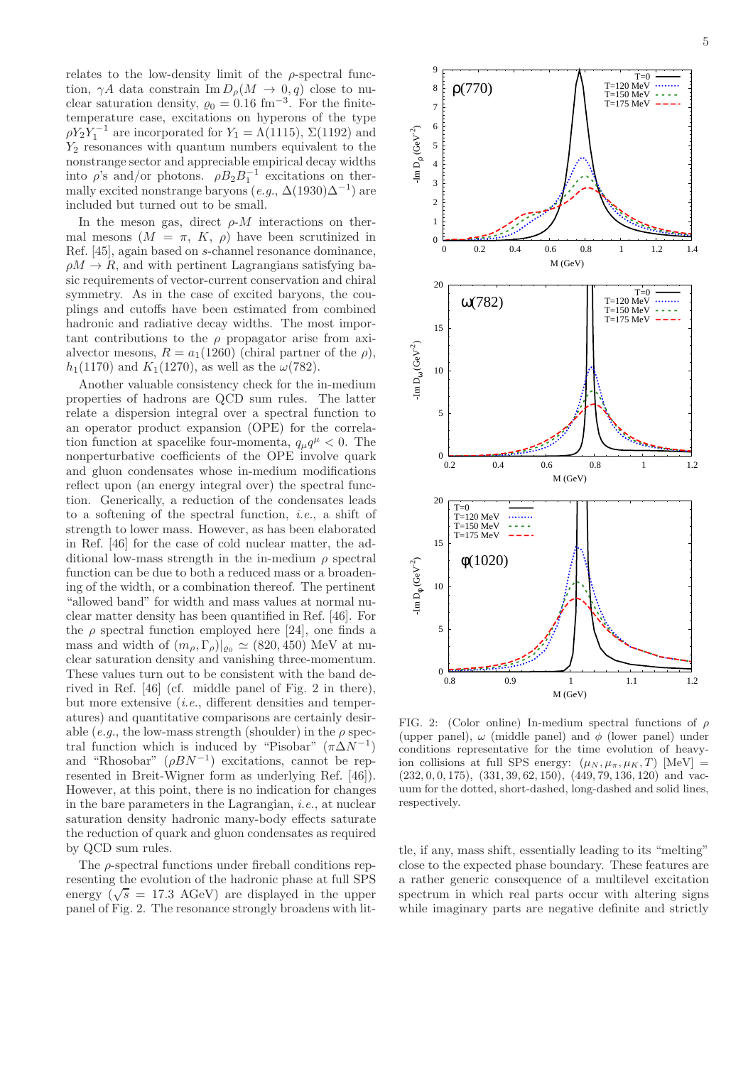relates to the low-density limit of the  $\rho$ -spectral function,  $\gamma A$  data constrain Im  $D_{\rho}(M \to 0, q)$  close to nuclear saturation density,  $\varrho_0 = 0.16$  fm<sup>-3</sup>. For the finitetemperature case, excitations on hyperons of the type  $\rho Y_2 \dot{Y}_1^{-1}$  are incorporated for  $Y_1 = \Lambda(1115)$ ,  $\Sigma(1192)$  and  $Y_2$  resonances with quantum numbers equivalent to the nonstrange sector and appreciable empirical decay widths into  $\rho$ 's and/or photons.  $\rho B_2 B_1^{-1}$  excitations on thermally excited nonstrange baryons  $(e.g., \Delta(1930)\Delta^{-1})$  are included but turned out to be small.

In the meson gas, direct  $\rho$ -*M* interactions on thermal mesons  $(M = \pi, K, \rho)$  have been scrutinized in Ref. [\[45](#page-28-25)], again based on s-channel resonance dominance,  $\rho M \rightarrow R$ , and with pertinent Lagrangians satisfying basic requirements of vector-current conservation and chiral symmetry. As in the case of excited baryons, the couplings and cutoffs have been estimated from combined hadronic and radiative decay widths. The most important contributions to the  $\rho$  propagator arise from axialvector mesons,  $R = a_1(1260)$  (chiral partner of the  $\rho$ ),  $h_1(1170)$  and  $K_1(1270)$ , as well as the  $\omega(782)$ .

Another valuable consistency check for the in-medium properties of hadrons are QCD sum rules. The latter relate a dispersion integral over a spectral function to an operator product expansion (OPE) for the correlation function at spacelike four-momenta,  $q_{\mu}q^{\mu} < 0$ . The nonperturbative coefficients of the OPE involve quark and gluon condensates whose in-medium modifications reflect upon (an energy integral over) the spectral function. Generically, a reduction of the condensates leads to a softening of the spectral function, i.e., a shift of strength to lower mass. However, as has been elaborated in Ref. [\[46\]](#page-28-26) for the case of cold nuclear matter, the additional low-mass strength in the in-medium  $\rho$  spectral function can be due to both a reduced mass or a broadening of the width, or a combination thereof. The pertinent "allowed band" for width and mass values at normal nuclear matter density has been quantified in Ref. [\[46\]](#page-28-26). For the  $\rho$  spectral function employed here [\[24](#page-28-4)], one finds a mass and width of  $(m_\rho, \Gamma_\rho)|_{\rho_0} \simeq (820, 450)$  MeV at nuclear saturation density and vanishing three-momentum. These values turn out to be consistent with the band derived in Ref. [\[46\]](#page-28-26) (cf. middle panel of Fig. 2 in there), but more extensive (i.e., different densities and temperatures) and quantitative comparisons are certainly desirable (e.g., the low-mass strength (shoulder) in the  $\rho$  spectral function which is induced by "Pisobar"  $(\pi \Delta N^{-1})$ and "Rhosobar"  $(\rho BN^{-1})$  excitations, cannot be represented in Breit-Wigner form as underlying Ref. [\[46\]](#page-28-26)). However, at this point, there is no indication for changes in the bare parameters in the Lagrangian, i.e., at nuclear saturation density hadronic many-body effects saturate the reduction of quark and gluon condensates as required by QCD sum rules.

The ρ-spectral functions under fireball conditions representing the evolution of the hadronic phase at full SPS energy  $(\sqrt{s} = 17.3 \text{ AGeV})$  are displayed in the upper panel of Fig. [2.](#page-4-0) The resonance strongly broadens with lit-



<span id="page-4-0"></span>FIG. 2: (Color online) In-medium spectral functions of  $\rho$ (upper panel),  $\omega$  (middle panel) and  $\phi$  (lower panel) under conditions representative for the time evolution of heavyion collisions at full SPS energy:  $(\mu_N, \mu_\pi, \mu_K, T)$  [MeV] =  $(232, 0, 0, 175), (331, 39, 62, 150), (449, 79, 136, 120)$  and vacuum for the dotted, short-dashed, long-dashed and solid lines, respectively.

tle, if any, mass shift, essentially leading to its "melting" close to the expected phase boundary. These features are a rather generic consequence of a multilevel excitation spectrum in which real parts occur with altering signs while imaginary parts are negative definite and strictly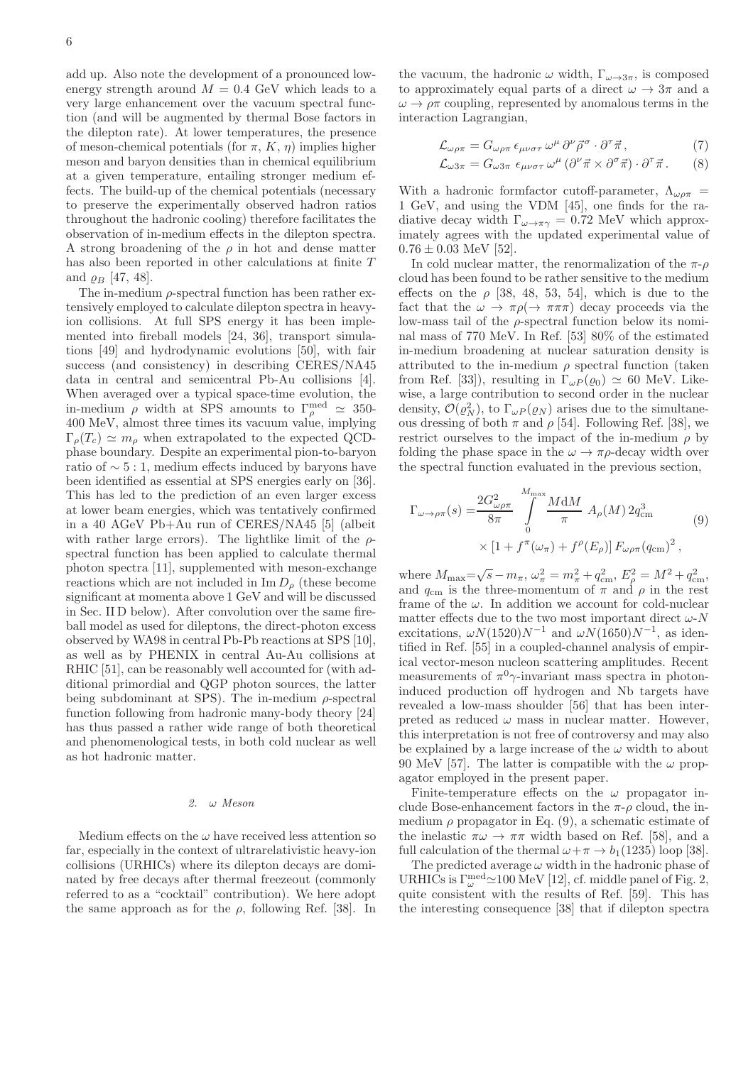add up. Also note the development of a pronounced lowenergy strength around  $M = 0.4$  GeV which leads to a very large enhancement over the vacuum spectral function (and will be augmented by thermal Bose factors in the dilepton rate). At lower temperatures, the presence of meson-chemical potentials (for  $\pi$ , K,  $\eta$ ) implies higher meson and baryon densities than in chemical equilibrium at a given temperature, entailing stronger medium effects. The build-up of the chemical potentials (necessary to preserve the experimentally observed hadron ratios throughout the hadronic cooling) therefore facilitates the observation of in-medium effects in the dilepton spectra. A strong broadening of the  $\rho$  in hot and dense matter has also been reported in other calculations at finite T and  $\rho_B$  [\[47,](#page-28-27) [48\]](#page-28-28).

The in-medium  $\rho$ -spectral function has been rather extensively employed to calculate dilepton spectra in heavyion collisions. At full SPS energy it has been implemented into fireball models [\[24](#page-28-4), [36\]](#page-28-18), transport simulations [\[49\]](#page-28-29) and hydrodynamic evolutions [\[50\]](#page-28-30), with fair success (and consistency) in describing CERES/NA45 data in central and semicentral Pb-Au collisions [\[4\]](#page-27-2). When averaged over a typical space-time evolution, the in-medium  $\rho$  width at SPS amounts to  $\Gamma_{\rho}^{\text{med}} \simeq 350$ -400 MeV, almost three times its vacuum value, implying  $\Gamma_o(T_c) \simeq m_o$  when extrapolated to the expected QCDphase boundary. Despite an experimental pion-to-baryon ratio of  $\sim 5:1$ , medium effects induced by baryons have been identified as essential at SPS energies early on [\[36\]](#page-28-18). This has led to the prediction of an even larger excess at lower beam energies, which was tentatively confirmed in a 40 AGeV Pb+Au run of CERES/NA45 [\[5\]](#page-27-3) (albeit with rather large errors). The lightlike limit of the  $\rho$ spectral function has been applied to calculate thermal photon spectra [\[11](#page-27-9)], supplemented with meson-exchange reactions which are not included in  $\text{Im } D_{\rho}$  (these become significant at momenta above 1 GeV and will be discussed in Sec. [II D](#page-6-1) below). After convolution over the same fireball model as used for dileptons, the direct-photon excess observed by WA98 in central Pb-Pb reactions at SPS [\[10\]](#page-27-8), as well as by PHENIX in central Au-Au collisions at RHIC [\[51\]](#page-28-31), can be reasonably well accounted for (with additional primordial and QGP photon sources, the latter being subdominant at SPS). The in-medium  $\rho$ -spectral function following from hadronic many-body theory [\[24](#page-28-4)] has thus passed a rather wide range of both theoretical and phenomenological tests, in both cold nuclear as well as hot hadronic matter.

### 2. ω Meson

Medium effects on the  $\omega$  have received less attention so far, especially in the context of ultrarelativistic heavy-ion collisions (URHICs) where its dilepton decays are dominated by free decays after thermal freezeout (commonly referred to as a "cocktail" contribution). We here adopt the same approach as for the  $\rho$ , following Ref. [\[38\]](#page-28-20). In

the vacuum, the hadronic  $\omega$  width,  $\Gamma_{\omega \to 3\pi}$ , is composed to approximately equal parts of a direct  $\omega \to 3\pi$  and a  $\omega \to \rho \pi$  coupling, represented by anomalous terms in the interaction Lagrangian,

<span id="page-5-1"></span>
$$
\mathcal{L}_{\omega\rho\pi} = G_{\omega\rho\pi} \,\epsilon_{\mu\nu\sigma\tau} \,\omega^{\mu} \,\partial^{\nu} \vec{\rho}^{\sigma} \cdot \partial^{\tau} \vec{\pi}\,,\tag{7}
$$

$$
\mathcal{L}_{\omega 3\pi} = G_{\omega 3\pi} \epsilon_{\mu\nu\sigma\tau} \,\omega^{\mu} \left( \partial^{\nu}\vec{\pi} \times \partial^{\sigma}\vec{\pi} \right) \cdot \partial^{\tau}\vec{\pi} \,. \tag{8}
$$

With a hadronic formfactor cutoff-parameter,  $\Lambda_{\omega\rho\pi}$  = 1 GeV, and using the VDM [\[45\]](#page-28-25), one finds for the radiative decay width  $\Gamma_{\omega \to \pi \gamma} = 0.72$  MeV which approximately agrees with the updated experimental value of  $0.76 \pm 0.03$  MeV [\[52](#page-28-32)].

In cold nuclear matter, the renormalization of the  $\pi$ - $\rho$ cloud has been found to be rather sensitive to the medium effects on the  $\rho$  [\[38,](#page-28-20) [48,](#page-28-28) [53,](#page-28-33) [54\]](#page-28-34), which is due to the fact that the  $\omega \to \pi \rho (\to \pi \pi \pi)$  decay proceeds via the low-mass tail of the  $\rho$ -spectral function below its nominal mass of 770 MeV. In Ref. [\[53\]](#page-28-33) 80% of the estimated in-medium broadening at nuclear saturation density is attributed to the in-medium  $\rho$  spectral function (taken from Ref. [\[33\]](#page-28-15)), resulting in  $\Gamma_{\omega P}(\varrho_0) \simeq 60$  MeV. Likewise, a large contribution to second order in the nuclear density,  $\mathcal{O}(\varrho_N^2)$ , to  $\Gamma_{\omega P}(\varrho_N)$  arises due to the simultaneous dressing of both  $\pi$  and  $\rho$  [\[54\]](#page-28-34). Following Ref. [\[38](#page-28-20)], we restrict ourselves to the impact of the in-medium  $\rho$  by folding the phase space in the  $\omega \to \pi \rho$ -decay width over the spectral function evaluated in the previous section,

<span id="page-5-0"></span>
$$
\Gamma_{\omega \to \rho \pi}(s) = \frac{2G_{\omega \rho \pi}^2}{8\pi} \int_0^{M_{\text{max}}} \frac{M \, \mathrm{d}M}{\pi} A_{\rho}(M) 2q_{\text{cm}}^3 \tag{9}
$$
\n
$$
\times \left[1 + f^{\pi}(\omega_{\pi}) + f^{\rho}(E_{\rho})\right] F_{\omega \rho \pi}(q_{\text{cm}})^2 \,,
$$

where  $M_{\text{max}} = \sqrt{s} - m_{\pi}$ ,  $\omega_{\pi}^2 = m_{\pi}^2 + q_{\text{cm}}^2$ ,  $E_{\rho}^2 = M^2 + q_{\text{cm}}^2$ , and  $q_{\text{cm}}$  is the three-momentum of  $\pi$  and  $\rho$  in the rest frame of the  $\omega$ . In addition we account for cold-nuclear matter effects due to the two most important direct  $\omega$ -N excitations,  $\omega N(1520)N^{-1}$  and  $\omega N(1650)N^{-1}$ , as identified in Ref. [\[55](#page-28-35)] in a coupled-channel analysis of empirical vector-meson nucleon scattering amplitudes. Recent measurements of  $\pi^0 \gamma$ -invariant mass spectra in photoninduced production off hydrogen and Nb targets have revealed a low-mass shoulder [\[56\]](#page-28-36) that has been interpreted as reduced  $\omega$  mass in nuclear matter. However, this interpretation is not free of controversy and may also be explained by a large increase of the  $\omega$  width to about 90 MeV [\[57\]](#page-28-37). The latter is compatible with the  $\omega$  propagator employed in the present paper.

Finite-temperature effects on the  $\omega$  propagator include Bose-enhancement factors in the  $\pi$ - $\rho$  cloud, the inmedium  $\rho$  propagator in Eq. [\(9\)](#page-5-0), a schematic estimate of the inelastic  $\pi \omega \to \pi \pi$  width based on Ref. [\[58](#page-28-38)], and a full calculation of the thermal  $\omega + \pi \rightarrow b_1(1235)$  loop [\[38\]](#page-28-20).

The predicted average  $\omega$  width in the hadronic phase of URHICs is  $\Gamma^{\text{med}}_{\omega} \simeq 100 \text{ MeV}$  [\[12\]](#page-27-10), cf. middle panel of Fig. [2,](#page-4-0) quite consistent with the results of Ref. [\[59\]](#page-28-39). This has the interesting consequence [\[38\]](#page-28-20) that if dilepton spectra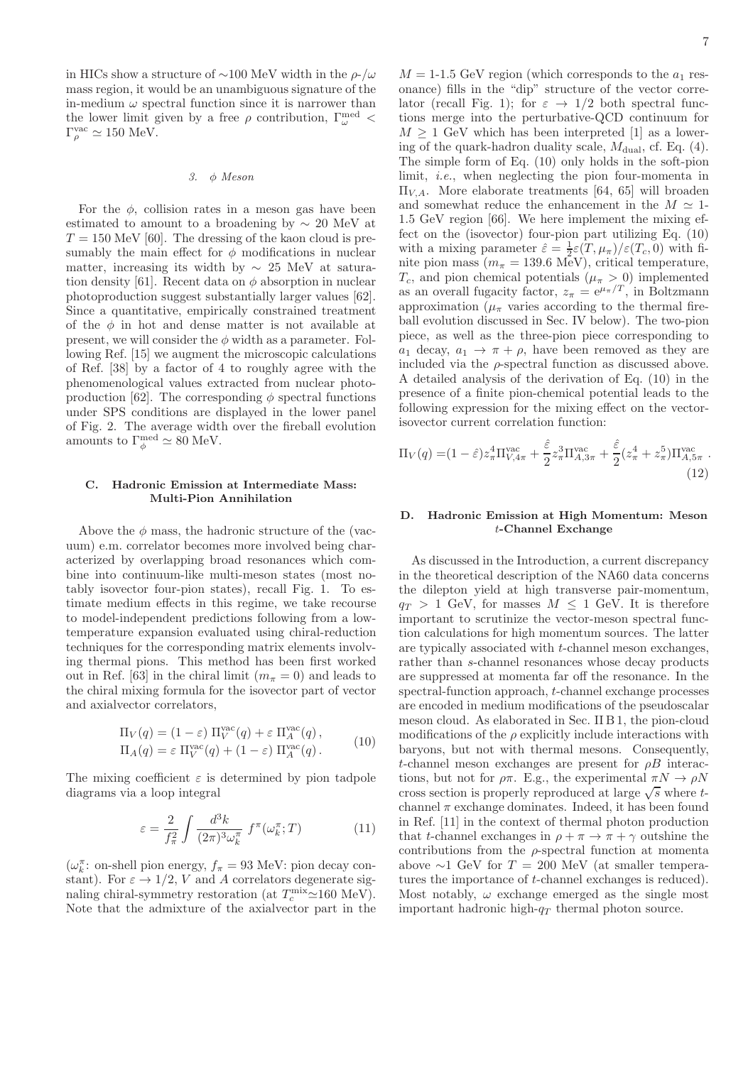in HICs show a structure of ~100 MeV width in the  $\rho$ -/ $\omega$ mass region, it would be an unambiguous signature of the in-medium  $\omega$  spectral function since it is narrower than the lower limit given by a free  $\rho$  contribution,  $\Gamma_{\omega}^{\text{med}}$  <  $\Gamma_{\rho}^{\text{vac}} \simeq 150 \text{ MeV}.$ 

3. φ Meson

For the  $\phi$ , collision rates in a meson gas have been estimated to amount to a broadening by  $\sim 20$  MeV at  $T = 150$  MeV [\[60\]](#page-28-40). The dressing of the kaon cloud is presumably the main effect for  $\phi$  modifications in nuclear matter, increasing its width by  $\sim 25$  MeV at satura-tion density [\[61\]](#page-28-41). Recent data on  $\phi$  absorption in nuclear photoproduction suggest substantially larger values [\[62\]](#page-28-42). Since a quantitative, empirically constrained treatment of the  $\phi$  in hot and dense matter is not available at present, we will consider the  $\phi$  width as a parameter. Following Ref. [\[15](#page-27-13)] we augment the microscopic calculations of Ref. [\[38](#page-28-20)] by a factor of 4 to roughly agree with the phenomenological values extracted from nuclear photo-production [\[62\]](#page-28-42). The corresponding  $\phi$  spectral functions under SPS conditions are displayed in the lower panel of Fig. [2.](#page-4-0) The average width over the fireball evolution amounts to  $\Gamma_{\phi}^{\text{med}} \simeq 80 \text{ MeV}.$ 

#### <span id="page-6-0"></span>C. Hadronic Emission at Intermediate Mass: Multi-Pion Annihilation

Above the  $\phi$  mass, the hadronic structure of the (vacuum) e.m. correlator becomes more involved being characterized by overlapping broad resonances which combine into continuum-like multi-meson states (most notably isovector four-pion states), recall Fig. [1.](#page-2-1) To estimate medium effects in this regime, we take recourse to model-independent predictions following from a lowtemperature expansion evaluated using chiral-reduction techniques for the corresponding matrix elements involving thermal pions. This method has been first worked out in Ref. [\[63\]](#page-28-43) in the chiral limit  $(m_\pi = 0)$  and leads to the chiral mixing formula for the isovector part of vector and axialvector correlators,

$$
\Pi_V(q) = (1 - \varepsilon) \Pi_V^{\text{vac}}(q) + \varepsilon \Pi_A^{\text{vac}}(q),
$$
  
\n
$$
\Pi_A(q) = \varepsilon \Pi_V^{\text{vac}}(q) + (1 - \varepsilon) \Pi_A^{\text{vac}}(q).
$$
\n(10)

<span id="page-6-2"></span>The mixing coefficient  $\varepsilon$  is determined by pion tadpole diagrams via a loop integral

$$
\varepsilon = \frac{2}{f_{\pi}^2} \int \frac{d^3k}{(2\pi)^3 \omega_k^{\pi}} f^{\pi}(\omega_k^{\pi}; T) \tag{11}
$$

 $(\omega_k^{\pi}\colon$  on-shell pion energy,  $f_{\pi} = 93$  MeV: pion decay constant). For  $\varepsilon \to 1/2$ , V and A correlators degenerate signaling chiral-symmetry restoration (at  $T_c^{\text{mix}} \approx 160 \text{ MeV}$ ). Note that the admixture of the axialvector part in the

 $M = 1.15$  GeV region (which corresponds to the  $a_1$  resonance) fills in the "dip" structure of the vector corre-lator (recall Fig. [1\)](#page-2-1); for  $\varepsilon \to 1/2$  both spectral functions merge into the perturbative-QCD continuum for  $M \geq 1$  GeV which has been interpreted [\[1\]](#page-27-0) as a lowering of the quark-hadron duality scale,  $M_{\text{dual}}$ , cf. Eq. [\(4\)](#page-2-2). The simple form of Eq. [\(10\)](#page-6-2) only holds in the soft-pion limit, i.e., when neglecting the pion four-momenta in  $\Pi_{V,A}$ . More elaborate treatments [\[64,](#page-28-44) [65\]](#page-28-45) will broaden and somewhat reduce the enhancement in the  $M \simeq 1$ -1.5 GeV region [\[66](#page-28-46)]. We here implement the mixing effect on the (isovector) four-pion part utilizing Eq. [\(10\)](#page-6-2) with a mixing parameter  $\hat{\varepsilon} = \frac{1}{2}\varepsilon(T,\mu_{\pi})/\varepsilon(T_c,0)$  with finite pion mass ( $m_{\pi} = 139.6$  MeV), critical temperature,  $T_c$ , and pion chemical potentials  $(\mu_{\pi} > 0)$  implemented as an overall fugacity factor,  $z_{\pi} = e^{\mu_{\pi}/T}$ , in Boltzmann approximation ( $\mu_{\pi}$  varies according to the thermal fireball evolution discussed in Sec. [IV](#page-12-0) below). The two-pion piece, as well as the three-pion piece corresponding to  $a_1$  decay,  $a_1 \rightarrow \pi + \rho$ , have been removed as they are included via the  $\rho$ -spectral function as discussed above. A detailed analysis of the derivation of Eq. [\(10\)](#page-6-2) in the presence of a finite pion-chemical potential leads to the following expression for the mixing effect on the vectorisovector current correlation function:

$$
\Pi_V(q) = (1 - \hat{\varepsilon}) z_\pi^4 \Pi_{V,4\pi}^{\text{vac}} + \frac{\hat{\varepsilon}}{2} z_\pi^3 \Pi_{A,3\pi}^{\text{vac}} + \frac{\hat{\varepsilon}}{2} (z_\pi^4 + z_\pi^5) \Pi_{A,5\pi}^{\text{vac}} . \tag{12}
$$

#### <span id="page-6-1"></span>D. Hadronic Emission at High Momentum: Meson t-Channel Exchange

As discussed in the Introduction, a current discrepancy in the theoretical description of the NA60 data concerns the dilepton yield at high transverse pair-momentum,  $q_T > 1$  GeV, for masses  $M \leq 1$  GeV. It is therefore important to scrutinize the vector-meson spectral function calculations for high momentum sources. The latter are typically associated with t-channel meson exchanges, rather than s-channel resonances whose decay products are suppressed at momenta far off the resonance. In the spectral-function approach, t-channel exchange processes are encoded in medium modifications of the pseudoscalar meson cloud. As elaborated in Sec. [II B 1,](#page-3-0) the pion-cloud modifications of the  $\rho$  explicitly include interactions with baryons, but not with thermal mesons. Consequently, t-channel meson exchanges are present for  $\rho B$  interactions, but not for  $\rho \pi$ . E.g., the experimental  $\pi N \to \rho N$ cross section is properly reproduced at large  $\sqrt{s}$  where tchannel  $\pi$  exchange dominates. Indeed, it has been found in Ref. [\[11](#page-27-9)] in the context of thermal photon production that t-channel exchanges in  $\rho + \pi \rightarrow \pi + \gamma$  outshine the contributions from the  $\rho$ -spectral function at momenta above  $\sim$ 1 GeV for  $T = 200$  MeV (at smaller temperatures the importance of t-channel exchanges is reduced). Most notably,  $\omega$  exchange emerged as the single most important hadronic high- $q_T$  thermal photon source.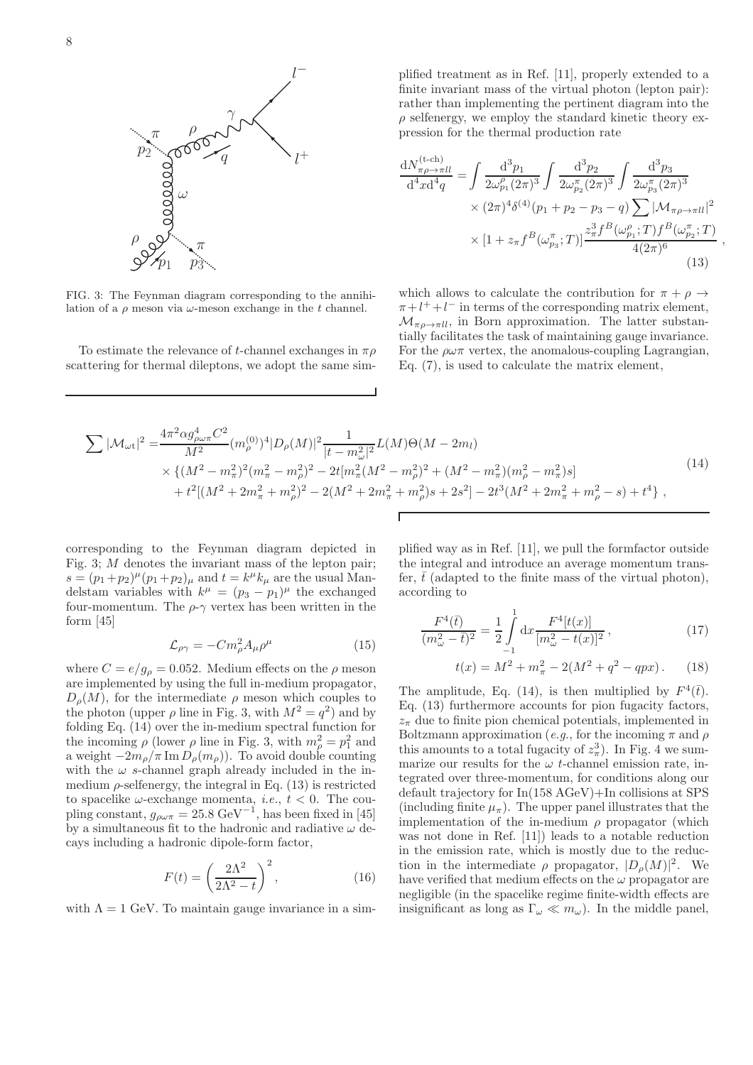

<span id="page-7-0"></span>FIG. 3: The Feynman diagram corresponding to the annihilation of a  $\rho$  meson via  $\omega$ -meson exchange in the t channel.

To estimate the relevance of t-channel exchanges in  $\pi \rho$ scattering for thermal dileptons, we adopt the same sim-

plified treatment as in Ref. [\[11\]](#page-27-9), properly extended to a finite invariant mass of the virtual photon (lepton pair): rather than implementing the pertinent diagram into the  $\rho$  selfenergy, we employ the standard kinetic theory expression for the thermal production rate

<span id="page-7-2"></span>
$$
\frac{dN_{\pi\rho \to \pi ll}^{(\text{t-ch})}}{d^4 x d^4 q} = \int \frac{d^3 p_1}{2 \omega_{p_1}^{\rho} (2\pi)^3} \int \frac{d^3 p_2}{2 \omega_{p_2}^{\pi} (2\pi)^3} \int \frac{d^3 p_3}{2 \omega_{p_3}^{\pi} (2\pi)^3} \times (2\pi)^4 \delta^{(4)}(p_1 + p_2 - p_3 - q) \sum |\mathcal{M}_{\pi\rho \to \pi ll}|^2 \times [1 + z_{\pi} f^B(\omega_{p_3}^{\pi}; T)] \frac{z_{\pi}^3 f^B(\omega_{p_1}^{\rho}; T) f^B(\omega_{p_2}^{\pi}; T)}{4(2\pi)^6} \tag{13}
$$

,

which allows to calculate the contribution for  $\pi + \rho \rightarrow$  $\pi + l^+ + l^-$  in terms of the corresponding matrix element,  $\mathcal{M}_{\pi\rho\to\pi ll}$ , in Born approximation. The latter substantially facilitates the task of maintaining gauge invariance. For the  $\rho\omega\pi$  vertex, the anomalous-coupling Lagrangian, Eq. [\(7\)](#page-5-1), is used to calculate the matrix element,

<span id="page-7-1"></span>
$$
\sum |\mathcal{M}_{\omega t}|^2 = \frac{4\pi^2 \alpha g_{\rho\omega\pi}^4 C^2}{M^2} (m_{\rho}^{(0)})^4 |D_{\rho}(M)|^2 \frac{1}{|t - m_{\omega}^2|^2} L(M) \Theta(M - 2m_l)
$$
  
\$\times \left\{ (M^2 - m\_{\pi}^2)^2 (m\_{\pi}^2 - m\_{\rho}^2)^2 - 2t [m\_{\pi}^2 (M^2 - m\_{\rho}^2)^2 + (M^2 - m\_{\pi}^2)(m\_{\rho}^2 - m\_{\pi}^2)s] + t^2 [(M^2 + 2m\_{\pi}^2 + m\_{\rho}^2)^2 - 2(M^2 + 2m\_{\pi}^2 + m\_{\rho}^2)s + 2s^2] - 2t^3 (M^2 + 2m\_{\pi}^2 + m\_{\rho}^2 - s) + t^4 \right\}, \tag{14}

Г

corresponding to the Feynman diagram depicted in Fig. [3;](#page-7-0) M denotes the invariant mass of the lepton pair;  $s = (p_1+p_2)^{\mu} (p_1+p_2)_{\mu}$  and  $t = k^{\mu} k_{\mu}$  are the usual Mandelstam variables with  $k^{\mu} = (p_3 - p_1)^{\mu}$  the exchanged four-momentum. The  $\rho$ - $\gamma$  vertex has been written in the form [\[45](#page-28-25)]

$$
\mathcal{L}_{\rho\gamma} = -Cm_{\rho}^{2}A_{\mu}\rho^{\mu} \tag{15}
$$

where  $C = e/g_\rho = 0.052$ . Medium effects on the  $\rho$  meson are implemented by using the full in-medium propagator,  $D_{\rho}(M)$ , for the intermediate  $\rho$  meson which couples to the photon (upper  $\rho$  line in Fig. [3,](#page-7-0) with  $M^2 = q^2$ ) and by folding Eq. [\(14\)](#page-7-1) over the in-medium spectral function for the incoming  $\rho$  (lower  $\rho$  line in Fig. [3,](#page-7-0) with  $m_{\rho}^2 = p_1^2$  and a weight  $-2m<sub>o</sub>/\pi$  Im  $D<sub>o</sub>(m<sub>o</sub>)$ . To avoid double counting with the  $\omega$  s-channel graph already included in the inmedium  $\rho$ -selfenergy, the integral in Eq. [\(13\)](#page-7-2) is restricted to spacelike  $\omega$ -exchange momenta, *i.e.*,  $t < 0$ . The coupling constant,  $g_{\rho\omega\pi} = 25.8 \text{ GeV}^{-1}$ , has been fixed in [\[45](#page-28-25)] by a simultaneous fit to the hadronic and radiative  $\omega$  decays including a hadronic dipole-form factor,

$$
F(t) = \left(\frac{2\Lambda^2}{2\Lambda^2 - t}\right)^2,\tag{16}
$$

with  $\Lambda = 1$  GeV. To maintain gauge invariance in a sim-

plified way as in Ref. [\[11](#page-27-9)], we pull the formfactor outside the integral and introduce an average momentum transfer,  $\bar{t}$  (adapted to the finite mass of the virtual photon), according to

$$
\frac{F^4(\bar{t})}{(m_\omega^2 - \bar{t})^2} = \frac{1}{2} \int_{-1}^1 dx \frac{F^4[t(x)]}{[m_\omega^2 - t(x)]^2},\tag{17}
$$

$$
t(x) = M^2 + m_{\pi}^2 - 2(M^2 + q^2 - qpx). \tag{18}
$$

The amplitude, Eq. [\(14\)](#page-7-1), is then multiplied by  $F^4(\bar{t})$ . Eq. [\(13\)](#page-7-2) furthermore accounts for pion fugacity factors,  $z_{\pi}$  due to finite pion chemical potentials, implemented in Boltzmann approximation (e.g., for the incoming  $\pi$  and  $\rho$ this amounts to a total fugacity of  $z_{\pi}^3$ ). In Fig. [4](#page-8-0) we summarize our results for the  $\omega$  t-channel emission rate, integrated over three-momentum, for conditions along our default trajectory for In(158 AGeV)+In collisions at SPS (including finite  $\mu_{\pi}$ ). The upper panel illustrates that the implementation of the in-medium  $\rho$  propagator (which was not done in Ref. [\[11\]](#page-27-9)) leads to a notable reduction in the emission rate, which is mostly due to the reduction in the intermediate  $\rho$  propagator,  $|D_{\rho}(M)|^2$ . We have verified that medium effects on the  $\omega$  propagator are negligible (in the spacelike regime finite-width effects are insignificant as long as  $\Gamma_{\omega} \ll m_{\omega}$ ). In the middle panel,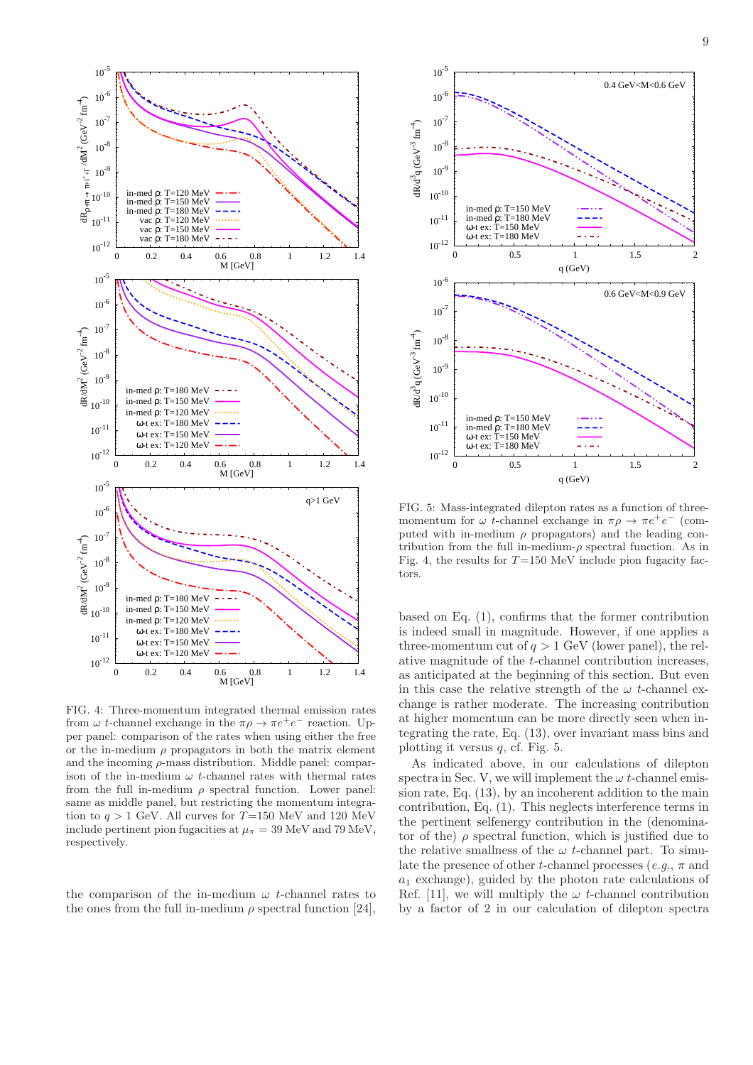

<span id="page-8-0"></span>FIG. 4: Three-momentum integrated thermal emission rates from  $\omega$  t-channel exchange in the  $\pi \rho \to \pi e^+ e^-$  reaction. Upper panel: comparison of the rates when using either the free or the in-medium  $\rho$  propagators in both the matrix element and the incoming  $\rho$ -mass distribution. Middle panel: comparison of the in-medium  $\omega$  t-channel rates with thermal rates from the full in-medium  $\rho$  spectral function. Lower panel: same as middle panel, but restricting the momentum integration to  $q > 1$  GeV. All curves for T=150 MeV and 120 MeV include pertinent pion fugacities at  $\mu_{\pi} = 39 \text{ MeV}$  and 79 MeV, respectively.

the comparison of the in-medium  $\omega$  t-channel rates to the ones from the full in-medium  $\rho$  spectral function [\[24\]](#page-28-4).



<span id="page-8-1"></span>FIG. 5: Mass-integrated dilepton rates as a function of threemomentum for  $\omega$  t-channel exchange in  $\pi \rho \to \pi e^+ e^-$  (computed with in-medium  $\rho$  propagators) and the leading contribution from the full in-medium- $\rho$  spectral function. As in Fig. [4,](#page-8-0) the results for  $T=150$  MeV include pion fugacity factors.

based on Eq. [\(1\)](#page-1-2), confirms that the former contribution is indeed small in magnitude. However, if one applies a three-momentum cut of  $q > 1$  GeV (lower panel), the relative magnitude of the t-channel contribution increases, as anticipated at the beginning of this section. But even in this case the relative strength of the  $\omega$  t-channel exchange is rather moderate. The increasing contribution at higher momentum can be more directly seen when integrating the rate, Eq. [\(13\)](#page-7-2), over invariant mass bins and plotting it versus  $q$ , cf. Fig. [5.](#page-8-1)

As indicated above, in our calculations of dilepton spectra in Sec. [V,](#page-13-0) we will implement the  $\omega t$ -channel emission rate, Eq. [\(13\)](#page-7-2), by an incoherent addition to the main contribution, Eq. [\(1\)](#page-1-2). This neglects interference terms in the pertinent selfenergy contribution in the (denominator of the)  $\rho$  spectral function, which is justified due to the relative smallness of the  $\omega$  t-channel part. To simulate the presence of other t-channel processes (e.g.,  $\pi$  and  $a_1$  exchange), guided by the photon rate calculations of Ref. [\[11\]](#page-27-9), we will multiply the  $\omega$  t-channel contribution by a factor of 2 in our calculation of dilepton spectra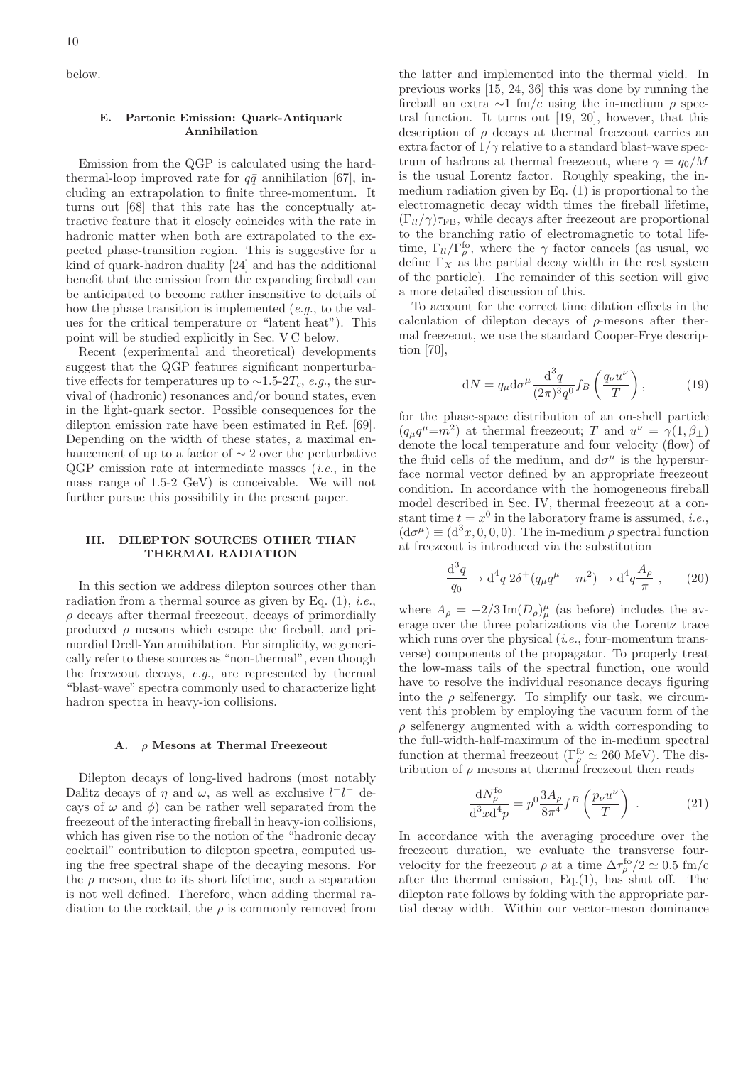below.

## <span id="page-9-0"></span>E. Partonic Emission: Quark-Antiquark Annihilation

Emission from the QGP is calculated using the hardthermal-loop improved rate for  $q\bar{q}$  annihilation [\[67\]](#page-28-47), including an extrapolation to finite three-momentum. It turns out [\[68](#page-28-48)] that this rate has the conceptually attractive feature that it closely coincides with the rate in hadronic matter when both are extrapolated to the expected phase-transition region. This is suggestive for a kind of quark-hadron duality [\[24\]](#page-28-4) and has the additional benefit that the emission from the expanding fireball can be anticipated to become rather insensitive to details of how the phase transition is implemented (e.g., to the values for the critical temperature or "latent heat"). This point will be studied explicitly in Sec. [V C](#page-19-0) below.

Recent (experimental and theoretical) developments suggest that the QGP features significant nonperturbative effects for temperatures up to  $\sim$ 1.5-2 $T_c$ , e.g., the survival of (hadronic) resonances and/or bound states, even in the light-quark sector. Possible consequences for the dilepton emission rate have been estimated in Ref. [\[69\]](#page-28-49). Depending on the width of these states, a maximal enhancement of up to a factor of ∼ 2 over the perturbative  $QGP$  emission rate at intermediate masses *(i.e.,* in the mass range of 1.5-2 GeV) is conceivable. We will not further pursue this possibility in the present paper.

### <span id="page-9-1"></span>III. DILEPTON SOURCES OTHER THAN THERMAL RADIATION

In this section we address dilepton sources other than radiation from a thermal source as given by Eq.  $(1)$ , *i.e.*,  $\rho$  decays after thermal freezeout, decays of primordially produced  $\rho$  mesons which escape the fireball, and primordial Drell-Yan annihilation. For simplicity, we generically refer to these sources as "non-thermal", even though the freezeout decays, e.g., are represented by thermal "blast-wave" spectra commonly used to characterize light hadron spectra in heavy-ion collisions.

#### <span id="page-9-2"></span>A. ρ Mesons at Thermal Freezeout

Dilepton decays of long-lived hadrons (most notably Dalitz decays of  $\eta$  and  $\omega$ , as well as exclusive  $l^+l^-$  decays of  $\omega$  and  $\phi$ ) can be rather well separated from the freezeout of the interacting fireball in heavy-ion collisions, which has given rise to the notion of the "hadronic decay cocktail" contribution to dilepton spectra, computed using the free spectral shape of the decaying mesons. For the  $\rho$  meson, due to its short lifetime, such a separation is not well defined. Therefore, when adding thermal radiation to the cocktail, the  $\rho$  is commonly removed from

the latter and implemented into the thermal yield. In previous works [\[15,](#page-27-13) [24,](#page-28-4) [36\]](#page-28-18) this was done by running the fireball an extra  $\sim$ 1 fm/c using the in-medium  $\rho$  spectral function. It turns out [\[19,](#page-28-6) [20\]](#page-28-7), however, that this description of  $\rho$  decays at thermal freezeout carries an extra factor of  $1/\gamma$  relative to a standard blast-wave spectrum of hadrons at thermal freezeout, where  $\gamma = q_0/M$ is the usual Lorentz factor. Roughly speaking, the inmedium radiation given by Eq. [\(1\)](#page-1-2) is proportional to the electromagnetic decay width times the fireball lifetime,  $(\Gamma_{ll}/\gamma)\tau_{\text{FB}}$ , while decays after freezeout are proportional to the branching ratio of electromagnetic to total lifetime,  $\Gamma_{ll}/\Gamma_{\rho}^{fo}$ , where the  $\gamma$  factor cancels (as usual, we define  $\Gamma_X$  as the partial decay width in the rest system of the particle). The remainder of this section will give a more detailed discussion of this.

To account for the correct time dilation effects in the calculation of dilepton decays of  $\rho$ -mesons after thermal freezeout, we use the standard Cooper-Frye description [\[70](#page-28-50)],

$$
dN = q_{\mu} d\sigma^{\mu} \frac{d^3 q}{(2\pi)^3 q^0} f_B \left(\frac{q_{\nu} u^{\nu}}{T}\right), \qquad (19)
$$

for the phase-space distribution of an on-shell particle  $(q_\mu q^\mu = m^2)$  at thermal freezeout; T and  $u^\nu = \gamma(1, \beta_\perp)$ denote the local temperature and four velocity (flow) of the fluid cells of the medium, and  $d\sigma^{\mu}$  is the hypersurface normal vector defined by an appropriate freezeout condition. In accordance with the homogeneous fireball model described in Sec. [IV,](#page-12-0) thermal freezeout at a constant time  $t = x^0$  in the laboratory frame is assumed, *i.e.*,  $(d\sigma^{\mu}) \equiv (d^{3}x, 0, 0, 0)$ . The in-medium  $\rho$  spectral function at freezeout is introduced via the substitution

$$
\frac{d^3q}{q_0} \to d^4q \ 2\delta^+(q_\mu q^\mu - m^2) \to d^4q \frac{A_\rho}{\pi} \ , \qquad (20)
$$

where  $A_{\rho} = -2/3 \operatorname{Im}(D_{\rho})^{\mu}_{\mu}$  (as before) includes the average over the three polarizations via the Lorentz trace which runs over the physical  $(i.e.,$  four-momentum transverse) components of the propagator. To properly treat the low-mass tails of the spectral function, one would have to resolve the individual resonance decays figuring into the  $\rho$  selfenergy. To simplify our task, we circumvent this problem by employing the vacuum form of the  $\rho$  selfenergy augmented with a width corresponding to the full-width-half-maximum of the in-medium spectral function at thermal freezeout (Γ<sup>fo</sup>  $\simeq 260$  MeV). The distribution of  $\rho$  mesons at thermal freezeout then reads

$$
\frac{\mathrm{d}N_{\rho}^{\text{fo}}}{\mathrm{d}^3 x \mathrm{d}^4 p} = p^0 \frac{3A_{\rho}}{8\pi^4} f^B \left(\frac{p_{\nu} u^{\nu}}{T}\right) . \tag{21}
$$

In accordance with the averaging procedure over the freezeout duration, we evaluate the transverse fourvelocity for the freezeout  $\rho$  at a time  $\Delta \tau_\rho^{\text{fo}}/2 \simeq 0.5 \text{ fm/c}$ after the thermal emission,  $Eq.(1)$  $Eq.(1)$ , has shut off. The dilepton rate follows by folding with the appropriate partial decay width. Within our vector-meson dominance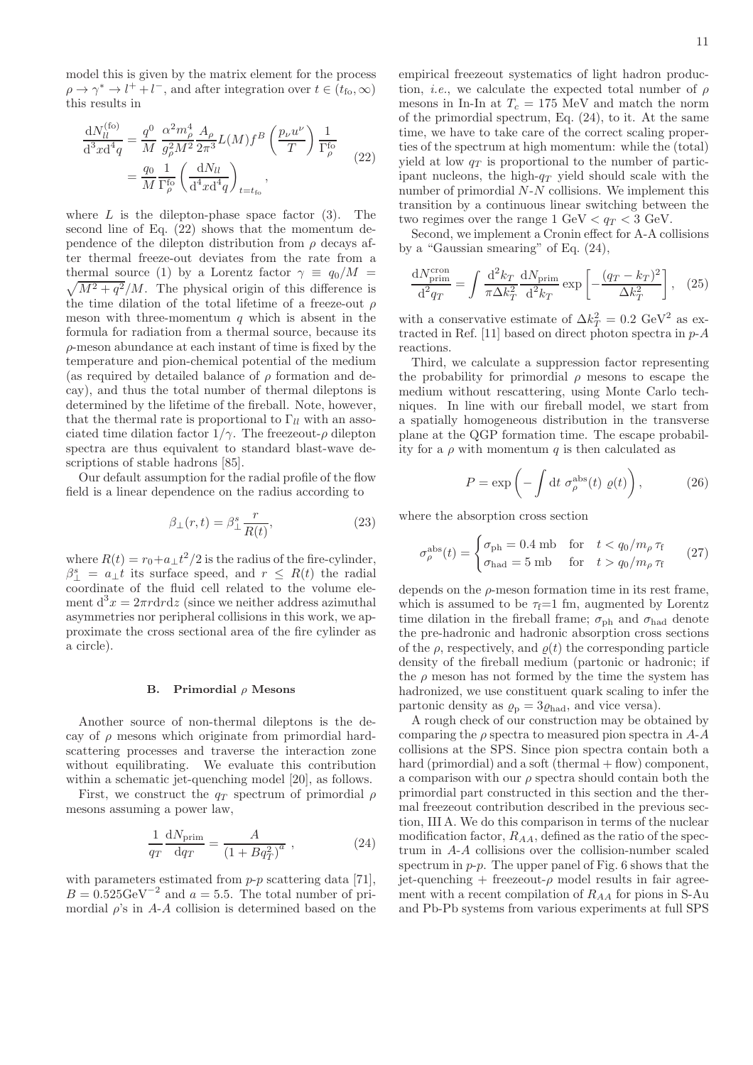model this is given by the matrix element for the process  $\rho \to \gamma^* \to l^+ + l^-$ , and after integration over  $t \in (t_{\text{fo}}, \infty)$ this results in

<span id="page-10-1"></span>
$$
\frac{\mathrm{d}N_{ll}^{(\text{fo})}}{\mathrm{d}^3 x \mathrm{d}^4 q} = \frac{q^0}{M} \frac{\alpha^2 m_\rho^4}{g_\rho^2 M^2} \frac{A_\rho}{2\pi^3} L(M) f^B \left(\frac{p_\nu u^\nu}{T}\right) \frac{1}{\Gamma_\rho^{\text{fo}}} \n= \frac{q_0}{M} \frac{1}{\Gamma_\rho^{\text{fo}}} \left(\frac{\mathrm{d}N_{ll}}{\mathrm{d}^4 x \mathrm{d}^4 q}\right)_{t=t_{\text{fo}}},
$$
\n(22)

where  $L$  is the dilepton-phase space factor [\(3\)](#page-1-3). The second line of Eq. [\(22\)](#page-10-1) shows that the momentum dependence of the dilepton distribution from  $\rho$  decays after thermal freeze-out deviates from the rate from a  $\sqrt{M^2 + q^2}/M$ . The physical origin of this difference is thermal source [\(1\)](#page-1-2) by a Lorentz factor  $\gamma \equiv q_0/M$  = the time dilation of the total lifetime of a freeze-out  $\rho$ meson with three-momentum  $q$  which is absent in the formula for radiation from a thermal source, because its  $\rho$ -meson abundance at each instant of time is fixed by the temperature and pion-chemical potential of the medium (as required by detailed balance of  $\rho$  formation and decay), and thus the total number of thermal dileptons is determined by the lifetime of the fireball. Note, however, that the thermal rate is proportional to  $\Gamma_{ll}$  with an associated time dilation factor  $1/\gamma$ . The freezeout- $\rho$  dilepton spectra are thus equivalent to standard blast-wave descriptions of stable hadrons [\[85\]](#page-28-51).

Our default assumption for the radial profile of the flow field is a linear dependence on the radius according to

<span id="page-10-3"></span>
$$
\beta_{\perp}(r,t) = \beta_{\perp}^{s} \frac{r}{R(t)},\tag{23}
$$

where  $R(t) = r_0 + a_{\perp}t^2/2$  is the radius of the fire-cylinder,  $\beta_{\perp}^s = a_{\perp} t$  its surface speed, and  $r \leq R(t)$  the radial coordinate of the fluid cell related to the volume element  $d^3x = 2\pi r dr dz$  (since we neither address azimuthal asymmetries nor peripheral collisions in this work, we approximate the cross sectional area of the fire cylinder as a circle).

#### <span id="page-10-0"></span>B. Primordial  $\rho$  Mesons

Another source of non-thermal dileptons is the decay of  $\rho$  mesons which originate from primordial hardscattering processes and traverse the interaction zone without equilibrating. We evaluate this contribution within a schematic jet-quenching model [\[20](#page-28-7)], as follows.

First, we construct the  $q_T$  spectrum of primordial  $\rho$ mesons assuming a power law,

<span id="page-10-2"></span>
$$
\frac{1}{qr}\frac{dN_{\text{prim}}}{dq_T} = \frac{A}{\left(1 + Bq_T^2\right)^a} \,,\tag{24}
$$

with parameters estimated from  $p-p$  scattering data [\[71\]](#page-28-52),  $B = 0.525 \text{GeV}^{-2}$  and  $a = 5.5$ . The total number of primordial  $\rho$ 's in A-A collision is determined based on the empirical freezeout systematics of light hadron production, *i.e.*, we calculate the expected total number of  $\rho$ mesons in In-In at  $T_c = 175$  MeV and match the norm of the primordial spectrum, Eq. [\(24\)](#page-10-2), to it. At the same time, we have to take care of the correct scaling properties of the spectrum at high momentum: while the (total) yield at low  $q_T$  is proportional to the number of participant nucleons, the high- $q_T$  yield should scale with the number of primordial N-N collisions. We implement this transition by a continuous linear switching between the two regimes over the range  $1 \text{ GeV} < q_T < 3 \text{ GeV}$ .

Second, we implement a Cronin effect for A-A collisions by a "Gaussian smearing" of Eq. [\(24\)](#page-10-2),

$$
\frac{\mathrm{d}N_{\text{prim}}^{\text{ccon}}}{\mathrm{d}^2 q_T} = \int \frac{\mathrm{d}^2 k_T}{\pi \Delta k_T^2} \frac{\mathrm{d}N_{\text{prim}}}{\mathrm{d}^2 k_T} \exp\left[-\frac{(q_T - k_T)^2}{\Delta k_T^2}\right], \quad (25)
$$

with a conservative estimate of  $\Delta k_T^2 = 0.2 \text{ GeV}^2$  as ex-tracted in Ref. [\[11\]](#page-27-9) based on direct photon spectra in  $p-A$ reactions.

Third, we calculate a suppression factor representing the probability for primordial  $\rho$  mesons to escape the medium without rescattering, using Monte Carlo techniques. In line with our fireball model, we start from a spatially homogeneous distribution in the transverse plane at the QGP formation time. The escape probability for a  $\rho$  with momentum q is then calculated as

$$
P = \exp\left(-\int \mathrm{d}t \; \sigma_{\rho}^{\text{abs}}(t) \; \varrho(t)\right),\tag{26}
$$

where the absorption cross section

$$
\sigma_{\rho}^{\text{abs}}(t) = \begin{cases} \sigma_{\text{ph}} = 0.4 \text{ mb} & \text{for } t < q_0/m_{\rho} \tau_{\text{f}} \\ \sigma_{\text{had}} = 5 \text{ mb} & \text{for } t > q_0/m_{\rho} \tau_{\text{f}} \end{cases} \tag{27}
$$

depends on the  $\rho$ -meson formation time in its rest frame. which is assumed to be  $\tau_f=1$  fm, augmented by Lorentz time dilation in the fireball frame;  $\sigma_{ph}$  and  $\sigma_{had}$  denote the pre-hadronic and hadronic absorption cross sections of the  $\rho$ , respectively, and  $\rho(t)$  the corresponding particle density of the fireball medium (partonic or hadronic; if the  $\rho$  meson has not formed by the time the system has hadronized, we use constituent quark scaling to infer the partonic density as  $\rho_{\rm p} = 3\rho_{\rm had}$ , and vice versa).

A rough check of our construction may be obtained by comparing the  $\rho$  spectra to measured pion spectra in A-A collisions at the SPS. Since pion spectra contain both a hard (primordial) and a soft (thermal  $+$  flow) component, a comparison with our  $\rho$  spectra should contain both the primordial part constructed in this section and the thermal freezeout contribution described in the previous section, [III A.](#page-9-2) We do this comparison in terms of the nuclear modification factor,  $R_{AA}$ , defined as the ratio of the spectrum in A-A collisions over the collision-number scaled spectrum in  $p-p$ . The upper panel of Fig. [6](#page-11-1) shows that the jet-quenching + freezeout- $\rho$  model results in fair agreement with a recent compilation of  $R_{AA}$  for pions in S-Au and Pb-Pb systems from various experiments at full SPS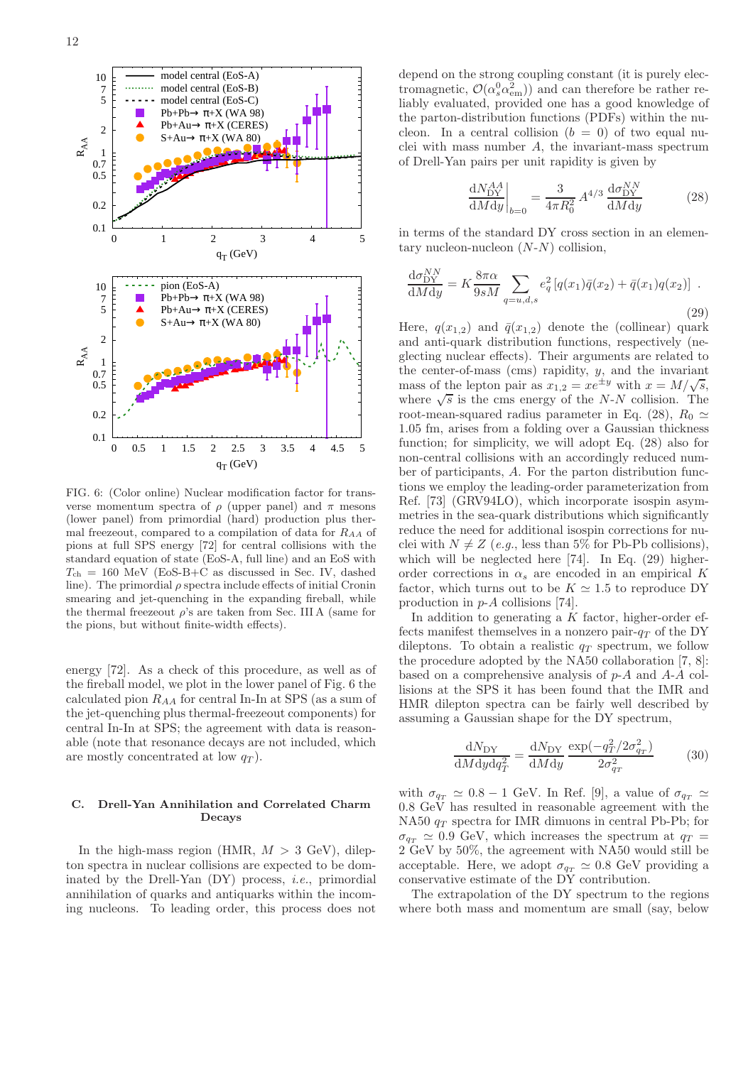

<span id="page-11-1"></span>FIG. 6: (Color online) Nuclear modification factor for transverse momentum spectra of  $\rho$  (upper panel) and  $\pi$  mesons (lower panel) from primordial (hard) production plus thermal freezeout, compared to a compilation of data for  $R_{AA}$  of pions at full SPS energy [\[72](#page-28-53)] for central collisions with the standard equation of state (EoS-A, full line) and an EoS with  $T_{ch} = 160$  MeV (EoS-B+C as discussed in Sec. [IV,](#page-12-0) dashed line). The primordial  $\rho$  spectra include effects of initial Cronin smearing and jet-quenching in the expanding fireball, while the thermal freezeout  $\rho$ 's are taken from Sec. [III A](#page-9-2) (same for the pions, but without finite-width effects).

energy [\[72](#page-28-53)]. As a check of this procedure, as well as of the fireball model, we plot in the lower panel of Fig. [6](#page-11-1) the calculated pion  $R_{AA}$  for central In-In at SPS (as a sum of the jet-quenching plus thermal-freezeout components) for central In-In at SPS; the agreement with data is reasonable (note that resonance decays are not included, which are mostly concentrated at low  $q_T$ ).

#### <span id="page-11-0"></span>C. Drell-Yan Annihilation and Correlated Charm Decays

In the high-mass region (HMR,  $M > 3$  GeV), dilepton spectra in nuclear collisions are expected to be dominated by the Drell-Yan  $(DY)$  process, *i.e.*, primordial annihilation of quarks and antiquarks within the incoming nucleons. To leading order, this process does not

depend on the strong coupling constant (it is purely electromagnetic,  $\mathcal{O}(\alpha_s^0 \alpha_{em}^2)$  and can therefore be rather reliably evaluated, provided one has a good knowledge of the parton-distribution functions (PDFs) within the nucleon. In a central collision  $(b = 0)$  of two equal nuclei with mass number A, the invariant-mass spectrum of Drell-Yan pairs per unit rapidity is given by

<span id="page-11-2"></span>
$$
\left. \frac{\mathrm{d}N_{\rm DY}^{AA}}{\mathrm{d}M \mathrm{d}y} \right|_{b=0} = \frac{3}{4\pi R_0^2} A^{4/3} \frac{\mathrm{d}\sigma_{\rm DY}^{NN}}{\mathrm{d}M \mathrm{d}y} \tag{28}
$$

in terms of the standard DY cross section in an elementary nucleon-nucleon  $(N-N)$  collision,

<span id="page-11-3"></span>
$$
\frac{d\sigma_{DY}^{NN}}{dMdy} = K \frac{8\pi\alpha}{9sM} \sum_{q=u,d,s} e_q^2 [q(x_1)\bar{q}(x_2) + \bar{q}(x_1)q(x_2)] .
$$
\n(29)

Here,  $q(x_{1,2})$  and  $\bar{q}(x_{1,2})$  denote the (collinear) quark and anti-quark distribution functions, respectively (neglecting nuclear effects). Their arguments are related to the center-of-mass (cms) rapidity,  $y$ , and the invariant mass of the lepton pair as  $x_{1,2} = xe^{\pm y}$  with  $x = M/\sqrt{s}$ , where  $\sqrt{s}$  is the cms energy of the N-N collision. The root-mean-squared radius parameter in Eq. [\(28\)](#page-11-2),  $R_0 \simeq$ 1.05 fm, arises from a folding over a Gaussian thickness function; for simplicity, we will adopt Eq. [\(28\)](#page-11-2) also for non-central collisions with an accordingly reduced number of participants, A. For the parton distribution functions we employ the leading-order parameterization from Ref. [\[73\]](#page-28-54) (GRV94LO), which incorporate isospin asymmetries in the sea-quark distributions which significantly reduce the need for additional isospin corrections for nuclei with  $N \neq Z$  (e.g., less than 5% for Pb-Pb collisions), which will be neglected here [\[74\]](#page-28-55). In Eq. [\(29\)](#page-11-3) higherorder corrections in  $\alpha_s$  are encoded in an empirical K factor, which turns out to be  $K \simeq 1.5$  to reproduce DY production in p-A collisions [\[74\]](#page-28-55).

In addition to generating a  $K$  factor, higher-order effects manifest themselves in a nonzero pair- $q_T$  of the DY dileptons. To obtain a realistic  $q_T$  spectrum, we follow the procedure adopted by the NA50 collaboration [\[7,](#page-27-6) [8\]](#page-27-5): based on a comprehensive analysis of p-A and A-A collisions at the SPS it has been found that the IMR and HMR dilepton spectra can be fairly well described by assuming a Gaussian shape for the DY spectrum,

$$
\frac{\mathrm{d}N_{\rm DY}}{\mathrm{d}M \mathrm{d}y \mathrm{d}q_T^2} = \frac{\mathrm{d}N_{\rm DY}}{\mathrm{d}M \mathrm{d}y} \frac{\exp(-q_T^2/2\sigma_{qr}^2)}{2\sigma_{qr}^2} \tag{30}
$$

with  $\sigma_{q_T} \simeq 0.8 - 1$  GeV. In Ref. [\[9\]](#page-27-7), a value of  $\sigma_{q_T} \simeq$  $0.8~\mathrm{GeV}$  has resulted in reasonable agreement with the NA50  $q_T$  spectra for IMR dimuons in central Pb-Pb; for  $\sigma_{q_T} \simeq 0.9$  GeV, which increases the spectrum at  $q_T =$ 2 GeV by 50%, the agreement with NA50 would still be acceptable. Here, we adopt  $\sigma_{q_T} \simeq 0.8$  GeV providing a conservative estimate of the DY contribution.

The extrapolation of the DY spectrum to the regions where both mass and momentum are small (say, below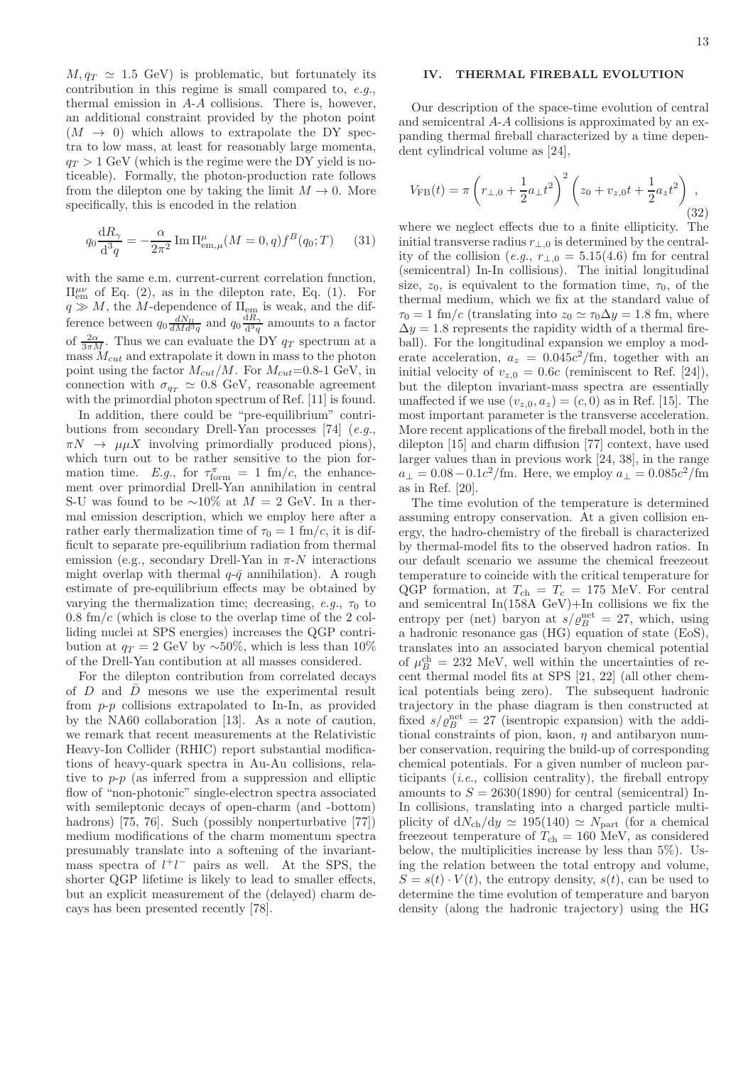$M, q_T \simeq 1.5$  GeV) is problematic, but fortunately its contribution in this regime is small compared to, e.g., thermal emission in A-A collisions. There is, however, an additional constraint provided by the photon point  $(M \rightarrow 0)$  which allows to extrapolate the DY spectra to low mass, at least for reasonably large momenta,  $q_T > 1$  GeV (which is the regime were the DY yield is noticeable). Formally, the photon-production rate follows from the dilepton one by taking the limit  $M \to 0$ . More specifically, this is encoded in the relation

$$
q_0 \frac{\mathrm{d}R_{\gamma}}{\mathrm{d}^3 q} = -\frac{\alpha}{2\pi^2} \operatorname{Im} \Pi^{\mu}_{\text{em},\mu}(M=0,q) f^B(q_0;T) \qquad (31)
$$

with the same e.m. current-current correlation function,  $\Pi_{em}^{\mu\nu}$  of Eq. [\(2\)](#page-1-4), as in the dilepton rate, Eq. [\(1\)](#page-1-2). For  $q \gg M$ , the M-dependence of  $\Pi_{em}$  is weak, and the difference between  $q_0 \frac{dN_{ll}}{dMd^3q}$  and  $q_0 \frac{dR_{\gamma}}{d^3q}$  $rac{d^{2}a}{dt^{3}q}$  amounts to a factor of  $\frac{2\alpha}{3\pi M}$ . Thus we can evaluate the DY  $q_T$  spectrum at a mass  $M_{cut}$  and extrapolate it down in mass to the photon point using the factor  $M_{cut}/M$ . For  $M_{cut}=0.8-1$  GeV, in connection with  $\sigma_{q_T} \simeq 0.8$  GeV, reasonable agreement with the primordial photon spectrum of Ref. [\[11\]](#page-27-9) is found.

In addition, there could be "pre-equilibrium" contri-butions from secondary Drell-Yan processes [\[74](#page-28-55)]  $(e.g.,)$  $\pi N \rightarrow \mu \mu X$  involving primordially produced pions), which turn out to be rather sensitive to the pion formation time. E.g., for  $\tau_{\text{form}}^{\pi} = 1$  fm/c, the enhancement over primordial Drell-Yan annihilation in central S-U was found to be  $\sim 10\%$  at  $M = 2$  GeV. In a thermal emission description, which we employ here after a rather early thermalization time of  $\tau_0 = 1$  fm/c, it is difficult to separate pre-equilibrium radiation from thermal emission (e.g., secondary Drell-Yan in  $\pi$ -N interactions might overlap with thermal  $q-\bar{q}$  annihilation). A rough estimate of pre-equilibrium effects may be obtained by varying the thermalization time; decreasing, e.g.,  $\tau_0$  to  $0.8 \text{ fm}/c$  (which is close to the overlap time of the 2 colliding nuclei at SPS energies) increases the QGP contribution at  $q_T = 2$  GeV by ~50%, which is less than 10% of the Drell-Yan contibution at all masses considered.

For the dilepton contribution from correlated decays of  $D$  and  $\overline{D}$  mesons we use the experimental result from p-p collisions extrapolated to In-In, as provided by the NA60 collaboration [\[13\]](#page-27-11). As a note of caution, we remark that recent measurements at the Relativistic Heavy-Ion Collider (RHIC) report substantial modifications of heavy-quark spectra in Au-Au collisions, relative to  $p-p$  (as inferred from a suppression and elliptic flow of "non-photonic" single-electron spectra associated with semileptonic decays of open-charm (and -bottom) hadrons) [\[75](#page-28-56), [76\]](#page-28-57). Such (possibly nonperturbative [\[77\]](#page-28-58)) medium modifications of the charm momentum spectra presumably translate into a softening of the invariantmass spectra of  $l^+l^-$  pairs as well. At the SPS, the shorter QGP lifetime is likely to lead to smaller effects, but an explicit measurement of the (delayed) charm decays has been presented recently [\[78\]](#page-28-59).

## <span id="page-12-0"></span>IV. THERMAL FIREBALL EVOLUTION

Our description of the space-time evolution of central and semicentral A-A collisions is approximated by an expanding thermal fireball characterized by a time dependent cylindrical volume as [\[24](#page-28-4)],

<span id="page-12-1"></span>
$$
V_{\rm FB}(t) = \pi \left( r_{\perp,0} + \frac{1}{2} a_{\perp} t^2 \right)^2 \left( z_0 + v_{z,0} t + \frac{1}{2} a_z t^2 \right), \tag{32}
$$

where we neglect effects due to a finite ellipticity. The initial transverse radius  $r_{\perp,0}$  is determined by the centrality of the collision (e.g.,  $r_{\perp,0} = 5.15(4.6)$  fm for central (semicentral) In-In collisions). The initial longitudinal size,  $z_0$ , is equivalent to the formation time,  $\tau_0$ , of the thermal medium, which we fix at the standard value of  $\tau_0 = 1$  fm/c (translating into  $z_0 \simeq \tau_0 \Delta y = 1.8$  fm, where  $\Delta y = 1.8$  represents the rapidity width of a thermal fireball). For the longitudinal expansion we employ a moderate acceleration,  $a_z = 0.045c^2$ /fm, together with an initial velocity of  $v_{z,0} = 0.6c$  (reminiscent to Ref. [\[24\]](#page-28-4)), but the dilepton invariant-mass spectra are essentially unaffected if we use  $(v_{z,0}, a_z) = (c, 0)$  as in Ref. [\[15](#page-27-13)]. The most important parameter is the transverse acceleration. More recent applications of the fireball model, both in the dilepton [\[15](#page-27-13)] and charm diffusion [\[77](#page-28-58)] context, have used larger values than in previous work [\[24,](#page-28-4) [38](#page-28-20)], in the range  $a_{\perp} = 0.08 - 0.1c^2$ /fm. Here, we employ  $a_{\perp} = 0.085c^2$ /fm as in Ref. [\[20\]](#page-28-7).

The time evolution of the temperature is determined assuming entropy conservation. At a given collision energy, the hadro-chemistry of the fireball is characterized by thermal-model fits to the observed hadron ratios. In our default scenario we assume the chemical freezeout temperature to coincide with the critical temperature for QGP formation, at  $T_{ch} = T_c = 175$  MeV. For central and semicentral In(158A GeV)+In collisions we fix the entropy per (net) baryon at  $s/\rho_B^{\text{net}} = 27$ , which, using a hadronic resonance gas (HG) equation of state (EoS), translates into an associated baryon chemical potential of  $\mu_B^{\text{ch}} = 232$  MeV, well within the uncertainties of recent thermal model fits at SPS [\[21,](#page-28-1) [22\]](#page-28-2) (all other chemical potentials being zero). The subsequent hadronic trajectory in the phase diagram is then constructed at fixed  $s/\rho_B^{\text{net}} = 27$  (isentropic expansion) with the additional constraints of pion, kaon,  $\eta$  and antibaryon number conservation, requiring the build-up of corresponding chemical potentials. For a given number of nucleon participants  $(i.e.,$  collision centrality), the fireball entropy amounts to  $S = 2630(1890)$  for central (semicentral) In-In collisions, translating into a charged particle multiplicity of  $dN_{ch}/dy \simeq 195(140) \simeq N_{part}$  (for a chemical freezeout temperature of  $T_{ch} = 160$  MeV, as considered below, the multiplicities increase by less than 5%). Using the relation between the total entropy and volume,  $S = s(t) \cdot V(t)$ , the entropy density,  $s(t)$ , can be used to determine the time evolution of temperature and baryon density (along the hadronic trajectory) using the HG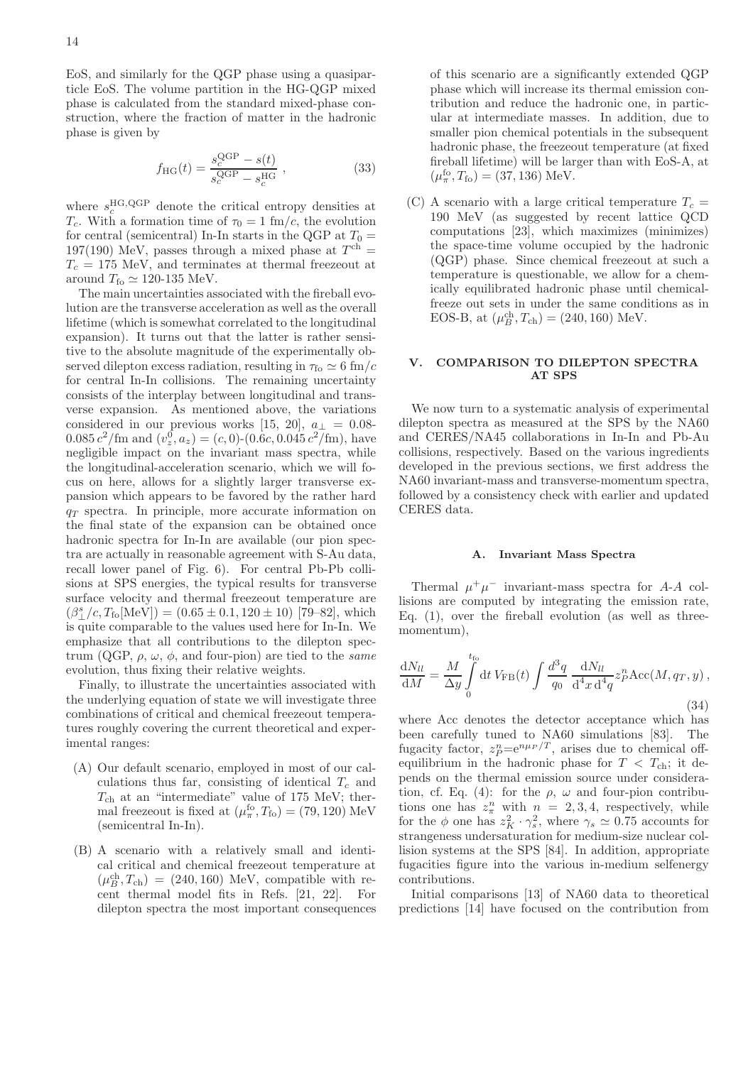EoS, and similarly for the QGP phase using a quasiparticle EoS. The volume partition in the HG-QGP mixed phase is calculated from the standard mixed-phase construction, where the fraction of matter in the hadronic phase is given by

$$
f_{\rm HG}(t) = \frac{s_c^{\rm QGP} - s(t)}{s_c^{\rm QGP} - s_c^{\rm HG}} , \qquad (33)
$$

where  $s_c^{\text{HG},\text{QGP}}$  denote the critical entropy densities at  $T_c$ . With a formation time of  $\tau_0 = 1$  fm/c, the evolution for central (semicentral) In-In starts in the QGP at  $T_0 =$ 197(190) MeV, passes through a mixed phase at  $T<sup>ch</sup>$  =  $T_c = 175$  MeV, and terminates at thermal freezeout at around  $T_{\text{fo}} \simeq 120{\text -}135 \text{ MeV}.$ 

The main uncertainties associated with the fireball evolution are the transverse acceleration as well as the overall lifetime (which is somewhat correlated to the longitudinal expansion). It turns out that the latter is rather sensitive to the absolute magnitude of the experimentally observed dilepton excess radiation, resulting in  $\tau_{\text{fo}} \simeq 6 \text{ fm}/c$ for central In-In collisions. The remaining uncertainty consists of the interplay between longitudinal and transverse expansion. As mentioned above, the variations considered in our previous works [\[15](#page-27-13), [20\]](#page-28-7),  $a_{\perp} = 0.08$ - $0.085 c^2/\text{fm}$  and  $(v_z^0, a_z) = (c, 0)$ - $(0.6c, 0.045 c^2/\text{fm})$ , have negligible impact on the invariant mass spectra, while the longitudinal-acceleration scenario, which we will focus on here, allows for a slightly larger transverse expansion which appears to be favored by the rather hard  $q_T$  spectra. In principle, more accurate information on the final state of the expansion can be obtained once hadronic spectra for In-In are available (our pion spectra are actually in reasonable agreement with S-Au data, recall lower panel of Fig. [6\)](#page-11-1). For central Pb-Pb collisions at SPS energies, the typical results for transverse surface velocity and thermal freezeout temperature are  $(\beta_{\perp}^{s}/c, T_{\text{fo}}[\text{MeV}]) = (0.65 \pm 0.1, 120 \pm 10)$  [\[79](#page-28-60)[–82\]](#page-28-61), which is quite comparable to the values used here for In-In. We emphasize that all contributions to the dilepton spectrum (QGP,  $\rho$ ,  $\omega$ ,  $\phi$ , and four-pion) are tied to the *same* evolution, thus fixing their relative weights.

Finally, to illustrate the uncertainties associated with the underlying equation of state we will investigate three combinations of critical and chemical freezeout temperatures roughly covering the current theoretical and experimental ranges:

- (A) Our default scenario, employed in most of our calculations thus far, consisting of identical  $T_c$  and  $T_{ch}$  at an "intermediate" value of 175 MeV; thermal freezeout is fixed at  $(\mu_{\pi}^{\text{fo}}, T_{\text{fo}}) = (79, 120) \text{ MeV}$ (semicentral In-In).
- (B) A scenario with a relatively small and identical critical and chemical freezeout temperature at  $(\mu_B^{\text{ch}}, T_{\text{ch}}) = (240, 160)$  MeV, compatible with recent thermal model fits in Refs. [\[21](#page-28-1), [22\]](#page-28-2). For dilepton spectra the most important consequences

of this scenario are a significantly extended QGP phase which will increase its thermal emission contribution and reduce the hadronic one, in particular at intermediate masses. In addition, due to smaller pion chemical potentials in the subsequent hadronic phase, the freezeout temperature (at fixed fireball lifetime) will be larger than with EoS-A, at  $(\mu_{\pi}^{\text{fo}}, T_{\text{fo}}) = (37, 136) \text{ MeV}.$ 

(C) A scenario with a large critical temperature  $T_c =$ 190 MeV (as suggested by recent lattice QCD computations [\[23\]](#page-28-3), which maximizes (minimizes) the space-time volume occupied by the hadronic (QGP) phase. Since chemical freezeout at such a temperature is questionable, we allow for a chemically equilibrated hadronic phase until chemicalfreeze out sets in under the same conditions as in EOS-B, at  $(\mu_B^{\text{ch}}, T_{\text{ch}}) = (240, 160) \text{ MeV}.$ 

# <span id="page-13-0"></span>V. COMPARISON TO DILEPTON SPECTRA AT SPS

We now turn to a systematic analysis of experimental dilepton spectra as measured at the SPS by the NA60 and CERES/NA45 collaborations in In-In and Pb-Au collisions, respectively. Based on the various ingredients developed in the previous sections, we first address the NA60 invariant-mass and transverse-momentum spectra, followed by a consistency check with earlier and updated CERES data.

## <span id="page-13-1"></span>A. Invariant Mass Spectra

Thermal  $\mu^+\mu^-$  invariant-mass spectra for A-A collisions are computed by integrating the emission rate, Eq.  $(1)$ , over the fireball evolution (as well as threemomentum),

<span id="page-13-2"></span>
$$
\frac{\mathrm{d}N_{ll}}{\mathrm{d}M} = \frac{M}{\Delta y} \int_{0}^{t_{\text{fo}}} \mathrm{d}t \, V_{\text{FB}}(t) \int \frac{d^3q}{q_0} \, \frac{\mathrm{d}N_{ll}}{\mathrm{d}^4 x \, \mathrm{d}^4 q} z_p^n \mathrm{Acc}(M, q_T, y) \,,\tag{34}
$$

where Acc denotes the detector acceptance which has been carefully tuned to NA60 simulations [\[83](#page-28-62)]. The fugacity factor,  $z_P^n = e^{n\mu_P/T}$ , arises due to chemical offequilibrium in the hadronic phase for  $T < T<sub>ch</sub>$ ; it depends on the thermal emission source under considera-tion, cf. Eq. [\(4\)](#page-2-2): for the  $\rho$ ,  $\omega$  and four-pion contributions one has  $z_{\pi}^n$  with  $n = 2, 3, 4$ , respectively, while for the  $\phi$  one has  $z_K^2 \cdot \gamma_s^2$ , where  $\gamma_s \simeq 0.75$  accounts for strangeness undersaturation for medium-size nuclear collision systems at the SPS [\[84](#page-28-63)]. In addition, appropriate fugacities figure into the various in-medium selfenergy contributions.

Initial comparisons [\[13\]](#page-27-11) of NA60 data to theoretical predictions [\[14](#page-27-12)] have focused on the contribution from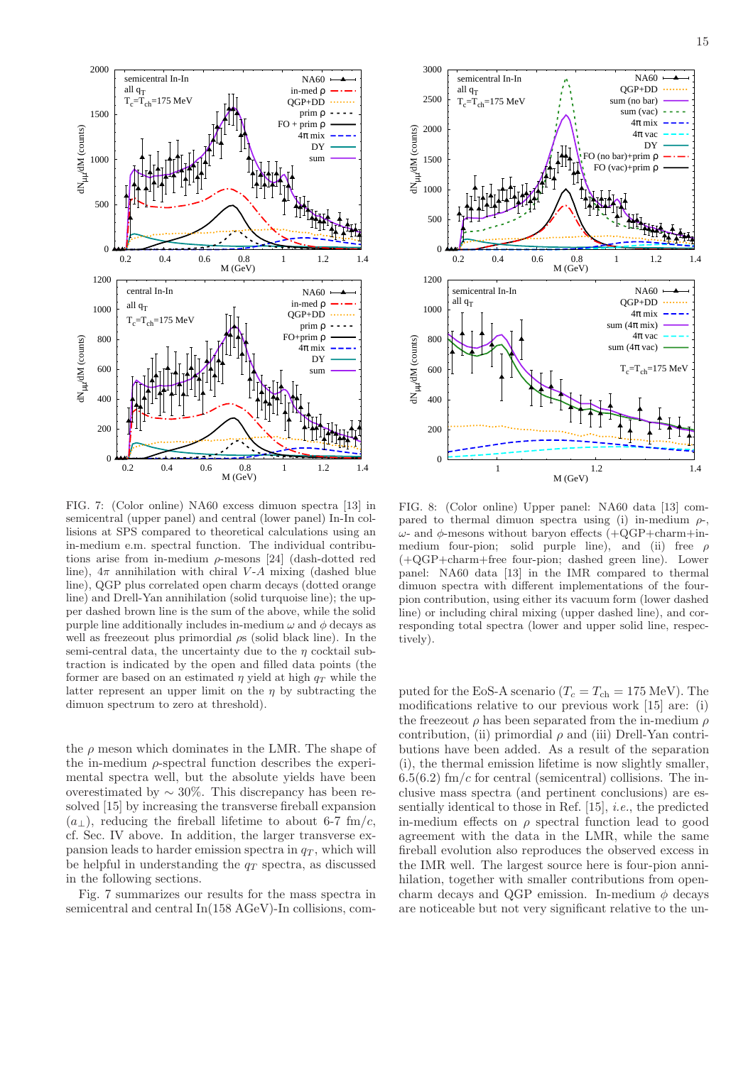

<span id="page-14-0"></span>FIG. 7: (Color online) NA60 excess dimuon spectra [\[13\]](#page-27-11) in semicentral (upper panel) and central (lower panel) In-In collisions at SPS compared to theoretical calculations using an in-medium e.m. spectral function. The individual contributions arise from in-medium  $\rho$ -mesons [\[24\]](#page-28-4) (dash-dotted red line),  $4\pi$  annihilation with chiral V-A mixing (dashed blue line), QGP plus correlated open charm decays (dotted orange line) and Drell-Yan annihilation (solid turquoise line); the upper dashed brown line is the sum of the above, while the solid purple line additionally includes in-medium  $\omega$  and  $\phi$  decays as well as freezeout plus primordial  $\rho s$  (solid black line). In the semi-central data, the uncertainty due to the  $\eta$  cocktail subtraction is indicated by the open and filled data points (the former are based on an estimated  $\eta$  yield at high  $q_T$  while the latter represent an upper limit on the  $\eta$  by subtracting the dimuon spectrum to zero at threshold).

the  $\rho$  meson which dominates in the LMR. The shape of the in-medium  $\rho$ -spectral function describes the experimental spectra well, but the absolute yields have been overestimated by  $\sim 30\%$ . This discrepancy has been resolved [\[15](#page-27-13)] by increasing the transverse fireball expansion  $(a<sub>⊥</sub>)$ , reducing the fireball lifetime to about 6-7 fm/c, cf. Sec. [IV](#page-12-0) above. In addition, the larger transverse expansion leads to harder emission spectra in  $q<sub>T</sub>$ , which will be helpful in understanding the  $q_T$  spectra, as discussed in the following sections.

Fig. [7](#page-14-0) summarizes our results for the mass spectra in semicentral and central In(158 AGeV)-In collisions, com-



<span id="page-14-1"></span>FIG. 8: (Color online) Upper panel: NA60 data [\[13\]](#page-27-11) compared to thermal dimuon spectra using (i) in-medium  $\rho$  $ω$ - and  $φ$ -mesons without baryon effects (+QGP+charm+inmedium four-pion; solid purple line), and (ii) free  $\rho$ (+QGP+charm+free four-pion; dashed green line). Lower panel: NA60 data [\[13\]](#page-27-11) in the IMR compared to thermal dimuon spectra with different implementations of the fourpion contribution, using either its vacuum form (lower dashed line) or including chiral mixing (upper dashed line), and corresponding total spectra (lower and upper solid line, respectively).

puted for the EoS-A scenario ( $T_c = T_{ch} = 175$  MeV). The modifications relative to our previous work [\[15\]](#page-27-13) are: (i) the freezeout  $\rho$  has been separated from the in-medium  $\rho$ contribution, (ii) primordial  $\rho$  and (iii) Drell-Yan contributions have been added. As a result of the separation (i), the thermal emission lifetime is now slightly smaller,  $6.5(6.2)$  fm/c for central (semicentral) collisions. The inclusive mass spectra (and pertinent conclusions) are essentially identical to those in Ref. [\[15](#page-27-13)], i.e., the predicted in-medium effects on  $\rho$  spectral function lead to good agreement with the data in the LMR, while the same fireball evolution also reproduces the observed excess in the IMR well. The largest source here is four-pion annihilation, together with smaller contributions from opencharm decays and OGP emission. In-medium  $\phi$  decays are noticeable but not very significant relative to the un-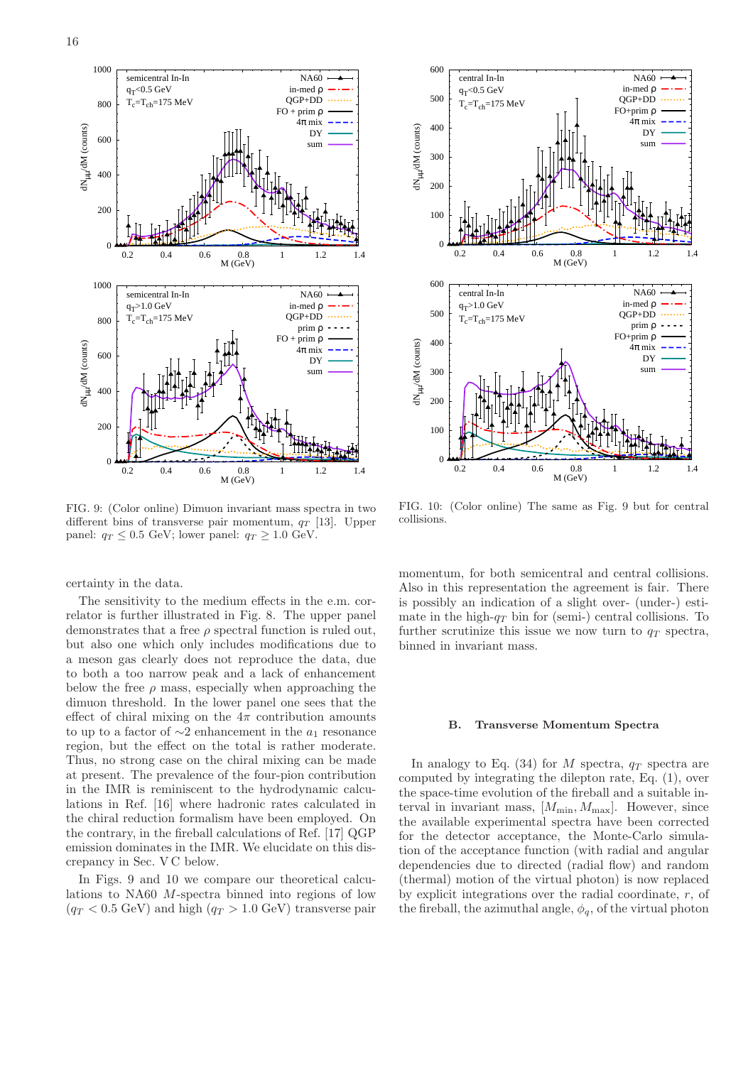

<span id="page-15-1"></span>FIG. 9: (Color online) Dimuon invariant mass spectra in two different bins of transverse pair momentum,  $q_T$  [\[13](#page-27-11)]. Upper panel:  $q_T \leq 0.5$  GeV; lower panel:  $q_T \geq 1.0$  GeV.

certainty in the data.

The sensitivity to the medium effects in the e.m. correlator is further illustrated in Fig. [8.](#page-14-1) The upper panel demonstrates that a free  $\rho$  spectral function is ruled out, but also one which only includes modifications due to a meson gas clearly does not reproduce the data, due to both a too narrow peak and a lack of enhancement below the free  $\rho$  mass, especially when approaching the dimuon threshold. In the lower panel one sees that the effect of chiral mixing on the  $4\pi$  contribution amounts to up to a factor of  $\sim$ 2 enhancement in the  $a_1$  resonance region, but the effect on the total is rather moderate. Thus, no strong case on the chiral mixing can be made at present. The prevalence of the four-pion contribution in the IMR is reminiscent to the hydrodynamic calculations in Ref. [\[16](#page-27-14)] where hadronic rates calculated in the chiral reduction formalism have been employed. On the contrary, in the fireball calculations of Ref. [\[17](#page-27-15)] QGP emission dominates in the IMR. We elucidate on this discrepancy in Sec. [V C](#page-19-0) below.

In Figs. [9](#page-15-1) and [10](#page-15-2) we compare our theoretical calculations to NA60 M-spectra binned into regions of low  $(q_T < 0.5 \text{ GeV})$  and high  $(q_T > 1.0 \text{ GeV})$  transverse pair



<span id="page-15-2"></span>FIG. 10: (Color online) The same as Fig. [9](#page-15-1) but for central collisions.

momentum, for both semicentral and central collisions. Also in this representation the agreement is fair. There is possibly an indication of a slight over- (under-) estimate in the high- $q_T$  bin for (semi-) central collisions. To further scrutinize this issue we now turn to  $q_T$  spectra, binned in invariant mass.

#### <span id="page-15-0"></span>B. Transverse Momentum Spectra

In analogy to Eq.  $(34)$  for M spectra,  $q_T$  spectra are computed by integrating the dilepton rate, Eq. [\(1\)](#page-1-2), over the space-time evolution of the fireball and a suitable interval in invariant mass,  $[M_{\min}, M_{\max}]$ . However, since the available experimental spectra have been corrected for the detector acceptance, the Monte-Carlo simulation of the acceptance function (with radial and angular dependencies due to directed (radial flow) and random (thermal) motion of the virtual photon) is now replaced by explicit integrations over the radial coordinate, r, of the fireball, the azimuthal angle,  $\phi_q$ , of the virtual photon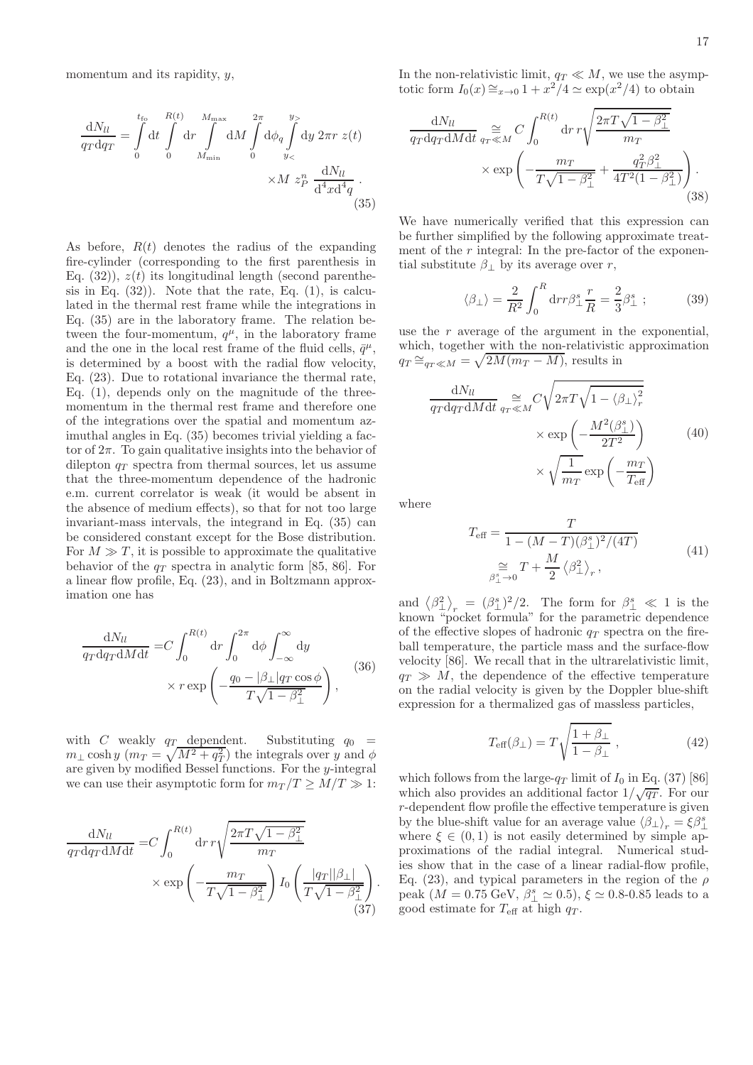<span id="page-16-0"></span>
$$
\frac{dN_{ll}}{q_T dq_T} = \int\limits_{0}^{t_{\text{fo}}} dt \int\limits_{0}^{R(t)} dr \int\limits_{M_{\text{min}}}^{M_{\text{max}}} dM \int\limits_{0}^{2\pi} d\phi_q \int\limits_{y_<}^{y>}
$$
\n
$$
\times M z_P^n \frac{dN_{ll}}{d^4 x d^4 q} \tag{35}
$$

As before,  $R(t)$  denotes the radius of the expanding fire-cylinder (corresponding to the first parenthesis in Eq.  $(32)$ ,  $z(t)$  its longitudinal length (second parenthesis in Eq.  $(32)$ ). Note that the rate, Eq.  $(1)$ , is calculated in the thermal rest frame while the integrations in Eq. [\(35\)](#page-16-0) are in the laboratory frame. The relation between the four-momentum,  $q^{\mu}$ , in the laboratory frame and the one in the local rest frame of the fluid cells,  $\bar{q}^{\mu}$ , is determined by a boost with the radial flow velocity, Eq. [\(23\)](#page-10-3). Due to rotational invariance the thermal rate, Eq. [\(1\)](#page-1-2), depends only on the magnitude of the threemomentum in the thermal rest frame and therefore one of the integrations over the spatial and momentum azimuthal angles in Eq. [\(35\)](#page-16-0) becomes trivial yielding a factor of  $2\pi$ . To gain qualitative insights into the behavior of dilepton  $q_T$  spectra from thermal sources, let us assume that the three-momentum dependence of the hadronic e.m. current correlator is weak (it would be absent in the absence of medium effects), so that for not too large invariant-mass intervals, the integrand in Eq. [\(35\)](#page-16-0) can be considered constant except for the Bose distribution. For  $M \gg T$ , it is possible to approximate the qualitative behavior of the  $q_T$  spectra in analytic form [\[85](#page-28-51), [86\]](#page-28-64). For a linear flow profile, Eq. [\(23\)](#page-10-3), and in Boltzmann approximation one has

$$
\frac{dN_{ll}}{q_T dq_T dM dt} = C \int_0^{R(t)} dr \int_0^{2\pi} d\phi \int_{-\infty}^{\infty} dy
$$

$$
\times r \exp\left(-\frac{q_0 - |\beta_\perp| q_T \cos \phi}{T \sqrt{1 - \beta_\perp^2}}\right),
$$
(36)

with C weakly  $q_T$  dependent. Substituting  $q_0$  =  $m_{\perp} \cosh y \ (m_T = \sqrt{M^2 + q_T^2})$  the integrals over y and  $\phi$ are given by modified Bessel functions. For the y-integral we can use their asymptotic form for  $m_T/T \geq M/T \gg 1$ :

<span id="page-16-1"></span>
$$
\frac{dN_{ll}}{q_T dq_T dM dt} = C \int_0^{R(t)} dr \, r \sqrt{\frac{2\pi T \sqrt{1 - \beta_\perp^2}}{m_T}} \times \exp\left(-\frac{m_T}{T \sqrt{1 - \beta_\perp^2}}\right) I_0 \left(\frac{|q_T||\beta_\perp|}{T \sqrt{1 - \beta_\perp^2}}\right). \tag{37}
$$

17

$$
\frac{dN_{ll}}{q_T dq_T dM dt} \underset{qr \ll M}{\approx} C \int_0^{R(t)} dr \, r \sqrt{\frac{2\pi T \sqrt{1 - \beta_\perp^2}}{m_T}}
$$
\n
$$
\times \exp\left(-\frac{m_T}{T \sqrt{1 - \beta_\perp^2}} + \frac{q_T^2 \beta_\perp^2}{4T^2(1 - \beta_\perp^2)}\right). \tag{38}
$$

totic form  $I_0(x) \cong_{x\to 0} 1 + x^2/4 \simeq \exp(x^2/4)$  to obtain

We have numerically verified that this expression can be further simplified by the following approximate treatment of the  $r$  integral: In the pre-factor of the exponential substitute  $\beta_{\perp}$  by its average over r,

$$
\langle \beta_{\perp} \rangle = \frac{2}{R^2} \int_0^R dr r \beta_{\perp}^s \frac{r}{R} = \frac{2}{3} \beta_{\perp}^s ; \qquad (39)
$$

use the  $r$  average of the argument in the exponential, which, together with the non-relativistic approximation  $q_T \approx_{q_T \ll M} = \sqrt{2M(m_T - M)}$ , results in

<span id="page-16-2"></span>
$$
\frac{dN_{ll}}{qrdq_T dM dt} \underset{q_T \ll M}{\approx} C \sqrt{2\pi T \sqrt{1 - \langle \beta_{\perp} \rangle_r^2}} \times \exp\left(-\frac{M^2(\beta_{\perp}^s)}{2T^2}\right) \qquad (40)
$$
\n
$$
\times \sqrt{\frac{1}{m_T}} \exp\left(-\frac{m_T}{T_{\text{eff}}}\right)
$$

<span id="page-16-3"></span>where

$$
T_{\text{eff}} = \frac{T}{1 - (M - T)(\beta_{\perp}^s)^2 / (4T)}
$$
  

$$
\underset{\beta_{\perp}^s \to 0}{\approx} T + \frac{M}{2} \langle \beta_{\perp}^2 \rangle_r, \qquad (41)
$$

and  $\langle \beta_{\perp}^2 \rangle_r = (\beta_{\perp}^s)^2/2$ . The form for  $\beta_{\perp}^s \ll 1$  is the known "pocket formula" for the parametric dependence of the effective slopes of hadronic  $q_T$  spectra on the fireball temperature, the particle mass and the surface-flow velocity [\[86](#page-28-64)]. We recall that in the ultrarelativistic limit,  $q_T \gg M$ , the dependence of the effective temperature on the radial velocity is given by the Doppler blue-shift expression for a thermalized gas of massless particles,

$$
T_{\text{eff}}(\beta_{\perp}) = T \sqrt{\frac{1 + \beta_{\perp}}{1 - \beta_{\perp}}}, \qquad (42)
$$

which follows from the large- $q_T$  limit of  $I_0$  in Eq. [\(37\)](#page-16-1) [\[86\]](#page-28-64) which also provides an additional factor  $1/\sqrt{q_T}$ . For our r-dependent flow profile the effective temperature is given by the blue-shift value for an average value  $\langle \beta_{\perp} \rangle_r = \xi \beta_{\perp}^s$ where  $\xi \in (0,1)$  is not easily determined by simple approximations of the radial integral. Numerical studies show that in the case of a linear radial-flow profile, Eq. [\(23\)](#page-10-3), and typical parameters in the region of the  $\rho$ peak  $(M = 0.75 \text{ GeV}, \beta_{\perp}^s \simeq 0.5), \xi \simeq 0.8{\text -}0.85 \text{ leads to a}$ good estimate for  $T_{\text{eff}}$  at high  $q_T$ .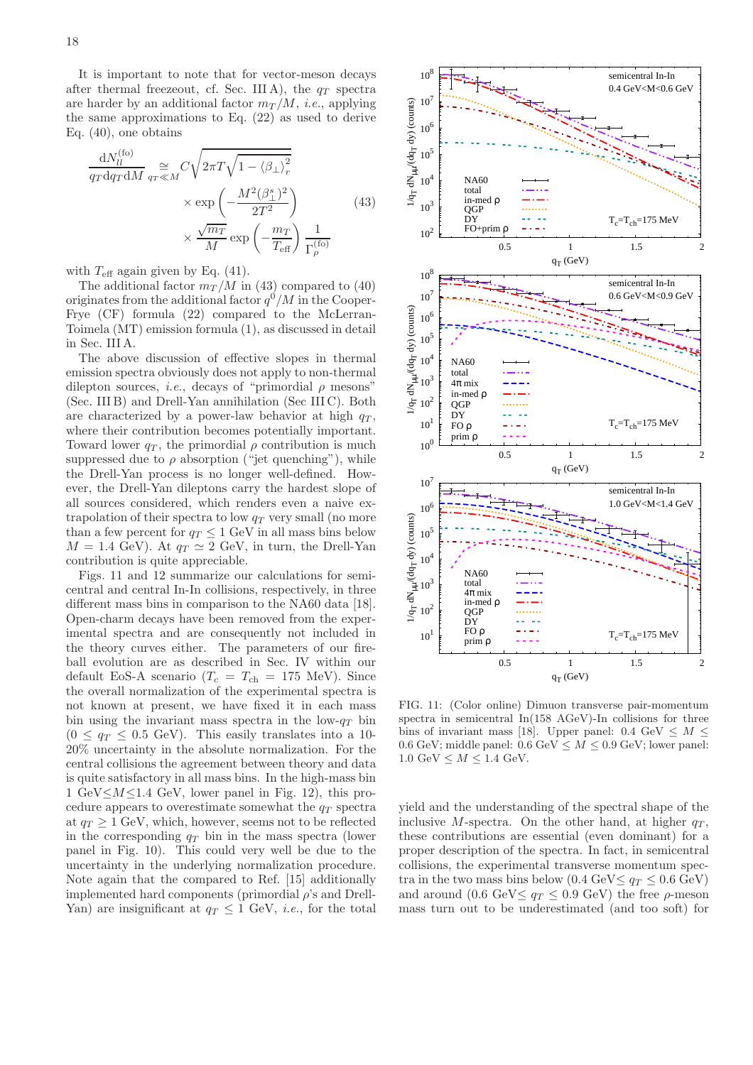It is important to note that for vector-meson decays after thermal freezeout, cf. Sec. [III A\)](#page-9-2), the  $q_T$  spectra are harder by an additional factor  $m_T/M$ , *i.e.*, applying the same approximations to Eq. [\(22\)](#page-10-1) as used to derive Eq. [\(40\)](#page-16-2), one obtains

<span id="page-17-0"></span>
$$
\frac{dN_{ll}^{(\text{fo})}}{q_T dq_T dM} \underset{q_T \ll M}{\approx} C \sqrt{2\pi T \sqrt{1 - \langle \beta_{\perp} \rangle_r^2}} \times \exp\left(-\frac{M^2 (\beta_{\perp}^s)^2}{2T^2}\right) \times \frac{\sqrt{m_T}}{M} \exp\left(-\frac{m_T}{T_{\text{eff}}}\right) \frac{1}{\Gamma_{\rho}^{(\text{fo})}}
$$
\n(43)

with  $T_{\text{eff}}$  again given by Eq. [\(41\)](#page-16-3).

The additional factor  $m_T/M$  in [\(43\)](#page-17-0) compared to [\(40\)](#page-16-2) originates from the additional factor  $q^0/M$  in the Cooper-Frye (CF) formula [\(22\)](#page-10-1) compared to the McLerran-Toimela (MT) emission formula [\(1\)](#page-1-2), as discussed in detail in Sec. [III A.](#page-9-2)

The above discussion of effective slopes in thermal emission spectra obviously does not apply to non-thermal dilepton sources, *i.e.*, decays of "primordial  $\rho$  mesons" (Sec. [III B\)](#page-10-0) and Drell-Yan annihilation (Sec [III C\)](#page-11-0). Both are characterized by a power-law behavior at high  $q_T$ , where their contribution becomes potentially important. Toward lower  $q_T$ , the primordial  $\rho$  contribution is much suppressed due to  $\rho$  absorption ("jet quenching"), while the Drell-Yan process is no longer well-defined. However, the Drell-Yan dileptons carry the hardest slope of all sources considered, which renders even a naive extrapolation of their spectra to low  $q_T$  very small (no more than a few percent for  $q_T \leq 1$  GeV in all mass bins below  $M = 1.4$  GeV). At  $q_T \simeq 2$  GeV, in turn, the Drell-Yan contribution is quite appreciable.

Figs. [11](#page-17-1) and [12](#page-18-0) summarize our calculations for semicentral and central In-In collisions, respectively, in three different mass bins in comparison to the NA60 data [\[18\]](#page-28-0). Open-charm decays have been removed from the experimental spectra and are consequently not included in the theory curves either. The parameters of our fireball evolution are as described in Sec. [IV](#page-12-0) within our default EoS-A scenario ( $T_c = T_{ch} = 175$  MeV). Since the overall normalization of the experimental spectra is not known at present, we have fixed it in each mass bin using the invariant mass spectra in the low- $q_T$  bin  $(0 \leq q_T \leq 0.5$  GeV). This easily translates into a 10-20% uncertainty in the absolute normalization. For the central collisions the agreement between theory and data is quite satisfactory in all mass bins. In the high-mass bin 1 GeV $\leq M \leq 1.4$  GeV, lower panel in Fig. [12\)](#page-18-0), this procedure appears to overestimate somewhat the  $q_T$  spectra at  $q_T \geq 1$  GeV, which, however, seems not to be reflected in the corresponding  $q_T$  bin in the mass spectra (lower panel in Fig. [10\)](#page-15-2). This could very well be due to the uncertainty in the underlying normalization procedure. Note again that the compared to Ref. [\[15\]](#page-27-13) additionally implemented hard components (primordial  $\rho$ 's and Drell-Yan) are insignificant at  $q_T < 1$  GeV, *i.e.*, for the total



<span id="page-17-1"></span>FIG. 11: (Color online) Dimuon transverse pair-momentum spectra in semicentral In(158 AGeV)-In collisions for three bins of invariant mass [\[18\]](#page-28-0). Upper panel:  $0.4 \text{ GeV} \leq M \leq$ 0.6 GeV; middle panel:  $0.6 \text{ GeV} \leq M \leq 0.9 \text{ GeV}$ ; lower panel: 1.0 GeV  $\leq M \leq 1.4$  GeV.

yield and the understanding of the spectral shape of the inclusive M-spectra. On the other hand, at higher  $q_T$ , these contributions are essential (even dominant) for a proper description of the spectra. In fact, in semicentral collisions, the experimental transverse momentum spectra in the two mass bins below (0.4 GeV $\leq q_T \leq 0.6$  GeV) and around  $(0.6 \text{ GeV} \leq a_T \leq 0.9 \text{ GeV})$  the free  $\rho$ -meson mass turn out to be underestimated (and too soft) for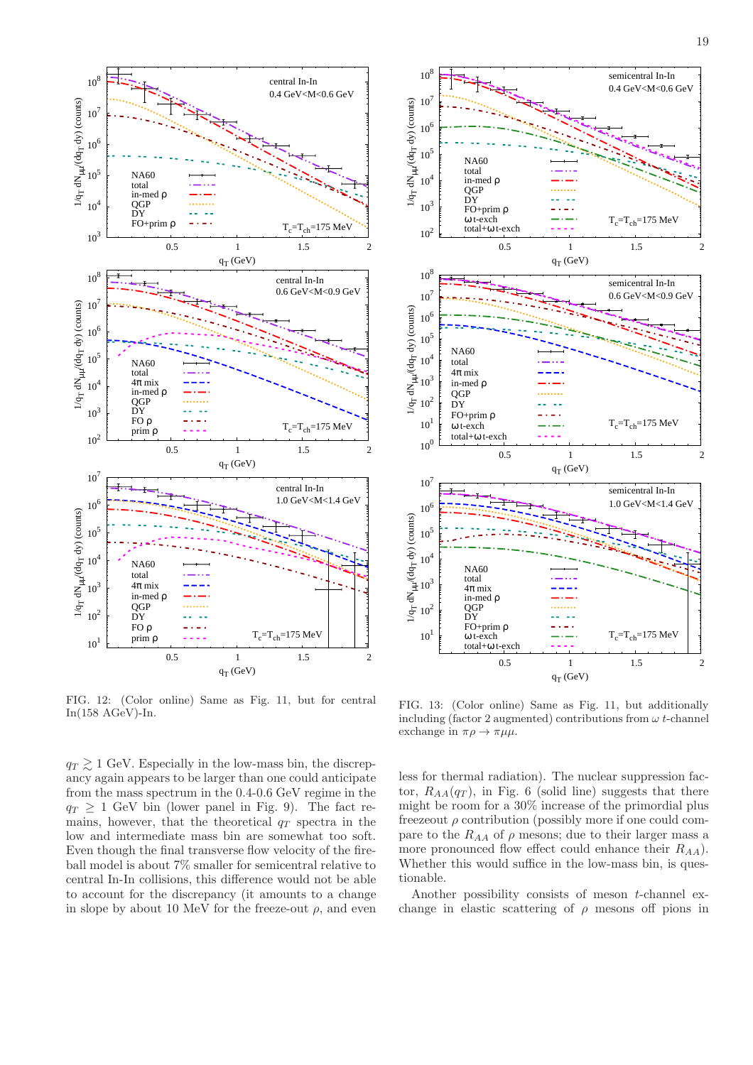

<span id="page-18-0"></span>FIG. 12: (Color online) Same as Fig. [11,](#page-17-1) but for central In(158 AGeV)-In.

 $q_T \gtrsim 1$  GeV. Especially in the low-mass bin, the discrepancy again appears to be larger than one could anticipate from the mass spectrum in the 0.4-0.6 GeV regime in the  $q_T \geq 1$  GeV bin (lower panel in Fig. [9\)](#page-15-1). The fact remains, however, that the theoretical  $q_T$  spectra in the low and intermediate mass bin are somewhat too soft. Even though the final transverse flow velocity of the fireball model is about 7% smaller for semicentral relative to central In-In collisions, this difference would not be able to account for the discrepancy (it amounts to a change in slope by about 10 MeV for the freeze-out  $\rho$ , and even



<span id="page-18-1"></span>FIG. 13: (Color online) Same as Fig. [11,](#page-17-1) but additionally including (factor 2 augmented) contributions from  $\omega t$ -channel exchange in  $\pi \rho \rightarrow \pi \mu \mu$ .

less for thermal radiation). The nuclear suppression factor,  $R_{AA}(q_T)$ , in Fig. [6](#page-11-1) (solid line) suggests that there might be room for a 30% increase of the primordial plus freezeout  $\rho$  contribution (possibly more if one could compare to the  $R_{AA}$  of  $\rho$  mesons; due to their larger mass a more pronounced flow effect could enhance their  $R_{AA}$ ). Whether this would suffice in the low-mass bin, is questionable.

Another possibility consists of meson t-channel exchange in elastic scattering of  $\rho$  mesons off pions in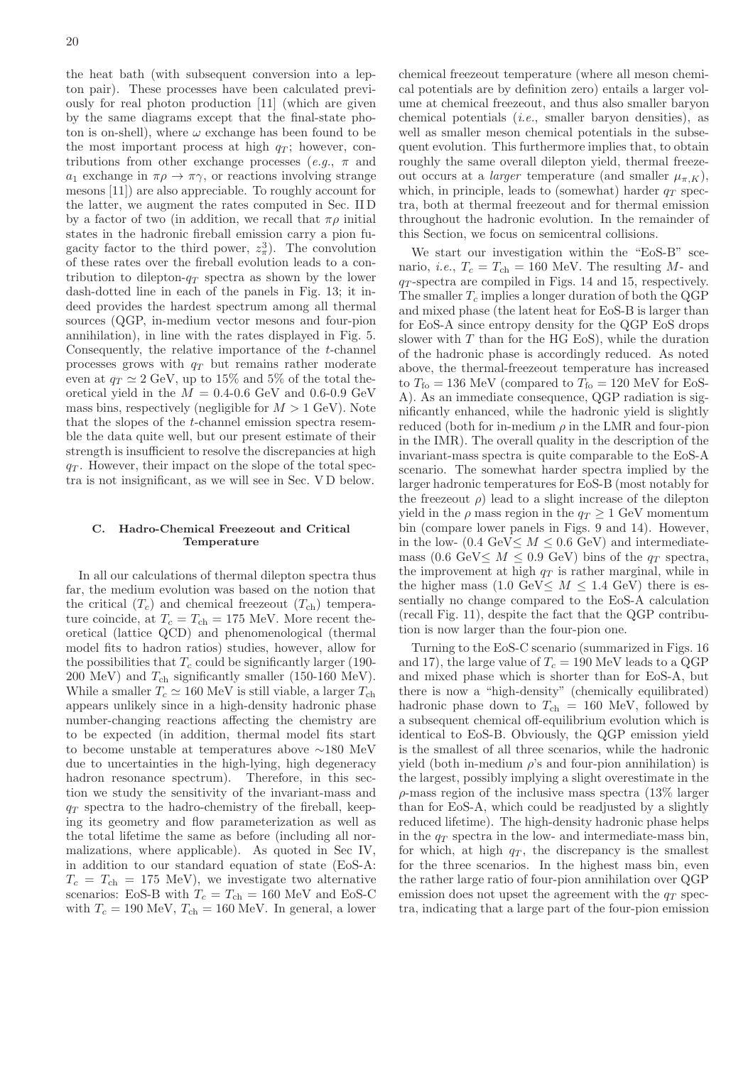the heat bath (with subsequent conversion into a lepton pair). These processes have been calculated previously for real photon production [\[11\]](#page-27-9) (which are given by the same diagrams except that the final-state photon is on-shell), where  $\omega$  exchange has been found to be the most important process at high  $q_T$ ; however, contributions from other exchange processes (e.g.,  $\pi$  and  $a_1$  exchange in  $\pi \rho \to \pi \gamma$ , or reactions involving strange mesons [\[11\]](#page-27-9)) are also appreciable. To roughly account for the latter, we augment the rates computed in Sec. [II D](#page-6-1) by a factor of two (in addition, we recall that  $\pi \rho$  initial states in the hadronic fireball emission carry a pion fugacity factor to the third power,  $z_{\pi}^3$ ). The convolution of these rates over the fireball evolution leads to a contribution to dilepton- $q_T$  spectra as shown by the lower dash-dotted line in each of the panels in Fig. [13;](#page-18-1) it indeed provides the hardest spectrum among all thermal sources (QGP, in-medium vector mesons and four-pion annihilation), in line with the rates displayed in Fig. [5.](#page-8-1) Consequently, the relative importance of the t-channel processes grows with  $q_T$  but remains rather moderate even at  $q_T \simeq 2$  GeV, up to 15% and 5% of the total theoretical yield in the  $M = 0.4$ -0.6 GeV and 0.6-0.9 GeV mass bins, respectively (negligible for  $M > 1$  GeV). Note that the slopes of the t-channel emission spectra resemble the data quite well, but our present estimate of their strength is insufficient to resolve the discrepancies at high  $q_T$ . However, their impact on the slope of the total spectra is not insignificant, as we will see in Sec. [V D](#page-22-0) below.

#### <span id="page-19-0"></span>C. Hadro-Chemical Freezeout and Critical Temperature

In all our calculations of thermal dilepton spectra thus far, the medium evolution was based on the notion that the critical  $(T_c)$  and chemical freezeout  $(T_{ch})$  temperature coincide, at  $T_c = T_{ch} = 175$  MeV. More recent theoretical (lattice QCD) and phenomenological (thermal model fits to hadron ratios) studies, however, allow for the possibilities that  $T_c$  could be significantly larger (190-200 MeV) and  $T_{ch}$  significantly smaller (150-160 MeV). While a smaller  $T_c \simeq 160$  MeV is still viable, a larger  $T_{ch}$ appears unlikely since in a high-density hadronic phase number-changing reactions affecting the chemistry are to be expected (in addition, thermal model fits start to become unstable at temperatures above ∼180 MeV due to uncertainties in the high-lying, high degeneracy hadron resonance spectrum). Therefore, in this section we study the sensitivity of the invariant-mass and  $q_T$  spectra to the hadro-chemistry of the fireball, keeping its geometry and flow parameterization as well as the total lifetime the same as before (including all normalizations, where applicable). As quoted in Sec [IV,](#page-12-0) in addition to our standard equation of state (EoS-A:  $T_c = T_{ch} = 175$  MeV), we investigate two alternative scenarios: EoS-B with  $T_c = T_{ch} = 160$  MeV and EoS-C with  $T_c = 190$  MeV,  $T_{ch} = 160$  MeV. In general, a lower chemical freezeout temperature (where all meson chemical potentials are by definition zero) entails a larger volume at chemical freezeout, and thus also smaller baryon chemical potentials (i.e., smaller baryon densities), as well as smaller meson chemical potentials in the subsequent evolution. This furthermore implies that, to obtain roughly the same overall dilepton yield, thermal freezeout occurs at a *larger* temperature (and smaller  $\mu_{\pi,K}$ ), which, in principle, leads to (somewhat) harder  $q_T$  spectra, both at thermal freezeout and for thermal emission throughout the hadronic evolution. In the remainder of this Section, we focus on semicentral collisions.

We start our investigation within the "EoS-B" scenario, *i.e.*,  $T_c = T_{ch} = 160$  MeV. The resulting M- and  $q_T$ -spectra are compiled in Figs. [14](#page-20-0) and [15,](#page-20-1) respectively. The smaller  $T_c$  implies a longer duration of both the QGP and mixed phase (the latent heat for EoS-B is larger than for EoS-A since entropy density for the QGP EoS drops slower with  $T$  than for the HG EoS), while the duration of the hadronic phase is accordingly reduced. As noted above, the thermal-freezeout temperature has increased to  $T_{\text{fo}} = 136$  MeV (compared to  $T_{\text{fo}} = 120$  MeV for EoS-A). As an immediate consequence, QGP radiation is significantly enhanced, while the hadronic yield is slightly reduced (both for in-medium  $\rho$  in the LMR and four-pion in the IMR). The overall quality in the description of the invariant-mass spectra is quite comparable to the EoS-A scenario. The somewhat harder spectra implied by the larger hadronic temperatures for EoS-B (most notably for the freezeout  $\rho$ ) lead to a slight increase of the dilepton yield in the  $\rho$  mass region in the  $q_T \geq 1$  GeV momentum bin (compare lower panels in Figs. [9](#page-15-1) and [14\)](#page-20-0). However, in the low- (0.4 GeV $\leq M \leq 0.6$  GeV) and intermediatemass (0.6 GeV $\leq M \leq 0.9$  GeV) bins of the  $q_T$  spectra, the improvement at high  $q_T$  is rather marginal, while in the higher mass  $(1.0 \text{ GeV} \leq M \leq 1.4 \text{ GeV})$  there is essentially no change compared to the EoS-A calculation (recall Fig. [11\)](#page-17-1), despite the fact that the QGP contribution is now larger than the four-pion one.

Turning to the EoS-C scenario (summarized in Figs. [16](#page-21-0) and [17\)](#page-21-1), the large value of  $T_c = 190$  MeV leads to a QGP and mixed phase which is shorter than for EoS-A, but there is now a "high-density" (chemically equilibrated) hadronic phase down to  $T_{ch} = 160$  MeV, followed by a subsequent chemical off-equilibrium evolution which is identical to EoS-B. Obviously, the QGP emission yield is the smallest of all three scenarios, while the hadronic yield (both in-medium  $\rho$ 's and four-pion annihilation) is the largest, possibly implying a slight overestimate in the  $\rho$ -mass region of the inclusive mass spectra (13\%) larger than for EoS-A, which could be readjusted by a slightly reduced lifetime). The high-density hadronic phase helps in the  $q_T$  spectra in the low- and intermediate-mass bin, for which, at high  $q_T$ , the discrepancy is the smallest for the three scenarios. In the highest mass bin, even the rather large ratio of four-pion annihilation over QGP emission does not upset the agreement with the  $q_T$  spectra, indicating that a large part of the four-pion emission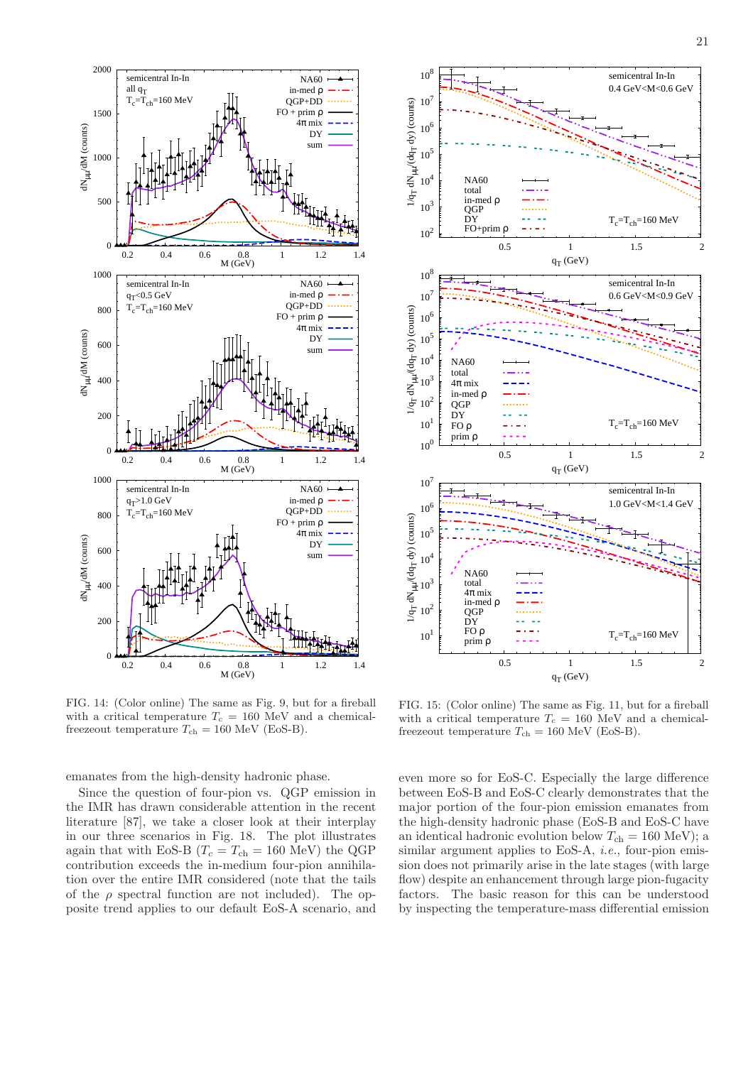

21



<span id="page-20-0"></span>FIG. 14: (Color online) The same as Fig. [9,](#page-15-1) but for a fireball with a critical temperature  $T_c = 160$  MeV and a chemicalfreezeout temperature  $T_{\rm ch} = 160$  MeV (EoS-B).

emanates from the high-density hadronic phase.

Since the question of four-pion vs. QGP emission in the IMR has drawn considerable attention in the recent literature [\[87\]](#page-28-65), we take a closer look at their interplay in our three scenarios in Fig. [18.](#page-22-1) The plot illustrates again that with EoS-B ( $T_c = T_{\text{ch}} = 160 \text{ MeV}$ ) the QGP contribution exceeds the in-medium four-pion annihilation over the entire IMR considered (note that the tails of the  $\rho$  spectral function are not included). The opposite trend applies to our default EoS-A scenario, and



<span id="page-20-1"></span>FIG. 15: (Color online) The same as Fig. [11,](#page-17-1) but for a fireball with a critical temperature  $T_c = 160$  MeV and a chemicalfreezeout temperature  $T_{ch} = 160 \text{ MeV (EoS-B)}.$ 

even more so for EoS-C. Especially the large difference between EoS-B and EoS-C clearly demonstrates that the major portion of the four-pion emission emanates from the high-density hadronic phase (EoS-B and EoS-C have an identical hadronic evolution below  $T_{ch} = 160 \text{ MeV}$ ; a similar argument applies to EoS-A, *i.e.*, four-pion emission does not primarily arise in the late stages (with large flow) despite an enhancement through large pion-fugacity factors. The basic reason for this can be understood by inspecting the temperature-mass differential emission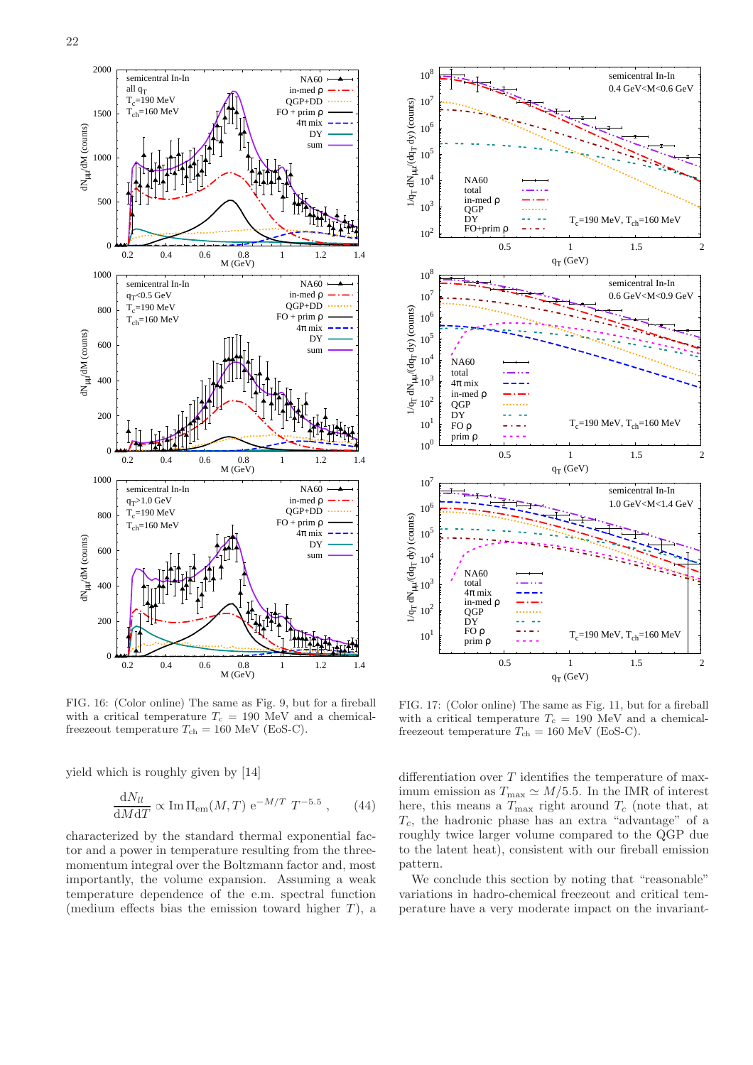

<span id="page-21-0"></span>FIG. 16: (Color online) The same as Fig. [9,](#page-15-1) but for a fireball with a critical temperature  $T_c = 190$  MeV and a chemicalfreezeout temperature  $T_{\text{ch}} = 160 \text{ MeV}$  (EoS-C).

yield which is roughly given by [\[14\]](#page-27-12)

$$
\frac{\mathrm{d}N_{ll}}{\mathrm{d}M\mathrm{d}T} \propto \mathrm{Im}\,\Pi_{\mathrm{em}}(M,T) \,\mathrm{e}^{-M/T} \;T^{-5.5} \;, \qquad (44)
$$

characterized by the standard thermal exponential factor and a power in temperature resulting from the threemomentum integral over the Boltzmann factor and, most importantly, the volume expansion. Assuming a weak temperature dependence of the e.m. spectral function (medium effects bias the emission toward higher  $T$ ), a



<span id="page-21-1"></span>FIG. 17: (Color online) The same as Fig. [11,](#page-17-1) but for a fireball with a critical temperature  $T_c = 190$  MeV and a chemicalfreezeout temperature  $T_{ch} = 160$  MeV (EoS-C).

differentiation over  $T$  identifies the temperature of maximum emission as  $T_{\text{max}} \simeq M/5.5$ . In the IMR of interest here, this means a  $T_{\text{max}}$  right around  $T_c$  (note that, at  $T_c$ , the hadronic phase has an extra "advantage" of a roughly twice larger volume compared to the QGP due to the latent heat), consistent with our fireball emission pattern.

We conclude this section by noting that "reasonable" variations in hadro-chemical freezeout and critical temperature have a very moderate impact on the invariant-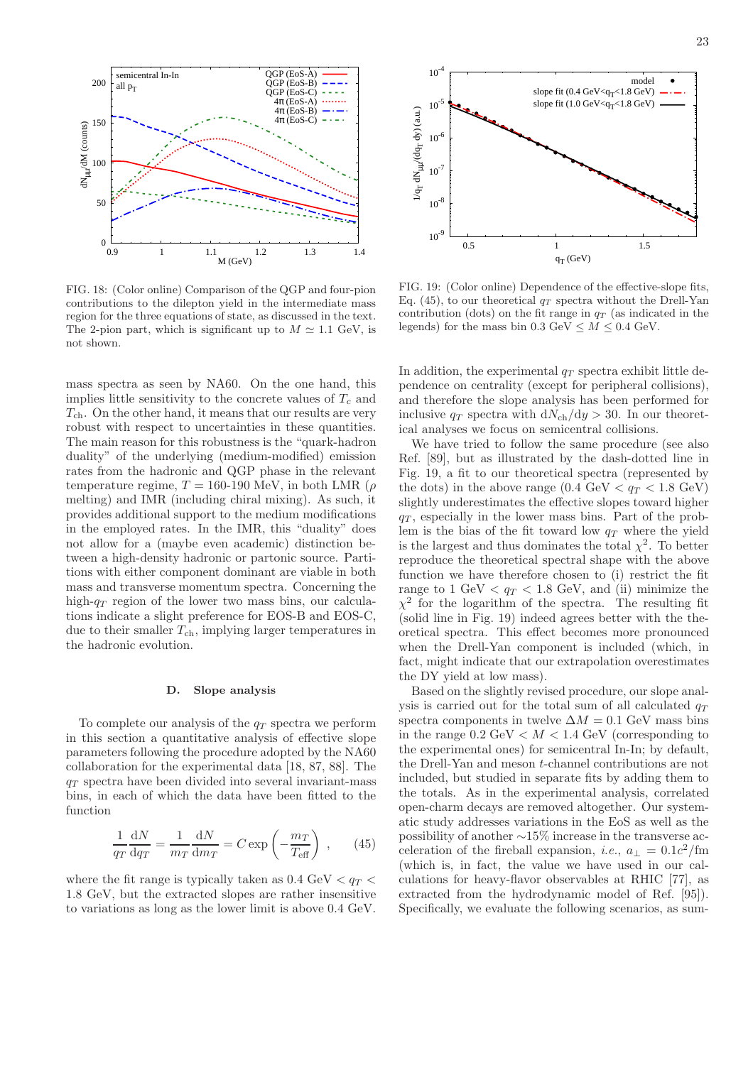

<span id="page-22-1"></span>FIG. 18: (Color online) Comparison of the QGP and four-pion contributions to the dilepton yield in the intermediate mass region for the three equations of state, as discussed in the text. The 2-pion part, which is significant up to  $M \simeq 1.1$  GeV, is not shown.

mass spectra as seen by NA60. On the one hand, this implies little sensitivity to the concrete values of  $T_c$  and  $T_{\rm ch}$ . On the other hand, it means that our results are very robust with respect to uncertainties in these quantities. The main reason for this robustness is the "quark-hadron duality" of the underlying (medium-modified) emission rates from the hadronic and QGP phase in the relevant temperature regime,  $T = 160-190$  MeV, in both LMR ( $\rho$ melting) and IMR (including chiral mixing). As such, it provides additional support to the medium modifications in the employed rates. In the IMR, this "duality" does not allow for a (maybe even academic) distinction between a high-density hadronic or partonic source. Partitions with either component dominant are viable in both mass and transverse momentum spectra. Concerning the high- $q_T$  region of the lower two mass bins, our calculations indicate a slight preference for EOS-B and EOS-C, due to their smaller  $T_{ch}$ , implying larger temperatures in the hadronic evolution.

#### <span id="page-22-0"></span>D. Slope analysis

To complete our analysis of the  $q_T$  spectra we perform in this section a quantitative analysis of effective slope parameters following the procedure adopted by the NA60 collaboration for the experimental data [\[18,](#page-28-0) [87](#page-28-65), [88](#page-28-66)]. The  $q_T$  spectra have been divided into several invariant-mass bins, in each of which the data have been fitted to the function

<span id="page-22-2"></span>
$$
\frac{1}{q_T}\frac{dN}{dq_T} = \frac{1}{m_T}\frac{dN}{dm_T} = C \exp\left(-\frac{m_T}{T_{\text{eff}}}\right) ,\qquad(45)
$$

where the fit range is typically taken as  $0.4 \text{ GeV} < q_T <$ 1.8 GeV, but the extracted slopes are rather insensitive to variations as long as the lower limit is above 0.4 GeV.



<span id="page-22-3"></span>FIG. 19: (Color online) Dependence of the effective-slope fits, Eq. [\(45\)](#page-22-2), to our theoretical  $q_T$  spectra without the Drell-Yan contribution (dots) on the fit range in  $q_T$  (as indicated in the legends) for the mass bin  $0.3 \text{ GeV} \leq M \leq 0.4 \text{ GeV}$ .

In addition, the experimental  $q_T$  spectra exhibit little dependence on centrality (except for peripheral collisions), and therefore the slope analysis has been performed for inclusive  $q_T$  spectra with  $dN_{ch}/dy > 30$ . In our theoretical analyses we focus on semicentral collisions.

We have tried to follow the same procedure (see also Ref. [\[89\]](#page-28-67), but as illustrated by the dash-dotted line in Fig. [19,](#page-22-3) a fit to our theoretical spectra (represented by the dots) in the above range  $(0.4 \text{ GeV} < q_T < 1.8 \text{ GeV})$ slightly underestimates the effective slopes toward higher  $q_T$ , especially in the lower mass bins. Part of the problem is the bias of the fit toward low  $q_T$  where the yield is the largest and thus dominates the total  $\chi^2$ . To better reproduce the theoretical spectral shape with the above function we have therefore chosen to (i) restrict the fit range to  $1 \text{ GeV} < q_T < 1.8 \text{ GeV}$ , and (ii) minimize the  $\chi^2$  for the logarithm of the spectra. The resulting fit (solid line in Fig. [19\)](#page-22-3) indeed agrees better with the theoretical spectra. This effect becomes more pronounced when the Drell-Yan component is included (which, in fact, might indicate that our extrapolation overestimates the DY yield at low mass).

Based on the slightly revised procedure, our slope analysis is carried out for the total sum of all calculated  $q_T$ spectra components in twelve  $\Delta M = 0.1$  GeV mass bins in the range  $0.2 \text{ GeV} < M < 1.4 \text{ GeV}$  (corresponding to the experimental ones) for semicentral In-In; by default, the Drell-Yan and meson t-channel contributions are not included, but studied in separate fits by adding them to the totals. As in the experimental analysis, correlated open-charm decays are removed altogether. Our systematic study addresses variations in the EoS as well as the possibility of another ∼15% increase in the transverse acceleration of the fireball expansion, *i.e.*,  $a_{\perp} = 0.1c^2$ /fm (which is, in fact, the value we have used in our calculations for heavy-flavor observables at RHIC [\[77](#page-28-58)], as extracted from the hydrodynamic model of Ref. [\[95\]](#page-29-0)). Specifically, we evaluate the following scenarios, as sum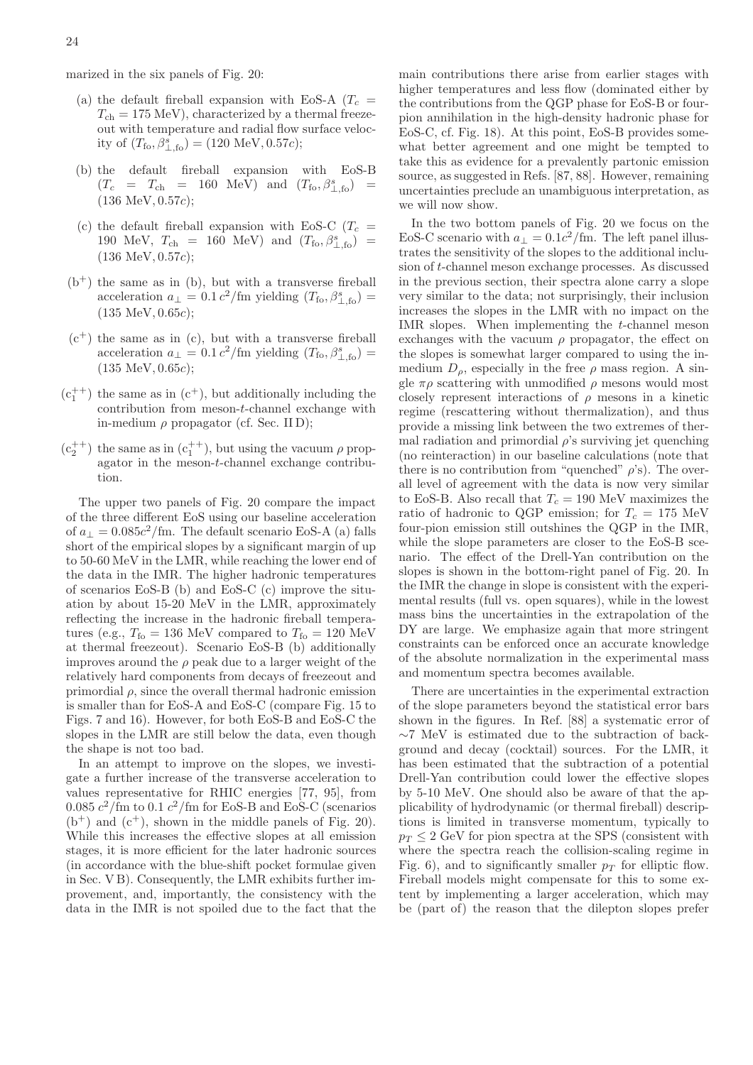marized in the six panels of Fig. [20:](#page-24-0)

- (a) the default fireball expansion with EoS-A  $(T_c =$  $T_{ch} = 175$  MeV), characterized by a thermal freezeout with temperature and radial flow surface velocity of  $(T_{\text{fo}}, \beta_{\perp, \text{fo}}^s) = (120 \text{ MeV}, 0.57c);$
- (b) the default fireball expansion with EoS-B  $(T_c = T_{ch} = 160 \text{ MeV}) \text{ and } (T_{fo}, \beta_{\perp, fo}^s) =$ (136 MeV, 0.57c);
- (c) the default fireball expansion with EoS-C  $(T_c =$ 190 MeV,  $T_{\rm ch}$  = 160 MeV) and  $(T_{\rm fo}, \beta_{\perp, \rm fo}^s)$  = (136 MeV, 0.57c);
- $(b<sup>+</sup>)$  the same as in (b), but with a transverse fireball acceleration  $a_{\perp} = 0.1 c^2 / \text{fm}$  yielding  $(T_{\text{fo}}, \beta_{\perp, \text{fo}}^s) =$  $(135 \text{ MeV}, 0.65c);$
- $(c<sup>+</sup>)$  the same as in  $(c)$ , but with a transverse fireball acceleration  $a_{\perp} = 0.1 c^2 / \text{fm}$  yielding  $(T_{\text{fo}}, \beta_{\perp, \text{fo}}^s)$  = (135 MeV, 0.65c);
- $(c_1^{++})$  the same as in  $(c^+)$ , but additionally including the contribution from meson-t-channel exchange with in-medium  $\rho$  propagator (cf. Sec. [II D\)](#page-6-1);
- $(c_2^{++})$  the same as in  $(c_1^{++})$ , but using the vacuum  $\rho$  propagator in the meson-t-channel exchange contribution.

The upper two panels of Fig. [20](#page-24-0) compare the impact of the three different EoS using our baseline acceleration of  $a_{\perp} = 0.085c^2$ /fm. The default scenario EoS-A (a) falls short of the empirical slopes by a significant margin of up to 50-60 MeV in the LMR, while reaching the lower end of the data in the IMR. The higher hadronic temperatures of scenarios EoS-B (b) and EoS-C (c) improve the situation by about 15-20 MeV in the LMR, approximately reflecting the increase in the hadronic fireball temperatures (e.g.,  $T_{\text{fo}} = 136 \text{ MeV}$  compared to  $T_{\text{fo}} = 120 \text{ MeV}$ at thermal freezeout). Scenario EoS-B (b) additionally improves around the  $\rho$  peak due to a larger weight of the relatively hard components from decays of freezeout and primordial  $\rho$ , since the overall thermal hadronic emission is smaller than for EoS-A and EoS-C (compare Fig. [15](#page-20-1) to Figs. [7](#page-14-0) and [16\)](#page-21-0). However, for both EoS-B and EoS-C the slopes in the LMR are still below the data, even though the shape is not too bad.

In an attempt to improve on the slopes, we investigate a further increase of the transverse acceleration to values representative for RHIC energies [\[77,](#page-28-58) [95](#page-29-0)], from 0.085  $c^2$ /fm to 0.1  $c^2$ /fm for EoS-B and EoS-C (scenarios  $(b<sup>+</sup>)$  and  $(c<sup>+</sup>)$ , shown in the middle panels of Fig. [20\)](#page-24-0). While this increases the effective slopes at all emission stages, it is more efficient for the later hadronic sources (in accordance with the blue-shift pocket formulae given in Sec. [V B\)](#page-15-0). Consequently, the LMR exhibits further improvement, and, importantly, the consistency with the data in the IMR is not spoiled due to the fact that the main contributions there arise from earlier stages with higher temperatures and less flow (dominated either by the contributions from the QGP phase for EoS-B or fourpion annihilation in the high-density hadronic phase for EoS-C, cf. Fig. [18\)](#page-22-1). At this point, EoS-B provides somewhat better agreement and one might be tempted to take this as evidence for a prevalently partonic emission source, as suggested in Refs. [\[87](#page-28-65), [88](#page-28-66)]. However, remaining uncertainties preclude an unambiguous interpretation, as we will now show.

In the two bottom panels of Fig. [20](#page-24-0) we focus on the EoS-C scenario with  $a_{\perp} = 0.1c^2$ /fm. The left panel illustrates the sensitivity of the slopes to the additional inclusion of t-channel meson exchange processes. As discussed in the previous section, their spectra alone carry a slope very similar to the data; not surprisingly, their inclusion increases the slopes in the LMR with no impact on the IMR slopes. When implementing the t-channel meson exchanges with the vacuum  $\rho$  propagator, the effect on the slopes is somewhat larger compared to using the inmedium  $D_{\rho}$ , especially in the free  $\rho$  mass region. A single  $\pi \rho$  scattering with unmodified  $\rho$  mesons would most closely represent interactions of  $\rho$  mesons in a kinetic regime (rescattering without thermalization), and thus provide a missing link between the two extremes of thermal radiation and primordial  $\rho$ 's surviving jet quenching (no reinteraction) in our baseline calculations (note that there is no contribution from "quenched"  $\rho$ 's). The overall level of agreement with the data is now very similar to EoS-B. Also recall that  $T_c = 190$  MeV maximizes the ratio of hadronic to QGP emission; for  $T_c = 175$  MeV four-pion emission still outshines the QGP in the IMR, while the slope parameters are closer to the EoS-B scenario. The effect of the Drell-Yan contribution on the slopes is shown in the bottom-right panel of Fig. [20.](#page-24-0) In the IMR the change in slope is consistent with the experimental results (full vs. open squares), while in the lowest mass bins the uncertainties in the extrapolation of the DY are large. We emphasize again that more stringent constraints can be enforced once an accurate knowledge of the absolute normalization in the experimental mass and momentum spectra becomes available.

There are uncertainties in the experimental extraction of the slope parameters beyond the statistical error bars shown in the figures. In Ref. [\[88\]](#page-28-66) a systematic error of ∼7 MeV is estimated due to the subtraction of background and decay (cocktail) sources. For the LMR, it has been estimated that the subtraction of a potential Drell-Yan contribution could lower the effective slopes by 5-10 MeV. One should also be aware of that the applicability of hydrodynamic (or thermal fireball) descriptions is limited in transverse momentum, typically to  $p_T \leq 2$  GeV for pion spectra at the SPS (consistent with where the spectra reach the collision-scaling regime in Fig. [6\)](#page-11-1), and to significantly smaller  $p_T$  for elliptic flow. Fireball models might compensate for this to some extent by implementing a larger acceleration, which may be (part of) the reason that the dilepton slopes prefer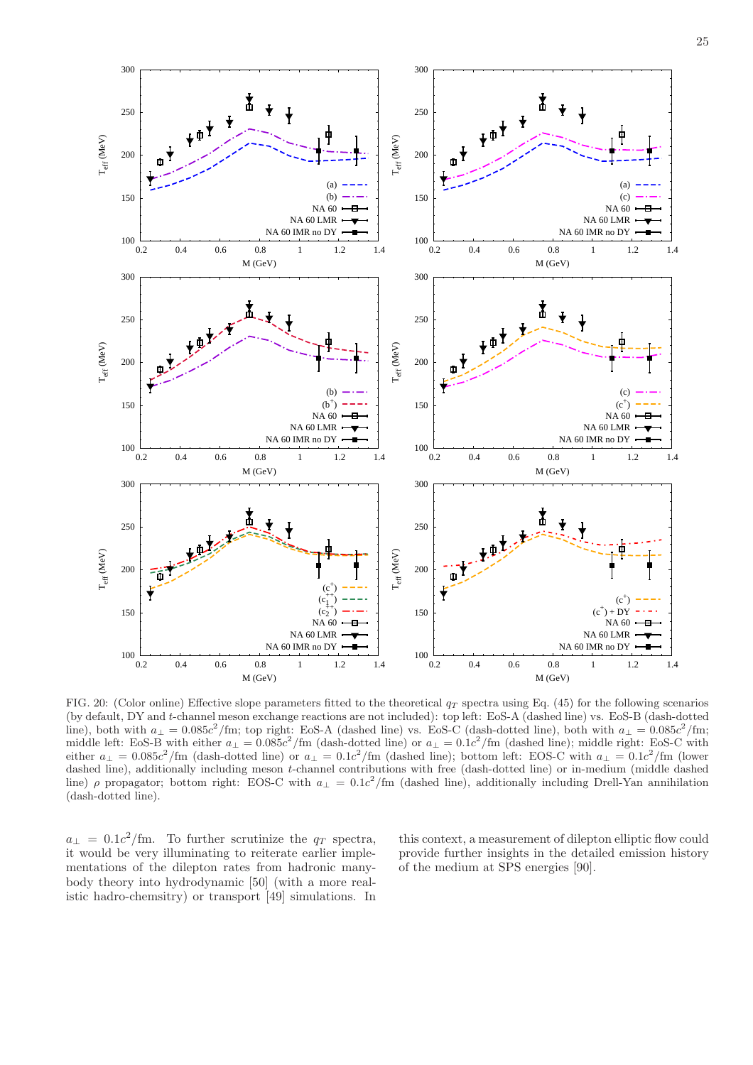

<span id="page-24-0"></span>FIG. 20: (Color online) Effective slope parameters fitted to the theoretical  $q_T$  spectra using Eq. [\(45\)](#page-22-2) for the following scenarios (by default, DY and t-channel meson exchange reactions are not included): top left: EoS-A (dashed line) vs. EoS-B (dash-dotted line), both with  $a_{\perp} = 0.085c^2/\text{fm}$ ; top right: EoS-A (dashed line) vs. EoS-C (dash-dotted line), both with  $a_{\perp} = 0.085c^2/\text{fm}$ ; middle left: EoS-B with either  $a_{\perp} = 0.085c^2/\text{fm}$  (dash-dotted line) or  $a_{\perp} = 0.1c^2/\text{fm}$  (dashed line); middle right: EoS-C with either  $a_{\perp} = 0.085c^2/\text{fm}$  (dash-dotted line) or  $a_{\perp} = 0.1c^2/\text{fm}$  (dashed line); bottom left: EOS-C with  $a_{\perp} = 0.1c^2/\text{fm}$  (lower dashed line), additionally including meson t-channel contributions with free (dash-dotted line) or in-medium (middle dashed line)  $\rho$  propagator; bottom right: EOS-C with  $a_{\perp} = 0.1c^2/\text{fm}$  (dashed line), additionally including Drell-Yan annihilation (dash-dotted line).

 $\frac{100}{0.2}$ 

 $a_{\perp} = 0.1c^2$ /fm. To further scrutinize the  $q_T$  spectra, it would be very illuminating to reiterate earlier implementations of the dilepton rates from hadronic manybody theory into hydrodynamic [\[50](#page-28-30)] (with a more realistic hadro-chemsitry) or transport [\[49\]](#page-28-29) simulations. In

0.2 0.4 0.6 0.8 1 1.2 1.4

M (GeV)

 $T_{\rm eff}$  (MeV)

 $\rm T_{eff}$  (MeV)

 $T_{\rm eff}$  (MeV)

 $\frac{100}{0.2}$ 

this context, a measurement of dilepton elliptic flow could provide further insights in the detailed emission history of the medium at SPS energies [\[90\]](#page-28-68).

0.2 0.4 0.6 0.8 1 1.2 1.4

M (GeV)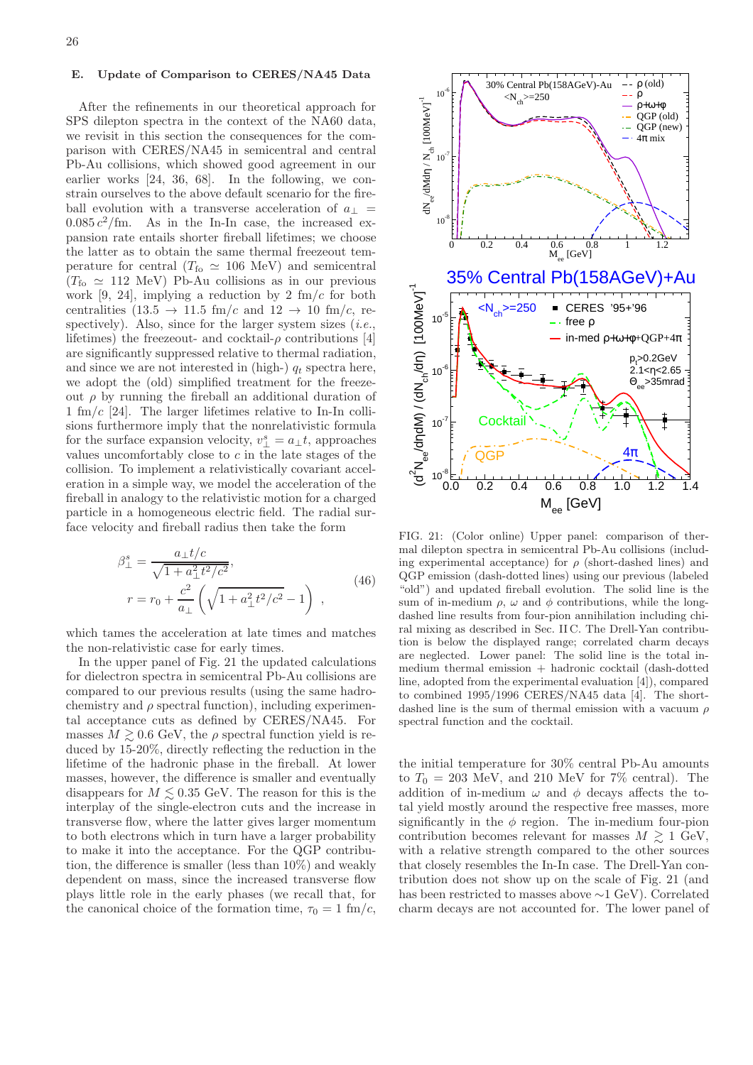#### <span id="page-25-0"></span>E. Update of Comparison to CERES/NA45 Data

After the refinements in our theoretical approach for SPS dilepton spectra in the context of the NA60 data, we revisit in this section the consequences for the comparison with CERES/NA45 in semicentral and central Pb-Au collisions, which showed good agreement in our earlier works [\[24,](#page-28-4) [36](#page-28-18), [68](#page-28-48)]. In the following, we constrain ourselves to the above default scenario for the fireball evolution with a transverse acceleration of  $a_{\perp}$  =  $0.085 c<sup>2</sup>/\text{fm}$ . As in the In-In case, the increased expansion rate entails shorter fireball lifetimes; we choose the latter as to obtain the same thermal freezeout temperature for central ( $T_{\text{fo}} \simeq 106 \text{ MeV}$ ) and semicentral  $(T_{\rm fo} \simeq 112 \text{ MeV})$  Pb-Au collisions as in our previous work [\[9](#page-27-7), [24\]](#page-28-4), implying a reduction by 2 fm/ $c$  for both centralities  $(13.5 \rightarrow 11.5 \text{ fm}/c \text{ and } 12 \rightarrow 10 \text{ fm}/c, \text{ re-}$ spectively). Also, since for the larger system sizes  $(i.e.,$ lifetimes) the freezeout- and cocktail- $\rho$  contributions [\[4](#page-27-2)] are significantly suppressed relative to thermal radiation, and since we are not interested in (high-)  $q_t$  spectra here, we adopt the (old) simplified treatment for the freezeout  $\rho$  by running the fireball an additional duration of 1 fm/c [\[24\]](#page-28-4). The larger lifetimes relative to In-In collisions furthermore imply that the nonrelativistic formula for the surface expansion velocity,  $v_{\perp}^s = a_{\perp} t$ , approaches values uncomfortably close to c in the late stages of the collision. To implement a relativistically covariant acceleration in a simple way, we model the acceleration of the fireball in analogy to the relativistic motion for a charged particle in a homogeneous electric field. The radial surface velocity and fireball radius then take the form

$$
\beta_{\perp}^{s} = \frac{a_{\perp}t/c}{\sqrt{1 + a_{\perp}^{2}t^{2}/c^{2}}},
$$
\n
$$
r = r_{0} + \frac{c^{2}}{a_{\perp}} \left(\sqrt{1 + a_{\perp}^{2}t^{2}/c^{2}} - 1\right),
$$
\n(46)

which tames the acceleration at late times and matches the non-relativistic case for early times.

In the upper panel of Fig. [21](#page-25-1) the updated calculations for dielectron spectra in semicentral Pb-Au collisions are compared to our previous results (using the same hadrochemistry and  $\rho$  spectral function), including experimental acceptance cuts as defined by CERES/NA45. For masses  $M \gtrsim 0.6$  GeV, the  $\rho$  spectral function yield is reduced by 15-20%, directly reflecting the reduction in the lifetime of the hadronic phase in the fireball. At lower masses, however, the difference is smaller and eventually disappears for  $M \leq 0.35$  GeV. The reason for this is the interplay of the single-electron cuts and the increase in transverse flow, where the latter gives larger momentum to both electrons which in turn have a larger probability to make it into the acceptance. For the QGP contribution, the difference is smaller (less than 10%) and weakly dependent on mass, since the increased transverse flow plays little role in the early phases (we recall that, for the canonical choice of the formation time,  $\tau_0 = 1$  fm/c,



<span id="page-25-1"></span>FIG. 21: (Color online) Upper panel: comparison of thermal dilepton spectra in semicentral Pb-Au collisions (including experimental acceptance) for  $\rho$  (short-dashed lines) and QGP emission (dash-dotted lines) using our previous (labeled "old") and updated fireball evolution. The solid line is the sum of in-medium  $\rho$ ,  $\omega$  and  $\phi$  contributions, while the longdashed line results from four-pion annihilation including chiral mixing as described in Sec. [II C.](#page-6-0) The Drell-Yan contribution is below the displayed range; correlated charm decays are neglected. Lower panel: The solid line is the total inmedium thermal emission + hadronic cocktail (dash-dotted line, adopted from the experimental evaluation [\[4](#page-27-2)]), compared to combined 1995/1996 CERES/NA45 data [\[4](#page-27-2)]. The shortdashed line is the sum of thermal emission with a vacuum  $\rho$ spectral function and the cocktail.

the initial temperature for 30% central Pb-Au amounts to  $T_0 = 203$  MeV, and 210 MeV for 7\% central). The addition of in-medium  $\omega$  and  $\phi$  decays affects the total yield mostly around the respective free masses, more significantly in the  $\phi$  region. The in-medium four-pion contribution becomes relevant for masses  $M \gtrsim 1 \text{ GeV}$ , with a relative strength compared to the other sources that closely resembles the In-In case. The Drell-Yan contribution does not show up on the scale of Fig. [21](#page-25-1) (and has been restricted to masses above ∼1 GeV). Correlated charm decays are not accounted for. The lower panel of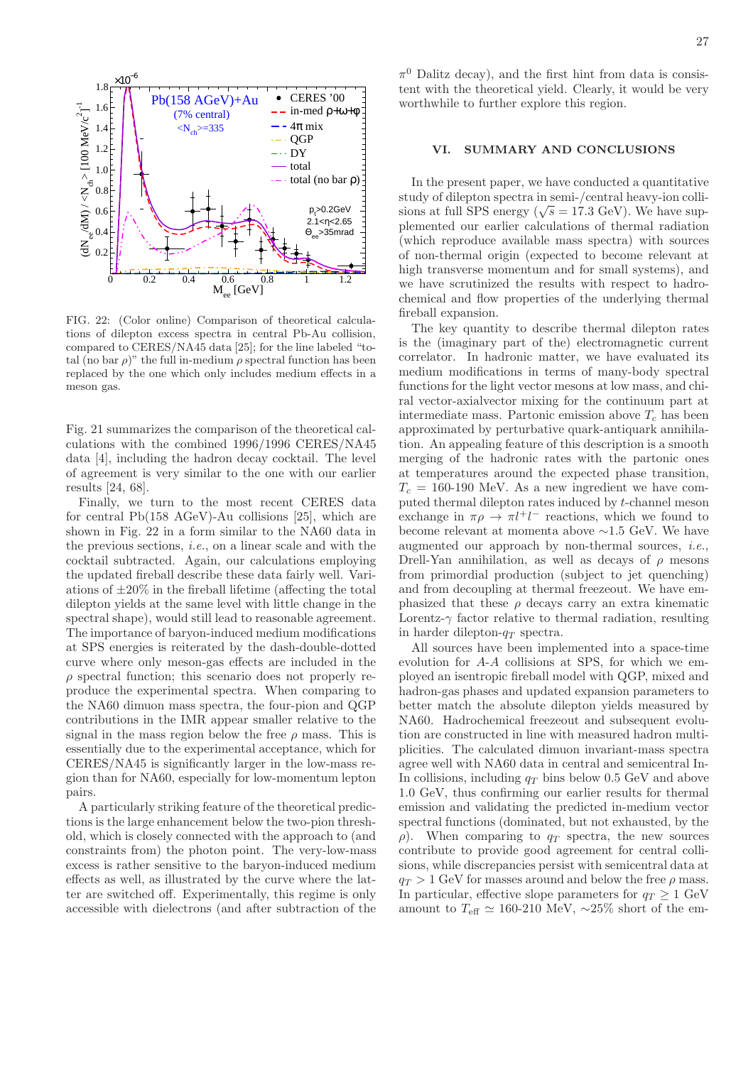

<span id="page-26-1"></span>FIG. 22: (Color online) Comparison of theoretical calculations of dilepton excess spectra in central Pb-Au collision, compared to CERES/NA45 data [\[25](#page-28-5)]; for the line labeled "total (no bar  $\rho$ )" the full in-medium  $\rho$  spectral function has been replaced by the one which only includes medium effects in a meson gas.

Fig. [21](#page-25-1) summarizes the comparison of the theoretical calculations with the combined 1996/1996 CERES/NA45 data [\[4\]](#page-27-2), including the hadron decay cocktail. The level of agreement is very similar to the one with our earlier results [\[24,](#page-28-4) [68\]](#page-28-48).

Finally, we turn to the most recent CERES data for central Pb(158 AGeV)-Au collisions [\[25\]](#page-28-5), which are shown in Fig. [22](#page-26-1) in a form similar to the NA60 data in the previous sections, *i.e.*, on a linear scale and with the cocktail subtracted. Again, our calculations employing the updated fireball describe these data fairly well. Variations of  $\pm 20\%$  in the fireball lifetime (affecting the total dilepton yields at the same level with little change in the spectral shape), would still lead to reasonable agreement. The importance of baryon-induced medium modifications at SPS energies is reiterated by the dash-double-dotted curve where only meson-gas effects are included in the  $\rho$  spectral function; this scenario does not properly reproduce the experimental spectra. When comparing to the NA60 dimuon mass spectra, the four-pion and QGP contributions in the IMR appear smaller relative to the signal in the mass region below the free  $\rho$  mass. This is essentially due to the experimental acceptance, which for CERES/NA45 is significantly larger in the low-mass region than for NA60, especially for low-momentum lepton pairs.

A particularly striking feature of the theoretical predictions is the large enhancement below the two-pion threshold, which is closely connected with the approach to (and constraints from) the photon point. The very-low-mass excess is rather sensitive to the baryon-induced medium effects as well, as illustrated by the curve where the latter are switched off. Experimentally, this regime is only accessible with dielectrons (and after subtraction of the

 $\pi^0$  Dalitz decay), and the first hint from data is consistent with the theoretical yield. Clearly, it would be very worthwhile to further explore this region.

### <span id="page-26-0"></span>VI. SUMMARY AND CONCLUSIONS

In the present paper, we have conducted a quantitative study of dilepton spectra in semi-/central heavy-ion collisions at full SPS energy ( $\sqrt{s}$  = 17.3 GeV). We have supplemented our earlier calculations of thermal radiation (which reproduce available mass spectra) with sources of non-thermal origin (expected to become relevant at high transverse momentum and for small systems), and we have scrutinized the results with respect to hadrochemical and flow properties of the underlying thermal fireball expansion.

The key quantity to describe thermal dilepton rates is the (imaginary part of the) electromagnetic current correlator. In hadronic matter, we have evaluated its medium modifications in terms of many-body spectral functions for the light vector mesons at low mass, and chiral vector-axialvector mixing for the continuum part at intermediate mass. Partonic emission above  $T_c$  has been approximated by perturbative quark-antiquark annihilation. An appealing feature of this description is a smooth merging of the hadronic rates with the partonic ones at temperatures around the expected phase transition,  $T_c = 160-190$  MeV. As a new ingredient we have computed thermal dilepton rates induced by t-channel meson exchange in  $\pi \rho \to \pi l^+ l^-$  reactions, which we found to become relevant at momenta above ∼1.5 GeV. We have augmented our approach by non-thermal sources, i.e., Drell-Yan annihilation, as well as decays of  $\rho$  mesons from primordial production (subject to jet quenching) and from decoupling at thermal freezeout. We have emphasized that these  $\rho$  decays carry an extra kinematic Lorentz- $\gamma$  factor relative to thermal radiation, resulting in harder dilepton- $q_T$  spectra.

All sources have been implemented into a space-time evolution for A-A collisions at SPS, for which we employed an isentropic fireball model with QGP, mixed and hadron-gas phases and updated expansion parameters to better match the absolute dilepton yields measured by NA60. Hadrochemical freezeout and subsequent evolution are constructed in line with measured hadron multiplicities. The calculated dimuon invariant-mass spectra agree well with NA60 data in central and semicentral In-In collisions, including  $q_T$  bins below 0.5 GeV and above 1.0 GeV, thus confirming our earlier results for thermal emission and validating the predicted in-medium vector spectral functions (dominated, but not exhausted, by the  $\rho$ ). When comparing to  $q_T$  spectra, the new sources contribute to provide good agreement for central collisions, while discrepancies persist with semicentral data at  $q_T > 1$  GeV for masses around and below the free  $\rho$  mass. In particular, effective slope parameters for  $q_T > 1$  GeV amount to  $T_{\text{eff}} \simeq 160{\text -}210 \text{ MeV}$ , ~25% short of the em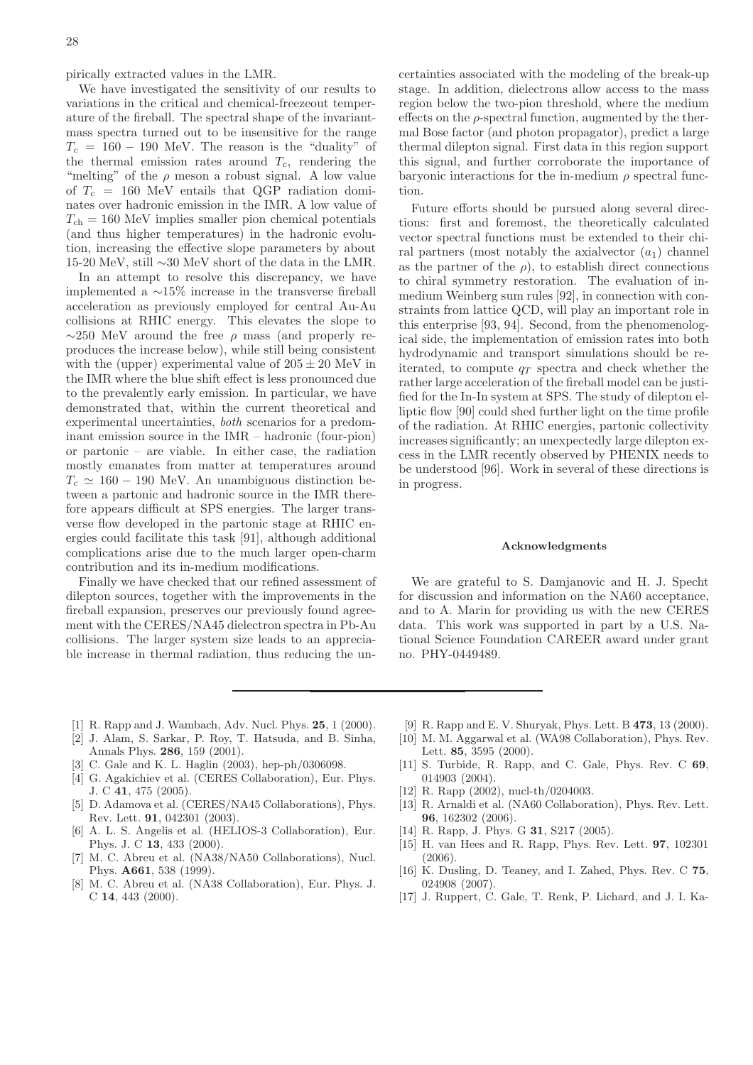pirically extracted values in the LMR.

We have investigated the sensitivity of our results to variations in the critical and chemical-freezeout temperature of the fireball. The spectral shape of the invariantmass spectra turned out to be insensitive for the range  $T_c = 160 - 190$  MeV. The reason is the "duality" of the thermal emission rates around  $T_c$ , rendering the "melting" of the  $\rho$  meson a robust signal. A low value of  $T_c = 160$  MeV entails that QGP radiation dominates over hadronic emission in the IMR. A low value of  $T_{ch} = 160$  MeV implies smaller pion chemical potentials (and thus higher temperatures) in the hadronic evolution, increasing the effective slope parameters by about 15-20 MeV, still ∼30 MeV short of the data in the LMR.

In an attempt to resolve this discrepancy, we have implemented a ∼15% increase in the transverse fireball acceleration as previously employed for central Au-Au collisions at RHIC energy. This elevates the slope to  $\sim$ 250 MeV around the free  $\rho$  mass (and properly reproduces the increase below), while still being consistent with the (upper) experimental value of  $205 \pm 20$  MeV in the IMR where the blue shift effect is less pronounced due to the prevalently early emission. In particular, we have demonstrated that, within the current theoretical and experimental uncertainties, both scenarios for a predominant emission source in the IMR – hadronic (four-pion) or partonic – are viable. In either case, the radiation mostly emanates from matter at temperatures around  $T_c \simeq 160 - 190$  MeV. An unambiguous distinction between a partonic and hadronic source in the IMR therefore appears difficult at SPS energies. The larger transverse flow developed in the partonic stage at RHIC energies could facilitate this task [\[91\]](#page-28-69), although additional complications arise due to the much larger open-charm contribution and its in-medium modifications.

Finally we have checked that our refined assessment of dilepton sources, together with the improvements in the fireball expansion, preserves our previously found agreement with the CERES/NA45 dielectron spectra in Pb-Au collisions. The larger system size leads to an appreciable increase in thermal radiation, thus reducing the uncertainties associated with the modeling of the break-up stage. In addition, dielectrons allow access to the mass region below the two-pion threshold, where the medium effects on the  $\rho$ -spectral function, augmented by the thermal Bose factor (and photon propagator), predict a large thermal dilepton signal. First data in this region support this signal, and further corroborate the importance of baryonic interactions for the in-medium  $\rho$  spectral function.

Future efforts should be pursued along several directions: first and foremost, the theoretically calculated vector spectral functions must be extended to their chiral partners (most notably the axial vector  $(a_1)$  channel as the partner of the  $\rho$ ), to establish direct connections to chiral symmetry restoration. The evaluation of inmedium Weinberg sum rules [\[92](#page-28-70)], in connection with constraints from lattice QCD, will play an important role in this enterprise [\[93,](#page-28-71) [94](#page-29-1)]. Second, from the phenomenological side, the implementation of emission rates into both hydrodynamic and transport simulations should be reiterated, to compute  $q_T$  spectra and check whether the rather large acceleration of the fireball model can be justified for the In-In system at SPS. The study of dilepton elliptic flow [\[90\]](#page-28-68) could shed further light on the time profile of the radiation. At RHIC energies, partonic collectivity increases significantly; an unexpectedly large dilepton excess in the LMR recently observed by PHENIX needs to be understood [\[96\]](#page-29-2). Work in several of these directions is in progress.

### Acknowledgments

We are grateful to S. Damjanovic and H. J. Specht for discussion and information on the NA60 acceptance, and to A. Marin for providing us with the new CERES data. This work was supported in part by a U.S. National Science Foundation CAREER award under grant no. PHY-0449489.

- <span id="page-27-0"></span>[1] R. Rapp and J. Wambach, Adv. Nucl. Phys. 25, 1 (2000).
- [2] J. Alam, S. Sarkar, P. Roy, T. Hatsuda, and B. Sinha, Annals Phys. 286, 159 (2001).
- <span id="page-27-1"></span>[3] C. Gale and K. L. Haglin (2003), hep-ph/0306098.
- <span id="page-27-2"></span>[4] G. Agakichiev et al. (CERES Collaboration), Eur. Phys. J. C 41, 475 (2005).
- <span id="page-27-3"></span>[5] D. Adamova et al. (CERES/NA45 Collaborations), Phys. Rev. Lett. 91, 042301 (2003).
- <span id="page-27-4"></span>[6] A. L. S. Angelis et al. (HELIOS-3 Collaboration), Eur. Phys. J. C 13, 433 (2000).
- <span id="page-27-6"></span>[7] M. C. Abreu et al. (NA38/NA50 Collaborations), Nucl. Phys. A661, 538 (1999).
- <span id="page-27-5"></span>[8] M. C. Abreu et al. (NA38 Collaboration), Eur. Phys. J. C 14, 443 (2000).
- <span id="page-27-7"></span>[9] R. Rapp and E. V. Shuryak, Phys. Lett. B 473, 13 (2000).
- <span id="page-27-8"></span>[10] M. M. Aggarwal et al. (WA98 Collaboration), Phys. Rev. Lett. 85, 3595 (2000).
- <span id="page-27-9"></span>[11] S. Turbide, R. Rapp, and C. Gale, Phys. Rev. C 69, 014903 (2004).
- <span id="page-27-10"></span>[12] R. Rapp (2002), nucl-th/0204003.
- <span id="page-27-11"></span>[13] R. Arnaldi et al. (NA60 Collaboration), Phys. Rev. Lett. 96, 162302 (2006).
- <span id="page-27-12"></span>[14] R. Rapp, J. Phys. G **31**, S217 (2005).
- <span id="page-27-13"></span>[15] H. van Hees and R. Rapp, Phys. Rev. Lett. 97, 102301 (2006).
- <span id="page-27-14"></span>[16] K. Dusling, D. Teaney, and I. Zahed, Phys. Rev. C 75, 024908 (2007).
- <span id="page-27-15"></span>[17] J. Ruppert, C. Gale, T. Renk, P. Lichard, and J. I. Ka-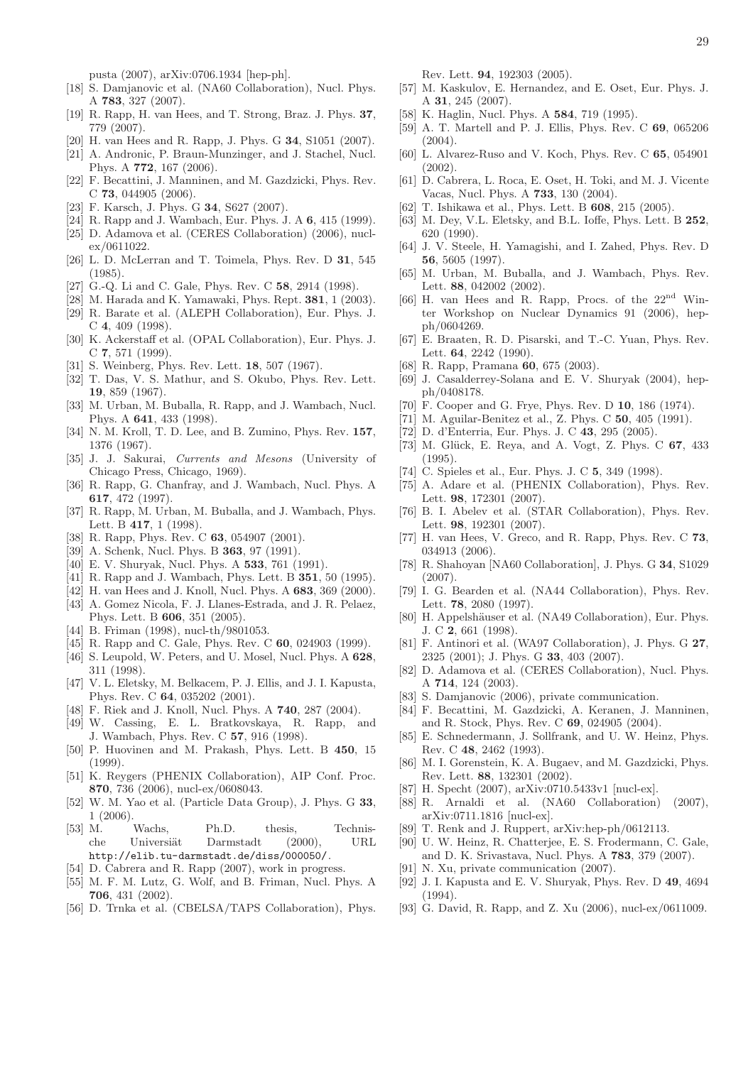pusta (2007), arXiv:0706.1934 [hep-ph].

- <span id="page-28-0"></span>[18] S. Damjanovic et al. (NA60 Collaboration), Nucl. Phys. A 783, 327 (2007).
- <span id="page-28-6"></span>[19] R. Rapp, H. van Hees, and T. Strong, Braz. J. Phys. 37, 779 (2007).
- <span id="page-28-7"></span>[20] H. van Hees and R. Rapp, J. Phys. G 34, S1051 (2007).
- <span id="page-28-1"></span>[21] A. Andronic, P. Braun-Munzinger, and J. Stachel, Nucl. Phys. A 772, 167 (2006).
- <span id="page-28-2"></span>[22] F. Becattini, J. Manninen, and M. Gazdzicki, Phys. Rev. C 73, 044905 (2006).
- <span id="page-28-3"></span>[23] F. Karsch, J. Phys. G 34, S627 (2007).
- <span id="page-28-4"></span>[24] R. Rapp and J. Wambach, Eur. Phys. J. A 6, 415 (1999).
- <span id="page-28-5"></span>[25] D. Adamova et al. (CERES Collaboration) (2006), nuclex/0611022.
- <span id="page-28-8"></span>[26] L. D. McLerran and T. Toimela, Phys. Rev. D 31, 545 (1985).
- <span id="page-28-9"></span>[27] G.-Q. Li and C. Gale, Phys. Rev. C 58, 2914 (1998).
- <span id="page-28-14"></span>[28] M. Harada and K. Yamawaki, Phys. Rept. 381, 1 (2003).
- <span id="page-28-10"></span>[29] R. Barate et al. (ALEPH Collaboration), Eur. Phys. J. C 4, 409 (1998).
- <span id="page-28-11"></span>[30] K. Ackerstaff et al. (OPAL Collaboration), Eur. Phys. J. C 7, 571 (1999).
- <span id="page-28-12"></span>[31] S. Weinberg, Phys. Rev. Lett. 18, 507 (1967).
- <span id="page-28-13"></span>[32] T. Das, V. S. Mathur, and S. Okubo, Phys. Rev. Lett. 19, 859 (1967).
- <span id="page-28-15"></span>[33] M. Urban, M. Buballa, R. Rapp, and J. Wambach, Nucl. Phys. A 641, 433 (1998).
- <span id="page-28-16"></span>[34] N. M. Kroll, T. D. Lee, and B. Zumino, Phys. Rev. 157, 1376 (1967).
- <span id="page-28-17"></span>[35] J. J. Sakurai, Currents and Mesons (University of Chicago Press, Chicago, 1969).
- <span id="page-28-18"></span>[36] R. Rapp, G. Chanfray, and J. Wambach, Nucl. Phys. A 617, 472 (1997).
- <span id="page-28-19"></span>[37] R. Rapp, M. Urban, M. Buballa, and J. Wambach, Phys. Lett. B 417, 1 (1998).
- <span id="page-28-20"></span>[38] R. Rapp, Phys. Rev. C **63**, 054907 (2001).
- <span id="page-28-21"></span>[39] A. Schenk, Nucl. Phys. B **363**, 97 (1991).
- [40] E. V. Shuryak, Nucl. Phys. A 533, 761 (1991).
- <span id="page-28-23"></span>[41] R. Rapp and J. Wambach, Phys. Lett. B **351**, 50 (1995).
- [42] H. van Hees and J. Knoll, Nucl. Phys. A 683, 369 (2000). [43] A. Gomez Nicola, F. J. Llanes-Estrada, and J. R. Pelaez,
- <span id="page-28-22"></span>Phys. Lett. B 606, 351 (2005).
- <span id="page-28-24"></span>[44] B. Friman (1998), nucl-th/9801053
- <span id="page-28-25"></span>[45] R. Rapp and C. Gale, Phys. Rev. C 60, 024903 (1999).
- <span id="page-28-26"></span>[46] S. Leupold, W. Peters, and U. Mosel, Nucl. Phys. A  $628$ , 311 (1998).
- <span id="page-28-27"></span>[47] V. L. Eletsky, M. Belkacem, P. J. Ellis, and J. I. Kapusta, Phys. Rev. C 64, 035202 (2001).
- <span id="page-28-28"></span>[48] F. Riek and J. Knoll, Nucl. Phys. A **740**, 287 (2004).
- <span id="page-28-29"></span>[49] W. Cassing, E. L. Bratkovskaya, R. Rapp, and J. Wambach, Phys. Rev. C 57, 916 (1998).
- <span id="page-28-30"></span>[50] P. Huovinen and M. Prakash, Phys. Lett. B 450, 15  $(1999)$ .
- <span id="page-28-31"></span>[51] K. Reygers (PHENIX Collaboration), AIP Conf. Proc. 870, 736 (2006), nucl-ex/0608043.
- <span id="page-28-32"></span>[52] W. M. Yao et al. (Particle Data Group), J. Phys. G 33, 1 (2006).
- <span id="page-28-33"></span>[53] M. Wachs, Ph.D. thesis, Technische Universiät Darmstadt (2000), URL <http://elib.tu-darmstadt.de/diss/000050/>.
- <span id="page-28-34"></span>[54] D. Cabrera and R. Rapp (2007), work in progress.
- <span id="page-28-35"></span>[55] M. F. M. Lutz, G. Wolf, and B. Friman, Nucl. Phys. A 706, 431 (2002).
- <span id="page-28-36"></span>[56] D. Trnka et al. (CBELSA/TAPS Collaboration), Phys.

Rev. Lett. 94, 192303 (2005).

- <span id="page-28-37"></span>[57] M. Kaskulov, E. Hernandez, and E. Oset, Eur. Phys. J. A 31, 245 (2007).
- <span id="page-28-38"></span>[58] K. Haglin, Nucl. Phys. A **584**, 719 (1995).
- <span id="page-28-39"></span>[59] A. T. Martell and P. J. Ellis, Phys. Rev. C 69, 065206 (2004).
- <span id="page-28-40"></span>[60] L. Alvarez-Ruso and V. Koch, Phys. Rev. C 65, 054901 (2002).
- <span id="page-28-41"></span>[61] D. Cabrera, L. Roca, E. Oset, H. Toki, and M. J. Vicente Vacas, Nucl. Phys. A 733, 130 (2004).
- <span id="page-28-42"></span>[62] T. Ishikawa et al., Phys. Lett. B 608, 215 (2005).
- <span id="page-28-43"></span>[63] M. Dev, V.L. Eletsky, and B.L. Ioffe, Phys. Lett. B 252. 620 (1990).
- <span id="page-28-44"></span>[64] J. V. Steele, H. Yamagishi, and I. Zahed, Phys. Rev. D 56, 5605 (1997).
- <span id="page-28-45"></span>[65] M. Urban, M. Buballa, and J. Wambach, Phys. Rev. Lett. 88, 042002 (2002).
- <span id="page-28-46"></span>[66] H. van Hees and R. Rapp, Procs. of the 22nd Winter Workshop on Nuclear Dynamics 91 (2006), hepph/0604269.
- <span id="page-28-47"></span>[67] E. Braaten, R. D. Pisarski, and T.-C. Yuan, Phys. Rev. Lett. 64, 2242 (1990).
- <span id="page-28-48"></span>[68] R. Rapp, Pramana 60, 675 (2003).
- <span id="page-28-49"></span>[69] J. Casalderrey-Solana and E. V. Shuryak (2004), hepph/0408178.
- <span id="page-28-50"></span>[70] F. Cooper and G. Frye, Phys. Rev. D 10, 186 (1974).
- <span id="page-28-52"></span>[71] M. Aguilar-Benitez et al., Z. Phys. C 50, 405 (1991).
- <span id="page-28-53"></span>[72] D. d'Enterria, Eur. Phys. J. C 43, 295 (2005).
- <span id="page-28-54"></span>[73] M. Glück, E. Reya, and A. Vogt, Z. Phys. C  $67$ , 433  $(1995)$ .
- <span id="page-28-55"></span>[74] C. Spieles et al., Eur. Phys. J. C 5, 349 (1998).
- <span id="page-28-56"></span>[75] A. Adare et al. (PHENIX Collaboration), Phys. Rev. Lett. 98, 172301 (2007).
- <span id="page-28-57"></span>[76] B. I. Abelev et al. (STAR Collaboration), Phys. Rev. Lett. 98, 192301 (2007).
- <span id="page-28-58"></span>[77] H. van Hees, V. Greco, and R. Rapp, Phys. Rev. C 73, 034913 (2006).
- <span id="page-28-59"></span>[78] R. Shahoyan [NA60 Collaboration], J. Phys. G 34, S1029 (2007).
- <span id="page-28-60"></span>[79] I. G. Bearden et al. (NA44 Collaboration), Phys. Rev. Lett. 78, 2080 (1997).
- [80] H. Appelshäuser et al. (NA49 Collaboration), Eur. Phys. J. C 2, 661 (1998).
- [81] F. Antinori et al. (WA97 Collaboration), J. Phys. G 27, 2325 (2001); J. Phys. G 33, 403 (2007).
- <span id="page-28-61"></span>[82] D. Adamova et al. (CERES Collaboration), Nucl. Phys. A 714, 124 (2003).
- <span id="page-28-62"></span>[83] S. Damjanovic (2006), private communication.
- <span id="page-28-63"></span>[84] F. Becattini, M. Gazdzicki, A. Keranen, J. Manninen, and R. Stock, Phys. Rev. C 69, 024905 (2004).
- <span id="page-28-51"></span>[85] E. Schnedermann, J. Sollfrank, and U. W. Heinz, Phys. Rev. C 48, 2462 (1993).
- <span id="page-28-64"></span>[86] M. I. Gorenstein, K. A. Bugaev, and M. Gazdzicki, Phys. Rev. Lett. 88, 132301 (2002).
- <span id="page-28-65"></span>[87] H. Specht (2007), arXiv:0710.5433v1 [nucl-ex].
- <span id="page-28-66"></span>[88] R. Arnaldi et al. (NA60 Collaboration) (2007), arXiv:0711.1816 [nucl-ex].
- <span id="page-28-67"></span>[89] T. Renk and J. Ruppert, arXiv:hep-ph/0612113.
- <span id="page-28-68"></span>[90] U. W. Heinz, R. Chatterjee, E. S. Frodermann, C. Gale, and D. K. Srivastava, Nucl. Phys. A 783, 379 (2007).
- <span id="page-28-69"></span>[91] N. Xu, private communication (2007).
- <span id="page-28-70"></span>[92] J. I. Kapusta and E. V. Shuryak, Phys. Rev. D 49, 4694  $(1994)$ .
- <span id="page-28-71"></span>[93] G. David, R. Rapp, and Z. Xu (2006), nucl-ex/0611009.